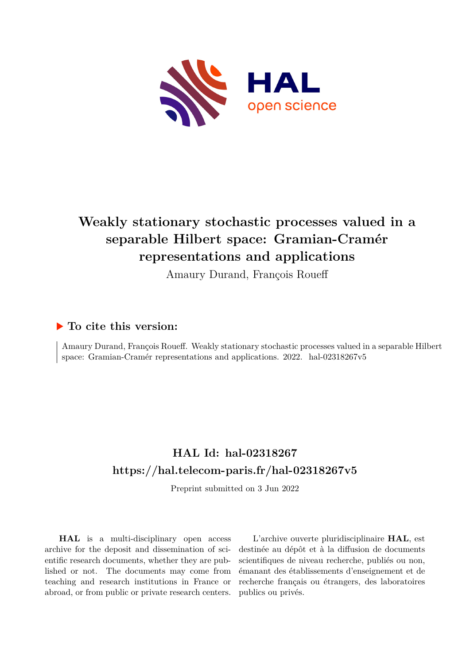

# **Weakly stationary stochastic processes valued in a separable Hilbert space: Gramian-Cramér representations and applications**

Amaury Durand, François Roueff

# **To cite this version:**

Amaury Durand, François Roueff. Weakly stationary stochastic processes valued in a separable Hilbert space: Gramian-Cramér representations and applications.  $2022$ . hal-02318267v5

# **HAL Id: hal-02318267 <https://hal.telecom-paris.fr/hal-02318267v5>**

Preprint submitted on 3 Jun 2022

**HAL** is a multi-disciplinary open access archive for the deposit and dissemination of scientific research documents, whether they are published or not. The documents may come from teaching and research institutions in France or abroad, or from public or private research centers.

L'archive ouverte pluridisciplinaire **HAL**, est destinée au dépôt et à la diffusion de documents scientifiques de niveau recherche, publiés ou non, émanant des établissements d'enseignement et de recherche français ou étrangers, des laboratoires publics ou privés.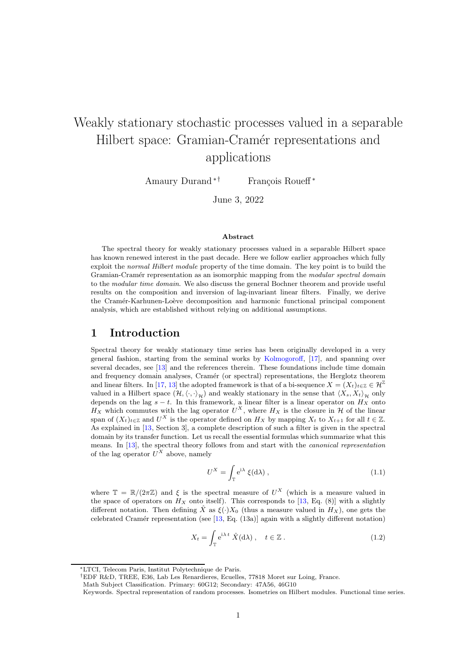# Weakly stationary stochastic processes valued in a separable Hilbert space: Gramian-Cramér representations and applications

Amaury Durand<sup>\*†</sup> François Roueff<sup>\*</sup>

June 3, 2022

#### Abstract

The spectral theory for weakly stationary processes valued in a separable Hilbert space has known renewed interest in the past decade. Here we follow earlier approaches which fully exploit the *normal Hilbert module* property of the time domain. The key point is to build the Gramian-Cram´er representation as an isomorphic mapping from the *modular spectral domain* to the *modular time domain*. We also discuss the general Bochner theorem and provide useful results on the composition and inversion of lag-invariant linear filters. Finally, we derive the Cramér-Karhunen-Loève decomposition and harmonic functional principal component analysis, which are established without relying on additional assumptions.

# 1 Introduction

Spectral theory for weakly stationary time series has been originally developed in a very general fashion, starting from the seminal works by Kolmogoroff, [17], and spanning over several decades, see [13] and the references therein. These foundations include time domain and frequency domain analyses, Cramér (or spectral) representations, the Herglotz theorem and linear filters. In [17, 13] the adopted framework is that of a bi-sequence  $X = (X_t)_{t \in \mathbb{Z}} \in \mathcal{H}^{\mathbb{Z}}$ valued in a Hilbert space  $(\mathcal{H},\langle\cdot,\cdot\rangle_{\mathcal{H}})$  and weakly stationary in the sense that  $\langle X_s, X_t\rangle_{\mathcal{H}}$  only depends on the lag  $s - t$ . In this framework, a linear filter is a linear operator on  $H_X$  onto  $H_X$  which commutes with the lag operator  $U^X$ , where  $H_X$  is the closure in H of the linear span of  $(X_t)_{t\in\mathbb{Z}}$  and  $U^X$  is the operator defined on  $H_X$  by mapping  $X_t$  to  $X_{t+1}$  for all  $t\in\mathbb{Z}$ . As explained in [13, Section 3], a complete description of such a filter is given in the spectral domain by its transfer function. Let us recall the essential formulas which summarize what this means. In [13], the spectral theory follows from and start with the *canonical representation* of the lag operator  $U^X$  above, namely

$$
U^X = \int_{\mathbb{T}} e^{i\lambda} \xi(d\lambda) , \qquad (1.1)
$$

where  $\mathbb{T} = \mathbb{R}/(2\pi\mathbb{Z})$  and  $\xi$  is the spectral measure of  $U^X$  (which is a measure valued in the space of operators on  $H_X$  onto itself). This corresponds to [13, Eq. (8)] with a slightly different notation. Then defining  $\hat{X}$  as  $\xi(\cdot)X_0$  (thus a measure valued in  $H_X$ ), one gets the celebrated Cramér representation (see [13, Eq.  $(13a)$ ] again with a slightly different notation)

$$
X_t = \int_{\mathbb{T}} e^{i\lambda t} \hat{X}(d\lambda), \quad t \in \mathbb{Z} \,. \tag{1.2}
$$

<sup>∗</sup>LTCI, Telecom Paris, Institut Polytechnique de Paris.

<sup>†</sup>EDF R&D, TREE, E36, Lab Les Renardieres, Ecuelles, 77818 Moret sur Loing, France.

Math Subject Classification. Primary: 60G12; Secondary: 47A56, 46G10

Keywords. Spectral representation of random processes. Isometries on Hilbert modules. Functional time series.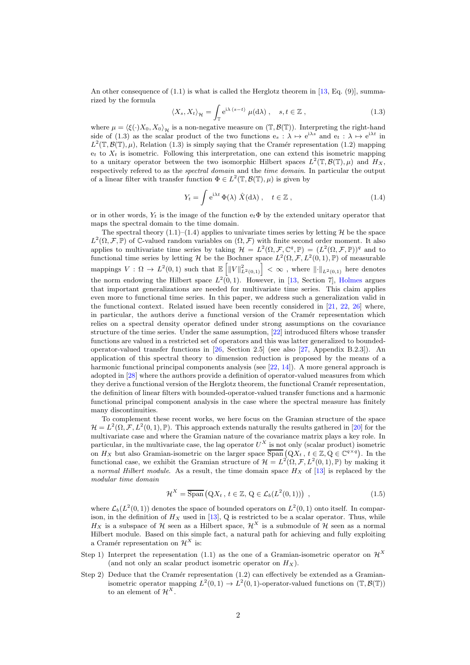An other consequence of  $(1.1)$  is what is called the Herglotz theorem in [13, Eq. (9)], summarized by the formula

$$
\langle X_s, X_t \rangle_{\mathcal{H}} = \int_{\mathbb{T}} e^{i\lambda (s-t)} \mu(d\lambda) , \quad s, t \in \mathbb{Z} ,
$$
 (1.3)

where  $\mu = \langle \xi(\cdot)X_0, X_0 \rangle_{\mathcal{H}}$  is a non-negative measure on  $(\mathbb{T}, \mathcal{B}(\mathbb{T}))$ . Interpreting the right-hand side of (1.3) as the scalar product of the two functions  $e_s : \lambda \mapsto e^{i\lambda s}$  and  $e_t : \lambda \mapsto e^{i\lambda t}$  in  $L^2(\mathbb{T}, \mathcal{B}(\mathbb{T}), \mu)$ , Relation (1.3) is simply saying that the Cramér representation (1.2) mapping  $e_t$  to  $X_t$  is isometric. Following this interpretation, one can extend this isometric mapping to a unitary operator between the two isomorphic Hilbert spaces  $L^2(\mathbb{T}, \mathcal{B}(\mathbb{T}), \mu)$  and  $H_X$ , respectively refered to as the *spectral domain* and the *time domain*. In particular the output of a linear filter with transfer function  $\Phi \in L^2(\mathbb{T}, \mathcal{B}(\mathbb{T}), \mu)$  is given by

$$
Y_t = \int e^{i\lambda t} \Phi(\lambda) \hat{X}(d\lambda), \quad t \in \mathbb{Z},
$$
\n(1.4)

or in other words,  $Y_t$  is the image of the function  $e_t\Phi$  by the extended unitary operator that maps the spectral domain to the time domain.

The spectral theory  $(1.1)$ – $(1.4)$  applies to univariate times series by letting H be the space  $L^2(\Omega, \mathcal{F}, \mathbb{P})$  of C-valued random variables on  $(\Omega, \mathcal{F})$  with finite second order moment. It also applies to multivariate time series by taking  $\mathcal{H} = L^2(\Omega, \mathcal{F}, \mathbb{C}^q, \mathbb{P}) = (L^2(\Omega, \mathcal{F}, \mathbb{P}))^q$  and to functional time series by letting H be the Bochner space  $L^2(\Omega, \mathcal{F}, L^2(0,1), \mathbb{P})$  of measurable mappings  $V: \Omega \to L^2(0,1)$  such that  $\mathbb{E} \left[ ||V||^2_{L^2(0,1)} \right] < \infty$  , where  $|| \cdot ||_{L^2(0,1)}$  here denotes the norm endowing the Hilbert space  $L^2(0,1)$ . However, in [13, Section 7], Holmes argues that important generalizations are needed for multivariate time series. This claim applies even more to functional time series. In this paper, we address such a generalization valid in the functional context. Related issued have been recently considered in [21, 22, 26] where, in particular, the authors derive a functional version of the Cramér representation which relies on a spectral density operator defined under strong assumptions on the covariance structure of the time series. Under the same assumption, [22] introduced filters whose transfer functions are valued in a restricted set of operators and this was latter generalized to boundedoperator-valued transfer functions in [26, Section 2.5] (see also [27, Appendix B.2.3]). An application of this spectral theory to dimension reduction is proposed by the means of a harmonic functional principal components analysis (see [22, 14]). A more general approach is adopted in [28] where the authors provide a definition of operator-valued measures from which they derive a functional version of the Herglotz theorem, the functional Cramér representation, the definition of linear filters with bounded-operator-valued transfer functions and a harmonic functional principal component analysis in the case where the spectral measure has finitely many discontinuities.

To complement these recent works, we here focus on the Gramian structure of the space  $\mathcal{H} = L^2(\Omega, \mathcal{F}, L^2(0, 1), \mathbb{P})$ . This approach extends naturally the results gathered in [20] for the multivariate case and where the Gramian nature of the covariance matrix plays a key role. In particular, in the multivariate case, the lag operator  $U^X$  is not only (scalar product) isometric on  $H_X$  but also Gramian-isometric on the larger space  $\overline{\text{Span}}(QX_t, t \in \mathbb{Z}, Q \in \mathbb{C}^{q \times q})$ . In the functional case, we exhibit the Gramian structure of  $\mathcal{H} = L^2(\Omega, \mathcal{F}, L^2(0, 1), \mathbb{P})$  by making it a *normal Hilbert module*. As a result, the time domain space  $H_X$  of [13] is replaced by the *modular time domain*

$$
\mathcal{H}^X = \overline{\text{Span}}\left(QX_t, t \in \mathbb{Z}, Q \in \mathcal{L}_b(L^2(0,1))\right) ,\qquad (1.5)
$$

where  $\mathcal{L}_b(L^2(0, 1))$  denotes the space of bounded operators on  $L^2(0, 1)$  onto itself. In comparison, in the definition of  $H_X$  used in [13], Q is restricted to be a scalar operator. Thus, while  $H_X$  is a subspace of H seen as a Hilbert space,  $\mathcal{H}^X$  is a submodule of H seen as a normal Hilbert module. Based on this simple fact, a natural path for achieving and fully exploiting a Cramér representation on  $\mathcal{H}^X$  is:

- Step 1) Interpret the representation (1.1) as the one of a Gramian-isometric operator on  $\mathcal{H}^X$ (and not only an scalar product isometric operator on  $H_X$ ).
- Step 2) Deduce that the Cramér representation  $(1.2)$  can effectively be extended as a Gramianisometric operator mapping  $L^2(0,1) \to L^2(0,1)$ -operator-valued functions on  $(\mathbb{T}, \mathcal{B}(\mathbb{T}))$ to an element of  $\mathcal{H}^{X}$ .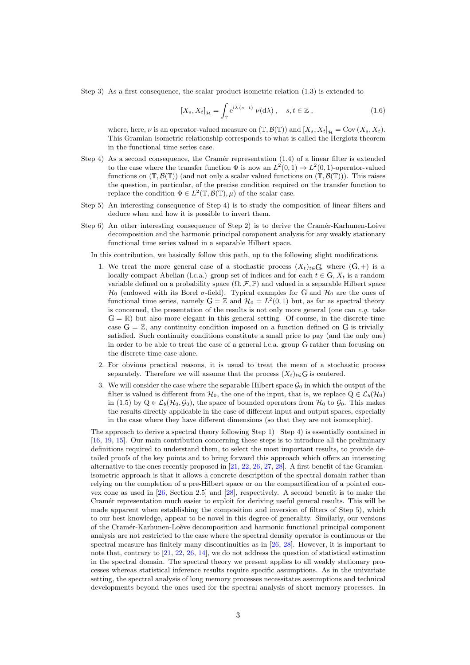Step 3) As a first consequence, the scalar product isometric relation (1.3) is extended to

$$
[X_s, X_t]_{\mathcal{H}} = \int_{\mathbb{T}} e^{i\lambda (s-t)} \nu(d\lambda) , \quad s, t \in \mathbb{Z} ,
$$
 (1.6)

where, here,  $\nu$  is an operator-valued measure on  $(\mathbb{T}, \mathcal{B}(\mathbb{T}))$  and  $[X_s, X_t]_{\mathcal{H}} = \text{Cov}(X_s, X_t)$ . This Gramian-isometric relationship corresponds to what is called the Herglotz theorem in the functional time series case.

- Step 4) As a second consequence, the Cramér representation  $(1.4)$  of a linear filter is extended to the case where the transfer function  $\Phi$  is now an  $L^2(0,1) \to L^2(0,1)$ -operator-valued functions on  $(\mathbb{T}, \mathcal{B}(\mathbb{T}))$  (and not only a scalar valued functions on  $(\mathbb{T}, \mathcal{B}(\mathbb{T}))$ ). This raises the question, in particular, of the precise condition required on the transfer function to replace the condition  $\Phi \in L^2(\mathbb{T}, \mathcal{B}(\mathbb{T}), \mu)$  of the scalar case.
- Step 5) An interesting consequence of Step 4) is to study the composition of linear filters and deduce when and how it is possible to invert them.
- Step 6) An other interesting consequence of Step 2) is to derive the Cramér-Karhunen-Loève decomposition and the harmonic principal component analysis for any weakly stationary functional time series valued in a separable Hilbert space.

In this contribution, we basically follow this path, up to the following slight modifications.

- 1. We treat the more general case of a stochastic process  $(X_t)_{t\in G}$ , where  $(G,+)$  is a locally compact Abelian (l.c.a.) group set of indices and for each  $t \in G$ ,  $X_t$  is a random variable defined on a probability space  $(\Omega, \mathcal{F}, \mathbb{P})$  and valued in a separable Hilbert space  $\mathcal{H}_0$  (endowed with its Borel  $\sigma$ -field). Typical examples for G and  $\mathcal{H}_0$  are the ones of functional time series, namely  $G = \mathbb{Z}$  and  $\mathcal{H}_0 = L^2(0,1)$  but, as far as spectral theory is concerned, the presentation of the results is not only more general (one can *e.g.* take  $G = \mathbb{R}$ ) but also more elegant in this general setting. Of course, in the discrete time case  $G = \mathbb{Z}$ , any continuity condition imposed on a function defined on G is trivially satisfied. Such continuity conditions constitute a small price to pay (and the only one) in order to be able to treat the case of a general l.c.a. group <sup>G</sup> rather than focusing on the discrete time case alone.
- 2. For obvious practical reasons, it is usual to treat the mean of a stochastic process separately. Therefore we will assume that the process  $(X_t)_{t \in G}$  is centered.
- 3. We will consider the case where the separable Hilbert space  $\mathcal{G}_0$  in which the output of the filter is valued is different from  $\mathcal{H}_0$ , the one of the input, that is, we replace  $Q \in \mathcal{L}_b(\mathcal{H}_0)$ in (1.5) by  $Q \in \mathcal{L}_b(\mathcal{H}_0, \mathcal{G}_0)$ , the space of bounded operators from  $\mathcal{H}_0$  to  $\mathcal{G}_0$ . This makes the results directly applicable in the case of different input and output spaces, especially in the case where they have different dimensions (so that they are not isomorphic).

The approach to derive a spectral theory following Step 1)– Step 4) is essentially contained in [16, 19, 15]. Our main contribution concerning these steps is to introduce all the preliminary definitions required to understand them, to select the most important results, to provide detailed proofs of the key points and to bring forward this approach which offers an interesting alternative to the ones recently proposed in [21, 22, 26, 27, 28]. A first benefit of the Gramianisometric approach is that it allows a concrete description of the spectral domain rather than relying on the completion of a pre-Hilbert space or on the compactification of a pointed convex cone as used in [26, Section 2.5] and [28], respectively. A second benefit is to make the Cramér representation much easier to exploit for deriving useful general results. This will be made apparent when establishing the composition and inversion of filters of Step 5), which to our best knowledge, appear to be novel in this degree of generality. Similarly, our versions of the Cram´er-Karhunen-Lo`eve decomposition and harmonic functional principal component analysis are not restricted to the case where the spectral density operator is continuous or the spectral measure has finitely many discontinuities as in [26, 28]. However, it is important to note that, contrary to [21, 22, 26, 14], we do not address the question of statistical estimation in the spectral domain. The spectral theory we present applies to all weakly stationary processes whereas statistical inference results require specific assumptions. As in the univariate setting, the spectral analysis of long memory processes necessitates assumptions and technical developments beyond the ones used for the spectral analysis of short memory processes. In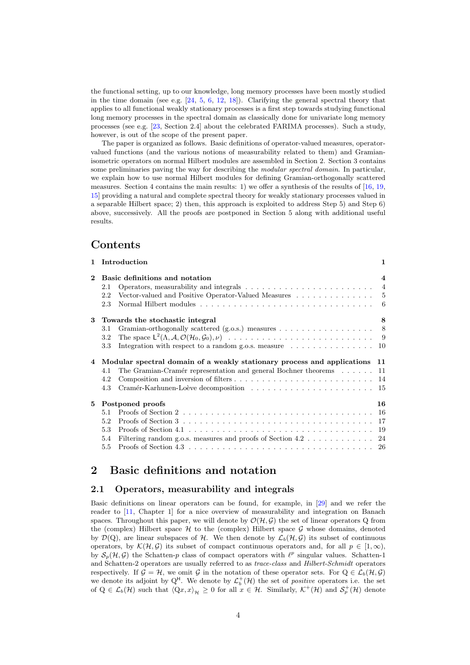the functional setting, up to our knowledge, long memory processes have been mostly studied in the time domain (see e.g.  $[24, 5, 6, 12, 18]$ ). Clarifying the general spectral theory that applies to all functional weakly stationary processes is a first step towards studying functional long memory processes in the spectral domain as classically done for univariate long memory processes (see e.g. [23, Section 2.4] about the celebrated FARIMA processes). Such a study, however, is out of the scope of the present paper.

The paper is organized as follows. Basic definitions of operator-valued measures, operatorvalued functions (and the various notions of measurability related to them) and Gramianisometric operators on normal Hilbert modules are assembled in Section 2. Section 3 contains some preliminaries paving the way for describing the *modular spectral domain*. In particular, we explain how to use normal Hilbert modules for defining Gramian-orthogonally scattered measures. Section 4 contains the main results: 1) we offer a synthesis of the results of [16, 19, 15] providing a natural and complete spectral theory for weakly stationary processes valued in a separable Hilbert space; 2) then, this approach is exploited to address Step 5) and Step 6) above, successively. All the proofs are postponed in Section 5 along with additional useful results.

# Contents

|          | 1 Introduction                                                                                                                                                                     | $\mathbf{1}$          |
|----------|------------------------------------------------------------------------------------------------------------------------------------------------------------------------------------|-----------------------|
| $\bf{2}$ | Basic definitions and notation<br>2.1<br>2.2<br>2.3                                                                                                                                | $\overline{4}$<br>- 6 |
| 3        | Towards the stochastic integral<br>3.1<br>3.2<br>3.3<br>Integration with respect to a random g.o.s. measure $\dots \dots \dots \dots \dots \dots \dots$                            | 8                     |
| 4        | Modular spectral domain of a weakly stationary process and applications 11<br>The Gramian-Cramér representation and general Bochner theorems $\dots \dots$ 11<br>4.1<br>4.2<br>4.3 |                       |
| 5        | Postponed proofs<br>5.1<br>5.2<br>5.3<br>Filtering random g.o.s. measures and proofs of Section 4.2 24<br>5.4<br>5.5                                                               | 16                    |
|          |                                                                                                                                                                                    |                       |

# 2 Basic definitions and notation

#### 2.1 Operators, measurability and integrals

Basic definitions on linear operators can be found, for example, in [29] and we refer the reader to [11, Chapter 1] for a nice overview of measurability and integration on Banach spaces. Throughout this paper, we will denote by  $\mathcal{O}(\mathcal{H}, \mathcal{G})$  the set of linear operators Q from the (complex) Hilbert space  $H$  to the (complex) Hilbert space  $G$  whose domains, denoted by  $\mathcal{D}(Q)$ , are linear subspaces of H. We then denote by  $\mathcal{L}_b(\mathcal{H}, \mathcal{G})$  its subset of continuous operators, by  $\mathcal{K}(\mathcal{H}, \mathcal{G})$  its subset of compact continuous operators and, for all  $p \in [1, \infty)$ , by  $S_p(\mathcal{H}, \mathcal{G})$  the Schatten-p class of compact operators with  $\ell^p$  singular values. Schatten-1 and Schatten-2 operators are usually referred to as *trace-class* and *Hilbert-Schmidt* operators respectively. If  $\mathcal{G} = \mathcal{H}$ , we omit  $\mathcal{G}$  in the notation of these operator sets. For  $Q \in \mathcal{L}_b(\mathcal{H}, \mathcal{G})$ we denote its adjoint by  $Q^H$ . We denote by  $\mathcal{L}_b^+(\mathcal{H})$  the set of *positive* operators i.e. the set of  $Q \in \mathcal{L}_b(\mathcal{H})$  such that  $\langle Qx, x \rangle_{\mathcal{H}} \geq 0$  for all  $x \in \mathcal{H}$ . Similarly,  $\mathcal{K}^+(\mathcal{H})$  and  $\mathcal{S}_p^+(\mathcal{H})$  denote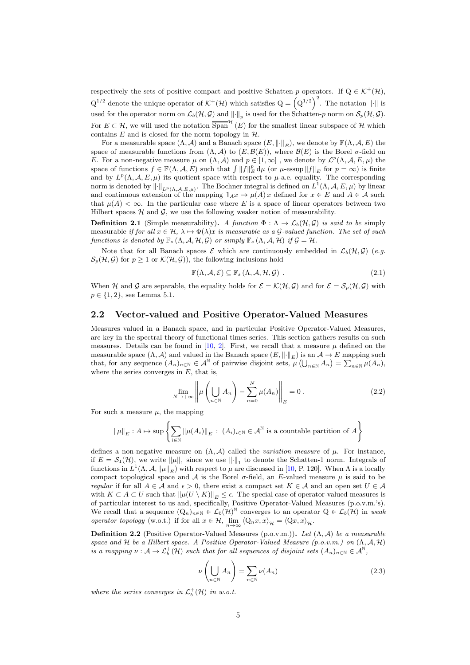respectively the sets of positive compact and positive Schatten-p operators. If  $Q \in \mathcal{K}^+(\mathcal{H})$ ,  $Q^{1/2}$  denote the unique operator of  $\mathcal{K}^+(\mathcal{H})$  which satisfies  $Q = (Q^{1/2})^2$ . The notation  $\|\cdot\|$  is used for the operator norm on  $\mathcal{L}_b(\mathcal{H}, \mathcal{G})$  and  $\lVert \cdot \rVert_p$  is used for the Schatten-p norm on  $\mathcal{S}_p(\mathcal{H}, \mathcal{G})$ . For  $E \subset \mathcal{H}$ , we will used the notation  $\overline{\text{Span}}^{\mathcal{H}}(E)$  for the smallest linear subspace of  $\mathcal{H}$  which contains  $E$  and is closed for the norm topology in  $H$ .

For a measurable space  $(\Lambda, \mathcal{A})$  and a Banach space  $(E, \|\cdot\|_E)$ , we denote by  $\mathbb{F}(\Lambda, \mathcal{A}, E)$  the space of measurable functions from  $(\Lambda, \mathcal{A})$  to  $(E, \mathcal{B}(E))$ , where  $\mathcal{B}(E)$  is the Borel  $\sigma$ -field on E. For a non-negative measure  $\mu$  on  $(\Lambda, \mathcal{A})$  and  $p \in [1, \infty]$ , we denote by  $\mathcal{L}^p(\Lambda, \mathcal{A}, E, \mu)$  the space of functions  $f \in \mathbb{F}(\Lambda, \mathcal{A}, E)$  such that  $\int ||f||_E^p d\mu$  (or  $\mu$ -essup  $||f||_E$  for  $p = \infty$ ) is finite and by  $L^p(\Lambda, \mathcal{A}, E, \mu)$  its quotient space with respect to  $\mu$ -a.e. equality. The corresponding norm is denoted by  $\|\cdot\|_{L^p(\Lambda,\mathcal{A},E,\mu)}$ . The Bochner integral is defined on  $L^1(\Lambda,\mathcal{A},E,\mu)$  by linear and continuous extension of the mapping  $1_{Ax} \to \mu(A)x$  defined for  $x \in E$  and  $A \in \mathcal{A}$  such that  $\mu(A) < \infty$ . In the particular case where E is a space of linear operators between two Hilbert spaces  $H$  and  $G$ , we use the following weaker notion of measurability.

**Definition 2.1** (Simple measurability). A function  $\Phi : \Lambda \to \mathcal{L}_b(\mathcal{H}, \mathcal{G})$  is said to be simply measurable *if for all*  $x \in \mathcal{H}$ ,  $\lambda \mapsto \Phi(\lambda)x$  *is measurable as a*  $\mathcal{G}\text{-valued function}$ . The set of such *functions is denoted by*  $\mathbb{F}_s (\Lambda, \mathcal{A}, \mathcal{H}, \mathcal{G})$  *or simply*  $\mathbb{F}_s (\Lambda, \mathcal{A}, \mathcal{H})$  *if*  $\mathcal{G} = \mathcal{H}$ *.* 

Note that for all Banach spaces  $\mathcal E$  which are continuously embedded in  $\mathcal L_b(\mathcal H, \mathcal G)$  (*e.g.*)  $\mathcal{S}_p(\mathcal{H}, \mathcal{G})$  for  $p \geq 1$  or  $\mathcal{K}(\mathcal{H}, \mathcal{G})$ , the following inclusions hold

$$
\mathbb{F}(\Lambda, \mathcal{A}, \mathcal{E}) \subseteq \mathbb{F}_s(\Lambda, \mathcal{A}, \mathcal{H}, \mathcal{G})
$$
 (2.1)

When H and G are separable, the equality holds for  $\mathcal{E} = \mathcal{K}(\mathcal{H}, \mathcal{G})$  and for  $\mathcal{E} = \mathcal{S}_p(\mathcal{H}, \mathcal{G})$  with  $p \in \{1, 2\}$ , see Lemma 5.1.

## 2.2 Vector-valued and Positive Operator-Valued Measures

Measures valued in a Banach space, and in particular Positive Operator-Valued Measures, are key in the spectral theory of functional times series. This section gathers results on such measures. Details can be found in [10, 2]. First, we recall that a measure  $\mu$  defined on the measurable space  $(\Lambda, \mathcal{A})$  and valued in the Banach space  $(E, \|\cdot\|_E)$  is an  $\mathcal{A} \to E$  mapping such that, for any sequence  $(A_n)_{n\in\mathbb{N}}\in\mathcal{A}^{\mathbb{N}}$  of pairwise disjoint sets,  $\mu\left(\bigcup_{n\in\mathbb{N}}A_n\right)=\sum_{n\in\mathbb{N}}\mu(A_n)$ , where the series converges in  $E$ , that is,

$$
\lim_{N \to +\infty} \left\| \mu\left(\bigcup_{n \in \mathbb{N}} A_n\right) - \sum_{n=0}^{N} \mu(A_n) \right\|_{E} = 0.
$$
\n(2.2)

For such a measure  $\mu$ , the mapping

$$
\|\mu\|_{E}: A \mapsto \sup \left\{ \sum_{i \in \mathbb{N}} \|\mu(A_i)\|_{E} \, : \, (A_i)_{i \in \mathbb{N}} \in \mathcal{A}^{\mathbb{N}} \text{ is a countable partition of } A \right\}
$$

defines a non-negative measure on  $(\Lambda, \mathcal{A})$  called the *variation measure* of  $\mu$ . For instance, if  $E = \mathcal{S}_1(\mathcal{H})$ , we write  $\|\mu\|_1$  since we use  $\|\cdot\|_1$  to denote the Schatten-1 norm. Integrals of functions in  $L^1(\Lambda, \mathcal{A}, \|\mu\|_E)$  with respect to  $\mu$  are discussed in [10, P. 120]. When  $\Lambda$  is a locally compact topological space and A is the Borel  $\sigma$ -field, an E-valued measure  $\mu$  is said to be *regular* if for all  $A \in \mathcal{A}$  and  $\epsilon > 0$ , there exist a compact set  $K \in \mathcal{A}$  and an open set  $U \in \mathcal{A}$ with  $K \subset A \subset U$  such that  $\|\mu(U \setminus K)\|_E \leq \epsilon$ . The special case of operator-valued measures is of particular interest to us and, specifically, Positive Operator-Valued Measures (p.o.v.m.'s). We recall that a sequence  $(Q_n)_{n\in\mathbb{N}}\in\mathcal{L}_b(\mathcal{H})^{\mathbb{N}}$  converges to an operator  $Q\in\mathcal{L}_b(\mathcal{H})$  in *weak operator topology* (w.o.t.) if for all  $x \in \mathcal{H}$ ,  $\lim_{n \to \infty} \langle Q_n x, x \rangle_{\mathcal{H}} = \langle Qx, x \rangle_{\mathcal{H}}$ .

Definition 2.2 (Positive Operator-Valued Measures (p.o.v.m.)). *Let* (Λ, A) *be a measurable space and* H *be a Hilbert space. A Positive Operator-Valued Measure (p.o.v.m.) on* (Λ, A, H) *is a mapping*  $\nu: \mathcal{A} \to \mathcal{L}_b^+(\mathcal{H})$  *such that for all sequences of disjoint sets*  $(A_n)_{n \in \mathbb{N}} \in \mathcal{A}^{\mathbb{N}},$ 

$$
\nu\left(\bigcup_{n\in\mathbb{N}}A_n\right) = \sum_{n\in\mathbb{N}}\nu(A_n) \tag{2.3}
$$

where the series converges in  $\mathcal{L}_b^+(\mathcal{H})$  in w.o.t.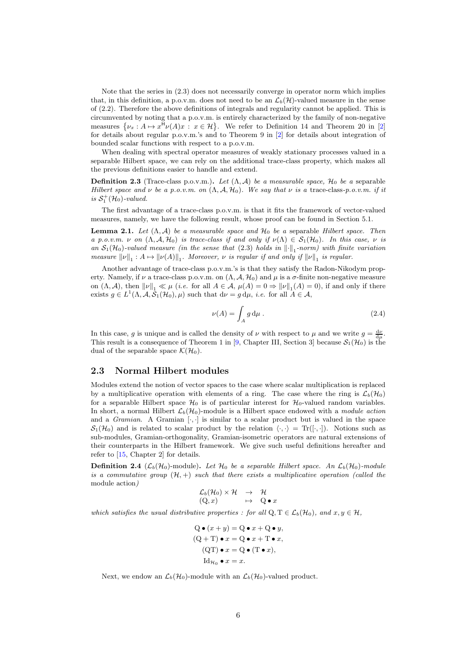Note that the series in (2.3) does not necessarily converge in operator norm which implies that, in this definition, a p.o.v.m. does not need to be an  $\mathcal{L}_b(\mathcal{H})$ -valued measure in the sense of (2.2). Therefore the above definitions of integrals and regularity cannot be applied. This is circumvented by noting that a p.o.v.m. is entirely characterized by the family of non-negative measures  $\{\nu_x : A \mapsto x^{\mathsf{H}} \nu(A)x : x \in \mathcal{H}\}\)$ . We refer to Definition 14 and Theorem 20 in [2] for details about regular p.o.v.m.'s and to Theorem 9 in [2] for details about integration of bounded scalar functions with respect to a p.o.v.m.

When dealing with spectral operator measures of weakly stationary processes valued in a separable Hilbert space, we can rely on the additional trace-class property, which makes all the previous definitions easier to handle and extend.

**Definition 2.3** (Trace-class p.o.v.m.). Let  $(\Lambda, \mathcal{A})$  be a measurable space,  $\mathcal{H}_0$  be a separable *Hilbert space and*  $\nu$  *be a p.o.v.m. on*  $(\Lambda, \mathcal{A}, \mathcal{H}_0)$ *. We say that*  $\nu$  *is a* trace-class-*p.o.v.m. if it* is  $S_1^+(\mathcal{H}_0)$ -valued.

The first advantage of a trace-class p.o.v.m. is that it fits the framework of vector-valued measures, namely, we have the following result, whose proof can be found in Section 5.1.

Lemma 2.1. *Let* (Λ, A) *be a measurable space and* H<sup>0</sup> *be a* separable *Hilbert space. Then a* p.o.v.m.  $\nu$  on  $(\Lambda, \mathcal{A}, \mathcal{H}_0)$  *is trace-class if and only if*  $\nu(\Lambda) \in \mathcal{S}_1(\mathcal{H}_0)$ *. In this case,*  $\nu$  *is an*  $S_1(\mathcal{H}_0)$ -valued measure (in the sense that (2.3) holds in  $\lVert \cdot \rVert_1$ -norm) with finite variation *measure*  $\|\nu\|_1: A \mapsto \|\nu(A)\|_1$ . Moreover,  $\nu$  *is regular if and only if*  $\|\nu\|_1$  *is regular.* 

Another advantage of trace-class p.o.v.m.'s is that they satisfy the Radon-Nikodym property. Namely, if  $\nu$  a trace-class p.o.v.m. on  $(\Lambda, \mathcal{A}, \mathcal{H}_0)$  and  $\mu$  is a  $\sigma$ -finite non-negative measure on  $(\Lambda, \mathcal{A})$ , then  $\|\nu\|_1 \ll \mu$  (*i.e.* for all  $A \in \mathcal{A}$ ,  $\mu(A) = 0 \Rightarrow \|\nu\|_1(A) = 0$ ), if and only if there exists  $g \in L^1(\Lambda, \mathcal{A}, \overline{\mathcal{S}}_1(\mathcal{H}_0), \mu)$  such that  $d\nu = g d\mu$ , *i.e.* for all  $A \in \mathcal{A}$ ,

$$
\nu(A) = \int_A g \, \mathrm{d}\mu \,. \tag{2.4}
$$

In this case, g is unique and is called the density of  $\nu$  with respect to  $\mu$  and we write  $g = \frac{d\nu}{d\mu}$ . This result is a consequence of Theorem 1 in [9, Chapter III, Section 3] because  $S_1(\mathcal{H}_0)$  is the dual of the separable space  $\mathcal{K}(\mathcal{H}_0)$ .

#### 2.3 Normal Hilbert modules

Modules extend the notion of vector spaces to the case where scalar multiplication is replaced by a multiplicative operation with elements of a ring. The case where the ring is  $\mathcal{L}_b(\mathcal{H}_0)$ for a separable Hilbert space  $\mathcal{H}_0$  is of particular interest for  $\mathcal{H}_0$ -valued random variables. In short, a normal Hilbert  $\mathcal{L}_b(\mathcal{H}_0)$ -module is a Hilbert space endowed with a *module action* and a *Gramian*. A Gramian  $[\cdot, \cdot]$  is similar to a scalar product but is valued in the space  $S_1(\mathcal{H}_0)$  and is related to scalar product by the relation  $\langle \cdot, \cdot \rangle = \text{Tr}([\cdot, \cdot])$ . Notions such as sub-modules, Gramian-orthogonality, Gramian-isometric operators are natural extensions of their counterparts in the Hilbert framework. We give such useful definitions hereafter and refer to [15, Chapter 2] for details.

**Definition 2.4** ( $\mathcal{L}_b(\mathcal{H}_0)$ -module). Let  $\mathcal{H}_0$  be a separable Hilbert space. An  $\mathcal{L}_b(\mathcal{H}_0)$ -module *is a commutative group*  $(H, +)$  *such that there exists a multiplicative operation (called the* module action*)*

$$
\begin{array}{rcl}\mathcal{L}_{b}(\mathcal{H}_{0})\times \mathcal{H} & \rightarrow & \mathcal{H} \\
(Q,x) & \mapsto & Q\bullet x\n\end{array}
$$

*which satisfies the usual distributive properties : for all*  $Q, T \in \mathcal{L}_b(\mathcal{H}_0)$ *, and*  $x, y \in \mathcal{H}$ *,* 

$$
Q \bullet (x + y) = Q \bullet x + Q \bullet y,
$$
  
(Q+T) \bullet x = Q \bullet x + T \bullet x,  
(QT) \bullet x = Q \bullet (T \bullet x),  
Id<sub>H<sub>0</sub></sub>  $\bullet$  x = x.

Next, we endow an  $\mathcal{L}_b(\mathcal{H}_0)$ -module with an  $\mathcal{L}_b(\mathcal{H}_0)$ -valued product.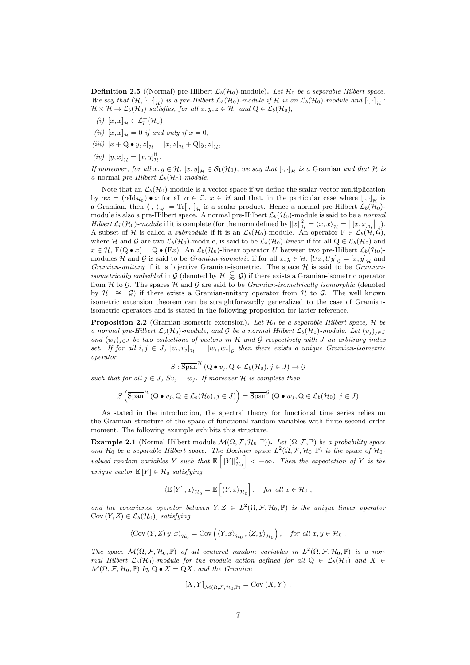**Definition 2.5** ((Normal) pre-Hilbert  $\mathcal{L}_b(\mathcal{H}_0)$ -module). Let  $\mathcal{H}_0$  be a separable Hilbert space. *We say that*  $(H, [\cdot, \cdot]_H)$  *is a pre-Hilbert*  $\mathcal{L}_b(H_0)$ *-module if*  $H$  *is an*  $\mathcal{L}_b(H_0)$ *-module and*  $[\cdot, \cdot]_H$ :  $\mathcal{H} \times \mathcal{H} \to \mathcal{L}_b(\mathcal{H}_0)$  *satisfies, for all*  $x, y, z \in \mathcal{H}$ *, and*  $Q \in \mathcal{L}_b(\mathcal{H}_0)$ *,* 

- $(i)$   $[x, x]_{\mathcal{H}} \in \mathcal{L}_b^+(\mathcal{H}_0)$ *,*
- *(ii)*  $[x, x]_{\mathcal{H}} = 0$  *if and only if*  $x = 0$ *,*
- *(iii)*  $[x + Q \bullet y, z]_{\mathcal{H}} = [x, z]_{\mathcal{H}} + Q[y, z]_{\mathcal{H}}$ ,
- $(iv)$   $[y, x]_{\mathcal{H}} = [x, y]_{\mathcal{H}}^{\mathsf{H}}.$

*If moreover, for all*  $x, y \in H$ *,*  $[x, y]_H \in S_1(\mathcal{H}_0)$ *, we say that*  $[\cdot, \cdot]_H$  *is a* Gramian *and that*  $H$  *is a* normal *pre-Hilbert*  $\mathcal{L}_b(\mathcal{H}_0)$ *-module.* 

Note that an  $\mathcal{L}_b(\mathcal{H}_0)$ -module is a vector space if we define the scalar-vector multiplication by  $\alpha x = (\alpha \mathrm{Id}_{\mathcal{H}_0}) \bullet x$  for all  $\alpha \in \mathbb{C}$ ,  $x \in \mathcal{H}$  and that, in the particular case where  $[\cdot, \cdot]_{\mathcal{H}}$  is a Gramian, then  $\langle \cdot, \cdot \rangle_{\mathcal{H}} := \text{Tr}[\cdot, \cdot]_{\mathcal{H}}$  is a scalar product. Hence a normal pre-Hilbert  $\mathcal{L}_b(\mathcal{H}_0)$ module is also a pre-Hilbert space. A normal pre-Hilbert  $\mathcal{L}_{b}(\mathcal{H}_{0})$ -module is said to be a *normal*  $Hilbert \mathcal{L}_b(\mathcal{H}_0)$ -module if it is complete (for the norm defined by  $||x||^2_{\mathcal{H}} = \langle x, x \rangle_{\mathcal{H}} = ||[x, x]_{\mathcal{H}}||_1$ ). A subset of H is called a *submodule* if it is an  $\mathcal{L}_b(\mathcal{H}_0)$ -module. An operator  $F \in \mathcal{L}_b(\mathcal{H}, \mathcal{G})$ , where H and G are two  $\mathcal{L}_b(\mathcal{H}_0)$ -module, is said to be  $\mathcal{L}_b(\mathcal{H}_0)$ -linear if for all  $Q \in \mathcal{L}_b(\mathcal{H}_0)$  and  $x \in \mathcal{H}$ ,  $F(Q \bullet x) = Q \bullet (Fx)$ . An  $\mathcal{L}_b(\mathcal{H}_0)$ -linear operator U between two pre-Hilbert  $\mathcal{L}_b(\mathcal{H}_0)$ modules H and G is said to be *Gramian-isometric* if for all  $x, y \in H$ ,  $[Ux, Uy]_G = [x, y]_Y$  and *Gramian-unitary* if it is bijective Gramian-isometric. The space H is said to be *Gramianisometrically embedded* in G (denoted by  $\mathcal{H} \subseteq \mathcal{G}$ ) if there exists a Gramian-isometric operator from H to G. The spaces H and G are said to be *Gramian-isometrically isomorphic* (denoted by  $\mathcal{H} \cong \mathcal{G}$ ) if there exists a Gramian-unitary operator from  $\mathcal{H}$  to  $\mathcal{G}$ . The well known isometric extension theorem can be straightforwardly generalized to the case of Gramianisometric operators and is stated in the following proposition for latter reference.

Proposition 2.2 (Gramian-isometric extension). Let  $H_0$  be a separable Hilbert space,  $H$  be *a normal pre-Hilbert*  $\mathcal{L}_b(\mathcal{H}_0)$ *-module, and* G *be a normal Hilbert*  $\mathcal{L}_b(\mathcal{H}_0)$ *-module. Let*  $(v_j)_{j\in J}$ *and*  $(w_j)_{j \in J}$  *be two collections of vectors in* H *and* G *respectively with* J *an arbitrary index set.* If for all  $i, j \in J$ ,  $[v_i, v_j]_{\mathcal{H}} = [w_i, w_j]_{\mathcal{G}}$  then there exists a unique Gramian-isometric *operator*

$$
S: \overline{\mathrm{Span}}^{\mathcal{H}} (\mathrm{Q} \bullet v_j, \mathrm{Q} \in \mathcal{L}_b(\mathcal{H}_0), j \in J) \to \mathcal{G}
$$

*such that for all*  $j \in J$ ,  $Sv_j = w_j$ . If moreover  $H$  *is complete then* 

$$
S\left(\overline{\text{Span}}^{\mathcal{H}}(Q\bullet v_j, Q\in \mathcal{L}_b(\mathcal{H}_0), j\in J)\right) = \overline{\text{Span}}^{\mathcal{G}}(Q\bullet w_j, Q\in \mathcal{L}_b(\mathcal{H}_0), j\in J)
$$

As stated in the introduction, the spectral theory for functional time series relies on the Gramian structure of the space of functional random variables with finite second order moment. The following example exhibits this structure.

**Example 2.1** (Normal Hilbert module  $\mathcal{M}(\Omega, \mathcal{F}, \mathcal{H}_0, \mathbb{P})$ ). Let  $(\Omega, \mathcal{F}, \mathbb{P})$  be a probability space and  $\mathcal{H}_0$  be a separable Hilbert space. The Bochner space  $L^2(\Omega, \mathcal{F}, \mathcal{H}_0, \mathbb{P})$  is the space of  $\mathcal{H}_0$ *valued random variables* Y *such that*  $\mathbb{E} \left[ \left\| Y \right\|_{\mathcal{H}_0}^2 \right] < +\infty$ *. Then the expectation of* Y *is the unique vector*  $\mathbb{E}[Y] \in \mathcal{H}_0$  *satisfying* 

$$
\langle \mathbb{E}[Y], x \rangle_{\mathcal{H}_0} = \mathbb{E}\left[ \langle Y, x \rangle_{\mathcal{H}_0} \right], \text{ for all } x \in \mathcal{H}_0,
$$

and the covariance operator between  $Y, Z \in L^2(\Omega, \mathcal{F}, \mathcal{H}_0, \mathbb{P})$  is the unique linear operator  $Cov(Y, Z) \in \mathcal{L}_b(\mathcal{H}_0)$ *, satisfying* 

$$
\left\langle \mathrm{Cov}\left(Y,Z\right)y,x\right\rangle _{\mathcal{H}_{0}}=\mathrm{Cov}\left(\left\langle Y,x\right\rangle _{\mathcal{H}_{0}},\left\langle Z,y\right\rangle _{\mathcal{H}_{0}}\right),\quad \textit{for all}\;x,y\in\mathcal{H}_{0}~.
$$

*The space*  $\mathcal{M}(\Omega, \mathcal{F}, \mathcal{H}_0, \mathbb{P})$  *of all centered random variables in*  $L^2(\Omega, \mathcal{F}, \mathcal{H}_0, \mathbb{P})$  *is a normal Hilbert*  $\mathcal{L}_b(\mathcal{H}_0)$ -module for the module action defined for all  $Q \in \mathcal{L}_b(\mathcal{H}_0)$  and  $X \in$  $\mathcal{M}(\Omega, \mathcal{F}, \mathcal{H}_0, \mathbb{P})$  *by*  $Q \bullet X = QX$ *, and the Gramian* 

$$
[X,Y]_{\mathcal{M}(\Omega,\mathcal{F},\mathcal{H}_0,\mathbb{P})} = \text{Cov}(X,Y) .
$$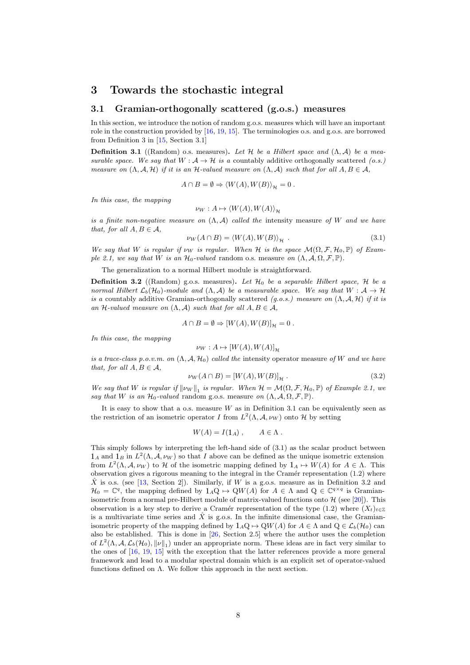# 3 Towards the stochastic integral

### 3.1 Gramian-orthogonally scattered (g.o.s.) measures

In this section, we introduce the notion of random g.o.s. measures which will have an important role in the construction provided by [16, 19, 15]. The terminologies o.s. and g.o.s. are borrowed from Definition 3 in [15, Section 3.1]

**Definition 3.1** ((Random) o.s. measures). Let H be a Hilbert space and  $(\Lambda, \mathcal{A})$  be a mea*surable space. We say that*  $W: \mathcal{A} \to \mathcal{H}$  *is a* countably additive orthogonally scattered (*o.s.*) *measure on*  $(\Lambda, \mathcal{A}, \mathcal{H})$  *if it is an*  $\mathcal{H}$ *-valued measure on*  $(\Lambda, \mathcal{A})$  *such that for all*  $A, B \in \mathcal{A}$ *,* 

$$
A \cap B = \emptyset \Rightarrow \langle W(A), W(B) \rangle_{\mathcal{H}} = 0.
$$

*In this case, the mapping*

$$
\nu_W: A \mapsto \langle W(A), W(A) \rangle_{\mathcal{H}}
$$

*is a finite non-negative measure on* (Λ, A) *called the* intensity measure *of* W *and we have that, for all*  $A, B \in \mathcal{A}$ *,* 

$$
\nu_W(A \cap B) = \langle W(A), W(B) \rangle_{\mathcal{H}} . \tag{3.1}
$$

*We say that W is regular if*  $\nu_W$  *is regular. When*  $\mathcal{H}$  *is the space*  $\mathcal{M}(\Omega, \mathcal{F}, \mathcal{H}_0, \mathbb{P})$  *of Example 2.1, we say that* W *is an*  $\mathcal{H}_0$ *-valued* random o.s. measure *on*  $(\Lambda, \mathcal{A}, \Omega, \mathcal{F}, \mathbb{P})$ *.* 

The generalization to a normal Hilbert module is straightforward.

**Definition 3.2** ((Random) g.o.s. measures). Let  $\mathcal{H}_0$  be a separable Hilbert space,  $\mathcal{H}$  be a *normal Hilbert*  $\mathcal{L}_b(\mathcal{H}_0)$ *-module and*  $(\Lambda, \mathcal{A})$  *be a measurable space. We say that*  $W : \mathcal{A} \to \mathcal{H}$ *is a* countably additive Gramian-orthogonally scattered *(g.o.s.) measure on* (Λ, A, H) *if it is an* H-valued measure on  $(\Lambda, \mathcal{A})$  *such that for all*  $A, B \in \mathcal{A}$ *,* 

$$
A \cap B = \emptyset \Rightarrow [W(A), W(B)]_{\mathcal{H}} = 0.
$$

*In this case, the mapping*

$$
\nu_W: A \mapsto [W(A), W(A)]_{\mathcal{H}}
$$

*is a trace-class p.o.v.m. on* (Λ, A, H0) *called the* intensity operator measure *of* W *and we have that, for all*  $A, B \in \mathcal{A}$ *,* 

$$
\nu_W(A \cap B) = [W(A), W(B)]_{\mathcal{H}}.
$$
\n(3.2)

*We say that W is regular if*  $\|\nu_W\|_1$  *is regular. When*  $\mathcal{H} = \mathcal{M}(\Omega, \mathcal{F}, \mathcal{H}_0, \mathbb{P})$  *of Example 2.1, we say that* W *is an*  $\mathcal{H}_0$ *-valued* random g.o.s. measure *on*  $(\Lambda, \mathcal{A}, \Omega, \mathcal{F}, \mathbb{P})$ *.* 

It is easy to show that a o.s. measure  $W$  as in Definition 3.1 can be equivalently seen as the restriction of an isometric operator I from  $L^2(\Lambda, \mathcal{A}, \nu_W)$  onto H by setting

$$
W(A) = I(1_A) , \qquad A \in \Lambda .
$$

This simply follows by interpreting the left-hand side of (3.1) as the scalar product between  $1_A$  and  $1_B$  in  $L^2(\Lambda, \mathcal{A}, \nu_W)$  so that I above can be defined as the unique isometric extension from  $L^2(\Lambda, \mathcal{A}, \nu_W)$  to H of the isometric mapping defined by  $1_A \mapsto W(A)$  for  $A \in \Lambda$ . This observation gives a rigorous meaning to the integral in the Cramér representation  $(1.2)$  where X is o.s. (see [13, Section 2]). Similarly, if W is a g.o.s. measure as in Definition 3.2 and  $\mathcal{H}_0 = \mathbb{C}^q$ , the mapping defined by  $1_A \mathbb{Q} \mapsto \mathbb{Q}W(A)$  for  $A \in \Lambda$  and  $\mathbb{Q} \in \mathbb{C}^{q \times q}$  is Gramianisometric from a normal pre-Hilbert module of matrix-valued functions onto  $\mathcal{H}$  (see [20]). This observation is a key step to derive a Cramér representation of the type (1.2) where  $(X_t)_{t\in\mathbb{Z}}$ is a multivariate time series and  $\hat{X}$  is g.o.s. In the infinite dimensional case, the Gramianisometric property of the mapping defined by  $1_A\text{Q} \mapsto \text{Q}W(A)$  for  $A \in \Lambda$  and  $\text{Q} \in \mathcal{L}_b(\mathcal{H}_0)$  can also be established. This is done in [26, Section 2.5] where the author uses the completion of  $L^2(\Lambda, \mathcal{A}, \mathcal{L}_b(\mathcal{H}_0), \|\nu\|_1)$  under an appropriate norm. These ideas are in fact very similar to the ones of [16, 19, 15] with the exception that the latter references provide a more general framework and lead to a modular spectral domain which is an explicit set of operator-valued functions defined on  $\Lambda$ . We follow this approach in the next section.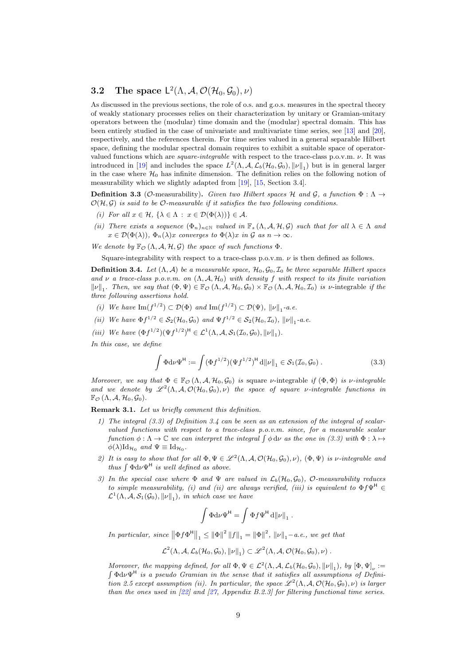# **3.2** The space  $\mathsf{L}^2(\Lambda, \mathcal{A}, \mathcal{O}(\mathcal{H}_0, \mathcal{G}_0), \nu)$

As discussed in the previous sections, the role of o.s. and g.o.s. measures in the spectral theory of weakly stationary processes relies on their characterization by unitary or Gramian-unitary operators between the (modular) time domain and the (modular) spectral domain. This has been entirely studied in the case of univariate and multivariate time series, see [13] and [20], respectively, and the references therein. For time series valued in a general separable Hilbert space, defining the modular spectral domain requires to exhibit a suitable space of operatorvalued functions which are *square-integrable* with respect to the trace-class p.o.v.m. ν. It was introduced in [19] and includes the space  $L^2(\Lambda, \mathcal{A}, \mathcal{L}_b(\mathcal{H}_0, \mathcal{G}_0), ||\nu||_1)$  but is in general larger in the case where  $\mathcal{H}_0$  has infinite dimension. The definition relies on the following notion of measurability which we slightly adapted from [19], [15, Section 3.4].

**Definition 3.3** (*O*-measurability). *Given two Hilbert spaces* H *and* G, a function  $\Phi : \Lambda \rightarrow$  $\mathcal{O}(\mathcal{H}, \mathcal{G})$  *is said to be*  $\mathcal{O}\text{-}measurable if it satisfies the two following conditions.$ 

- *(i)* For all  $x \in \mathcal{H}$ ,  $\{\lambda \in \Lambda : x \in \mathcal{D}(\Phi(\lambda))\} \in \mathcal{A}$ .
- *(ii)* There exists a sequence  $(\Phi_n)_{n\in\mathbb{N}}$  valued in  $\mathbb{F}_s(\Lambda, \mathcal{A}, \mathcal{H}, \mathcal{G})$  such that for all  $\lambda \in \Lambda$  and  $x \in \mathcal{D}(\Phi(\lambda)), \Phi_n(\lambda)x$  *converges to*  $\Phi(\lambda)x$  *in*  $\mathcal G$  *as*  $n \to \infty$ *.*

*We denote by*  $\mathbb{F}_{\mathcal{O}}(\Lambda, \mathcal{A}, \mathcal{H}, \mathcal{G})$  *the space of such functions*  $\Phi$ *.* 

Square-integrability with respect to a trace-class p.o.v.m.  $\nu$  is then defined as follows.

**Definition 3.4.** Let  $(\Lambda, \mathcal{A})$  be a measurable space,  $\mathcal{H}_0, \mathcal{G}_0, \mathcal{I}_0$  be three separable Hilbert spaces *and*  $\nu$  *a trace-class p.o.v.m. on*  $(\Lambda, \mathcal{A}, \mathcal{H}_0)$  *with density* f *with respect to its finite variation*  $\|\nu\|_1$ . Then, we say that  $(\Phi, \Psi) \in \mathbb{F}_{\mathcal{O}}(\Lambda, \mathcal{A}, \mathcal{H}_0, \mathcal{G}_0) \times \mathbb{F}_{\mathcal{O}}(\Lambda, \mathcal{A}, \mathcal{H}_0, \mathcal{I}_0)$  *is*  $\nu$ -integrable *if the three following assertions hold.*

- *(i)* We have  $\text{Im}(f^{1/2}) \subset \mathcal{D}(\Phi)$  and  $\text{Im}(f^{1/2}) \subset \mathcal{D}(\Psi)$ ,  $\|\nu\|_1$ -a.e.
- *(ii)* We have  $\Phi f^{1/2} \in S_2(\mathcal{H}_0, \mathcal{G}_0)$  and  $\Psi f^{1/2} \in S_2(\mathcal{H}_0, \mathcal{I}_0)$ ,  $\|\nu\|_1$ -a.e.
- (*iii*) We have  $(\Phi f^{1/2})(\Psi f^{1/2})^{\mathsf{H}} \in \mathcal{L}^1(\Lambda, \mathcal{A}, \mathcal{S}_1(\mathcal{I}_0, \mathcal{G}_0), ||\nu||_1)$ .

*In this case, we define*

$$
\int \Phi d\nu \Psi^{\mathsf{H}} := \int (\Phi f^{1/2}) (\Psi f^{1/2})^{\mathsf{H}} d\|\nu\|_1 \in \mathcal{S}_1(\mathcal{I}_0, \mathcal{G}_0) . \tag{3.3}
$$

*Moreover, we say that*  $\Phi \in \mathbb{F}_{\mathcal{O}}(\Lambda, \mathcal{A}, \mathcal{H}_0, \mathcal{G}_0)$  *is* square *v*-integrable *if*  $(\Phi, \Phi)$  *is v-integrable* and we denote by  $\mathscr{L}^2(\Lambda, \mathcal{A}, \mathcal{O}(\mathcal{H}_0, \mathcal{G}_0), \nu)$  the space of square *v*-integrable functions in  $\mathbb{F}_{\mathcal{O}}(\Lambda, \mathcal{A}, \mathcal{H}_0, \mathcal{G}_0).$ 

Remark 3.1. *Let us briefly comment this definition.*

- *1) The integral (3.3) of Definition 3.4 can be seen as an extension of the integral of scalarvalued functions with respect to a trace-class p.o.v.m. since, for a measurable scalar*  $function \phi: \Lambda \to \mathbb{C}$  *we can interpret the integral*  $\int \phi \, d\nu$  *as the one in (3.3) with*  $\Phi: \lambda \mapsto$  $\phi(\lambda) \mathrm{Id}_{\mathcal{H}_0}$  and  $\Psi \equiv \mathrm{Id}_{\mathcal{H}_0}$ .
- 2) It is easy to show that for all  $\Phi, \Psi \in \mathscr{L}^2(\Lambda, \mathcal{A}, \mathcal{O}(\mathcal{H}_0, \mathcal{G}_0), \nu)$ ,  $(\Phi, \Psi)$  is *v*-integrable and *thus*  $\int \Phi d\nu \Psi^{\text{H}}$  *is well defined as above.*
- *3) In the special case where*  $\Phi$  *and*  $\Psi$  *are valued in*  $\mathcal{L}_b(\mathcal{H}_0, \mathcal{G}_0)$ *, O-measurability reduces to simple measurability, (i) and (ii) are always verified, (iii) is equivalent to*  $\Phi f \Psi^{\text{H}}$   $\in$  $\mathcal{L}^1(\Lambda, \mathcal{A}, \mathcal{S}_1(\mathcal{G}_0), \|\nu\|_1)$ , in which case we have

$$
\int \Phi \mathrm{d}\nu \Psi^{\mathsf{H}} = \int \Phi f \Psi^{\mathsf{H}} \,\mathrm{d} {\lVert \nu \rVert}_{1} \; .
$$

*In particular, since*  $||\Phi f \Phi^H||_1 \le ||\Phi||^2 ||f||_1 = ||\Phi||^2$ ,  $||\nu||_1 - a.e., we get that$ 

$$
\mathcal{L}^2(\Lambda,\mathcal{A},\mathcal{L}_b(\mathcal{H}_0,\mathcal{G}_0),\|\nu\|_1)\subset \mathscr{L}^2(\Lambda,\mathcal{A},\mathcal{O}(\mathcal{H}_0,\mathcal{G}_0),\nu)\ .
$$

*Moreover, the mapping defined, for all*  $\Phi, \Psi \in \mathcal{L}^2(\Lambda, \mathcal{A}, \mathcal{L}_b(\mathcal{H}_0, \mathcal{G}_0), ||\nu||_1)$ , by  $[\Phi, \Psi]_{\nu}$ Moreover, the mapping defined, for all  $\Phi, \Psi \in \mathcal{L}^2(\Lambda, \mathcal{A}, \mathcal{L}_b(\mathcal{H}_0, \mathcal{G}_0), ||\nu||_1)$ , by  $[\Phi, \Psi]_{\nu} :=$ <br>  $\int \Phi d\nu \Psi^H$  is a pseudo Gramian in the sense that it satisfies all assumptions of Defini*tion 2.5 except assumption (ii). In particular, the space*  $\mathscr{L}^2(\Lambda, \mathcal{A}, \mathcal{O}(\mathcal{H}_0, \mathcal{G}_0), \nu)$  *is larger than the ones used in [22] and [27, Appendix B.2.3] for filtering functional time series.*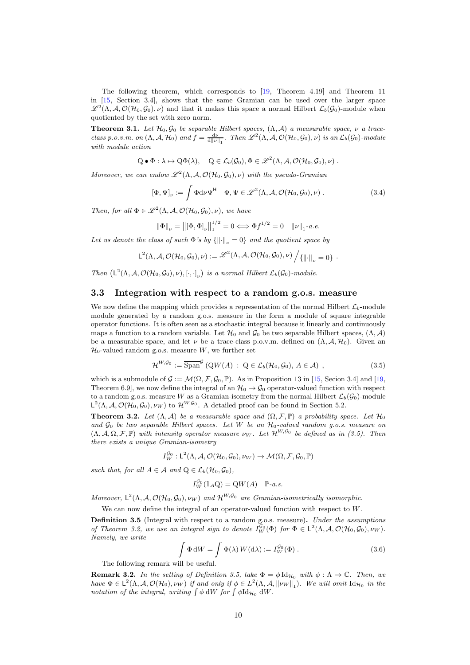The following theorem, which corresponds to [19, Theorem 4.19] and Theorem 11 in [15, Section 3.4], shows that the same Gramian can be used over the larger space  $\mathscr{L}^2(\Lambda,\mathcal{A},\mathcal{O}(\mathcal{H}_0,\mathcal{G}_0),\nu)$  and that it makes this space a normal Hilbert  $\mathcal{L}_b(\mathcal{G}_0)$ -module when quotiented by the set with zero norm.

**Theorem 3.1.** Let  $\mathcal{H}_0, \mathcal{G}_0$  be separable Hilbert spaces,  $(\Lambda, \mathcal{A})$  a measurable space,  $\nu$  a trace*class p.o.v.m. on*  $(\Lambda, \mathcal{A}, \mathcal{H}_0)$  *and*  $f = \frac{d\nu}{d||\nu||_1}$ . Then  $\mathscr{L}^2(\Lambda, \mathcal{A}, \mathcal{O}(\mathcal{H}_0, \mathcal{G}_0), \nu)$  *is an*  $\mathcal{L}_b(\mathcal{G}_0)$ *-module with module action*

$$
Q \bullet \Phi : \lambda \mapsto Q\Phi(\lambda), \quad Q \in \mathcal{L}_b(\mathcal{G}_0), \Phi \in \mathscr{L}^2(\Lambda, \mathcal{A}, \mathcal{O}(\mathcal{H}_0, \mathcal{G}_0), \nu) .
$$

*Moreover, we can endow*  $\mathscr{L}^2(\Lambda, \mathcal{A}, \mathcal{O}(\mathcal{H}_0, \mathcal{G}_0), \nu)$  *with the pseudo-Gramian* 

$$
\left[\Phi,\Psi\right]_{\nu} := \int \Phi \mathrm{d}\nu \Psi^{\mathsf{H}} \quad \Phi, \Psi \in \mathscr{L}^2(\Lambda, \mathcal{A}, \mathcal{O}(\mathcal{H}_0, \mathcal{G}_0), \nu) \,. \tag{3.4}
$$

*Then, for all*  $\Phi \in \mathscr{L}^2(\Lambda, \mathcal{A}, \mathcal{O}(\mathcal{H}_0, \mathcal{G}_0), \nu)$ *, we have* 

$$
\|\Phi\|_{\nu} = \|[\Phi, \Phi]_{\nu}\|_{1}^{1/2} = 0 \Longleftrightarrow \Phi f^{1/2} = 0 \quad \|\nu\|_{1} \text{-} a.e.
$$

Let us denote the class of such  $\Phi$ 's by  $\{\|\cdot\|_{\nu} = 0\}$  and the quotient space by

$$
L^2(\Lambda, \mathcal{A}, \mathcal{O}(\mathcal{H}_0, \mathcal{G}_0), \nu) := \mathscr{L}^2(\Lambda, \mathcal{A}, \mathcal{O}(\mathcal{H}_0, \mathcal{G}_0), \nu) / \{ || \cdot ||_\nu = 0 \}.
$$

*Then*  $(L^2(\Lambda, \mathcal{A}, \mathcal{O}(\mathcal{H}_0, \mathcal{G}_0), \nu), [\cdot, \cdot]_{\nu})$  is a normal Hilbert  $\mathcal{L}_b(\mathcal{G}_0)$ -module.

## 3.3 Integration with respect to a random g.o.s. measure

We now define the mapping which provides a representation of the normal Hilbert  $\mathcal{L}_b$ -module module generated by a random g.o.s. measure in the form a module of square integrable operator functions. It is often seen as a stochastic integral because it linearly and continuously maps a function to a random variable. Let  $\mathcal{H}_0$  and  $\mathcal{G}_0$  be two separable Hilbert spaces,  $(\Lambda, \mathcal{A})$ be a measurable space, and let  $\nu$  be a trace-class p.o.v.m. defined on  $(\Lambda, \mathcal{A}, \mathcal{H}_0)$ . Given an  $\mathcal{H}_0$ -valued random g.o.s. measure W, we further set

$$
\mathcal{H}^{W, \mathcal{G}_0} := \overline{\text{Span}}^{\mathcal{G}}\left(\text{Q}W(A) : \text{ Q} \in \mathcal{L}_b(\mathcal{H}_0, \mathcal{G}_0), A \in \mathcal{A}\right) ,\tag{3.5}
$$

which is a submodule of  $\mathcal{G} := \mathcal{M}(\Omega, \mathcal{F}, \mathcal{G}_0, \mathbb{P})$ . As in Proposition 13 in [15, Secion 3.4] and [19, Theorem 6.9], we now define the integral of an  $\mathcal{H}_0 \to \mathcal{G}_0$  operator-valued function with respect to a random g.o.s. measure W as a Gramian-isometry from the normal Hilbert  $\mathcal{L}_b(\mathcal{G}_0)$ -module  $\mathsf{L}^2(\Lambda, \mathcal{A}, \mathcal{O}(\mathcal{H}_0, \mathcal{G}_0), \nu_W)$  to  $\mathcal{H}^{W, \mathcal{G}_0}$ . A detailed proof can be found in Section 5.2.

**Theorem 3.2.** Let  $(\Lambda, \mathcal{A})$  be a measurable space and  $(\Omega, \mathcal{F}, \mathbb{P})$  a probability space. Let  $\mathcal{H}_0$ *and* G<sup>0</sup> *be two separable Hilbert spaces. Let* W *be an* H0*-valued random g.o.s. measure on*  $(\Lambda, \mathcal{A}, \Omega, \mathcal{F}, \mathbb{P})$  *with intensity operator measure*  $\nu_W$ *. Let*  $\mathcal{H}^{W, \mathcal{G}_0}$  *be defined as in (3.5). Then there exists a unique Gramian-isometry*

$$
I_W^{\mathcal{G}_0}: L^2(\Lambda, \mathcal{A}, \mathcal{O}(\mathcal{H}_0, \mathcal{G}_0), \nu_W) \to \mathcal{M}(\Omega, \mathcal{F}, \mathcal{G}_0, \mathbb{P})
$$

*such that, for all*  $A \in \mathcal{A}$  *and*  $Q \in \mathcal{L}_b(\mathcal{H}_0, \mathcal{G}_0)$ *,* 

$$
I_W^{\mathcal{G}_0}(1_A \mathbf{Q}) = \mathbf{Q}W(A) \quad \mathbb{P}\text{-}a.s.
$$

Moreover,  $\mathsf{L}^2(\Lambda, \mathcal{A}, \mathcal{O}(\mathcal{H}_0, \mathcal{G}_0), \nu_W)$  and  $\mathcal{H}^{W, \mathcal{G}_0}$  are Gramian-isometrically isomorphic.

We can now define the integral of an operator-valued function with respect to W.

Definition 3.5 (Integral with respect to a random g.o.s. measure). *Under the assumptions of Theorem 3.2, we use an integral sign to denote*  $I_W^{\mathcal{G}_0}(\Phi)$  *for*  $\Phi \in L^2(\Lambda, \mathcal{A}, \mathcal{O}(\mathcal{H}_0, \mathcal{G}_0), \nu_W)$ *. Namely, we write*

$$
\int \Phi \, \mathrm{d}W = \int \Phi(\lambda) \, W(\mathrm{d}\lambda) := I_W^{\mathcal{G}_0}(\Phi) \,. \tag{3.6}
$$

The following remark will be useful.

**Remark 3.2.** *In the setting of Definition 3.5, take*  $\Phi = \phi \mathrm{Id}_{\mathcal{H}_0}$  *with*  $\phi : \Lambda \to \mathbb{C}$ *. Then, we have*  $\Phi \in L^2(\Lambda, \mathcal{A}, \mathcal{O}(\mathcal{H}_0), \nu_W)$  *if and only if*  $\phi \in L^2(\Lambda, \mathcal{A}, ||\nu_W||_1)$ *. We will omit*  $\mathrm{Id}_{\mathcal{H}_0}$  *in the notation of the integral, writing*  $\int \phi \, dW$  *for*  $\int \phi \, dV$ .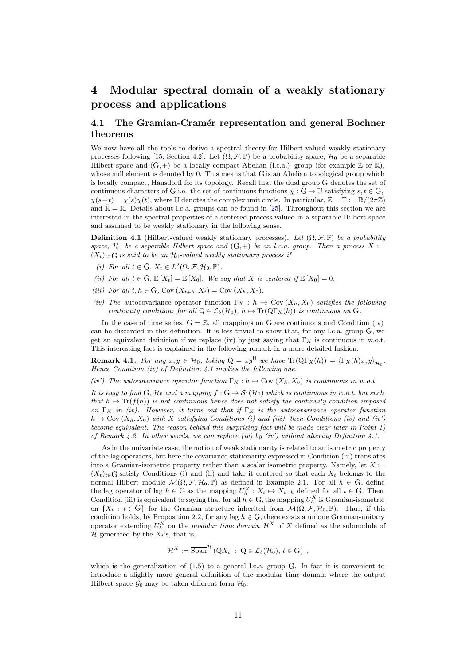# 4 Modular spectral domain of a weakly stationary process and applications

## 4.1 The Gramian-Cramér representation and general Bochner theorems

We now have all the tools to derive a spectral theory for Hilbert-valued weakly stationary processes following [15, Section 4.2]. Let  $(\Omega, \mathcal{F}, \mathbb{P})$  be a probability space,  $\mathcal{H}_0$  be a separable Hilbert space and  $(G,+)$  be a locally compact Abelian (l.c.a.) group (for example Z or R), whose null element is denoted by 0. This means that G is an Abelian topological group which is locally compact, Hausdorff for its topology. Recall that the dual group  $\hat{G}$  denotes the set of continuous characters of G i.e. the set of continuous functions  $\chi : G \to \mathbb{U}$  satisfying  $s, t \in G$ ,  $\chi(s+t) = \chi(s)\chi(t)$ , where U denotes the complex unit circle. In particular,  $\hat{\mathbb{Z}} = \mathbb{T} := \mathbb{R}/(2\pi\mathbb{Z})$ and  $\mathbb{R} = \mathbb{R}$ . Details about l.c.a. groups can be found in [25]. Throughout this section we are interested in the spectral properties of a centered process valued in a separable Hilbert space and assumed to be weakly stationary in the following sense.

**Definition 4.1** (Hilbert-valued weakly stationary processes). Let  $(\Omega, \mathcal{F}, \mathbb{P})$  be a probability *space,*  $H_0$  *be a separable Hilbert space and*  $(G, +)$  *be an l.c.a. group. Then a process* X :=  $(X_t)_{t \in G}$  *is said to be an*  $\mathcal{H}_0$ -valued weakly stationary process if

- (*i*) For all  $t \in G$ ,  $X_t \in L^2(\Omega, \mathcal{F}, \mathcal{H}_0, \mathbb{P})$ .
- *(ii)* For all  $t \in G$ ,  $\mathbb{E}[X_t] = \mathbb{E}[X_0]$ . We say that X is centered if  $\mathbb{E}[X_0] = 0$ .
- *(iii)* For all  $t, h \in G$ , Cov  $(X_{t+h}, X_t) = \text{Cov}(X_h, X_0)$ .
- *(iv)* The autocovariance operator function  $\Gamma_X : h \mapsto \text{Cov}(X_h, X_0)$  *satisfies the following continuity condition: for all*  $Q \in \mathcal{L}_b(\mathcal{H}_0)$ *,*  $h \mapsto \text{Tr}(Q\Gamma_X(h))$  *is continuous on*  $G$ *.*

In the case of time series,  $G = \mathbb{Z}$ , all mappings on G are continuous and Condition (iv) can be discarded in this definition. It is less trivial to show that, for any l.c.a. group <sup>G</sup>, we get an equivalent definition if we replace (iv) by just saying that  $\Gamma_X$  is continuous in w.o.t. This interesting fact is explained in the following remark in a more detailed fashion.

**Remark 4.1.** *For any*  $x, y \in H_0$ , taking  $Q = xy^H$  *we have*  $\text{Tr}(Q\Gamma_X(h)) = \langle \Gamma_X(h)x, y \rangle_{H_0}$ . *Hence Condition (iv) of Definition 4.1 implies the following one.*

*(iv')* The autocovariance operator function  $\Gamma_X : h \mapsto \text{Cov}(X_h, X_0)$  is continuous in w.o.t.

*It is easy to find*  $G$ *,*  $H_0$  *and a mapping*  $f : G \to S_1(\mathcal{H}_0)$  *which is continuous in w.o.t. but such that*  $h \mapsto \text{Tr}(f(h))$  *is not continuous hence does not satisfy the continuity condition imposed on*  $\Gamma_X$  *in (iv).* However, it turns out that if  $\Gamma_X$  *is the autocovariance operator function*  $h \mapsto \text{Cov}(X_h, X_0)$  *with* X *satisfying Conditions (i) and (iii), then Conditions (iv) and (iv'*) *become equivalent. The reason behind this surprising fact will be made clear later in Point 1) of Remark 4.2. In other words, we can replace (iv) by (iv') without altering Definition 4.1.*

As in the univariate case, the notion of weak stationarity is related to an isometric property of the lag operators, but here the covariance stationarity expressed in Condition (iii) translates into a Gramian-isometric property rather than a scalar isometric property. Namely, let  $X :=$  $(X_t)_{t\in\mathbb{G}}$  satisfy Conditions (i) and (ii) and take it centered so that each  $X_t$  belongs to the normal Hilbert module  $\mathcal{M}(\Omega, \mathcal{F}, \mathcal{H}_0, \mathbb{P})$  as defined in Example 2.1. For all  $h \in G$ , define the lag operator of lag  $h \in G$  as the mapping  $U_h^X : X_t \mapsto X_{t+h}$  defined for all  $t \in G$ . Then Condition (iii) is equivalent to saying that for all  $h \in G$ , the mapping  $U_h^X$  is Gramian-isometric on  $\{X_t : t \in G\}$  for the Gramian structure inherited from  $\mathcal{M}(\Omega, \mathcal{F}, \mathcal{H}_0, \mathbb{P})$ . Thus, if this condition holds, by Proposition 2.2, for any lag  $h \in G$ , there exists a unique Gramian-unitary operator extending  $U_h^X$  on the *modular time domain*  $\mathcal{H}^X$  of X defined as the submodule of  $\mathcal{H}$  generated by the  $X_t$ 's, that is,

$$
\mathcal{H}^X := \overline{\text{Span}}^{\mathcal{H}}(QX_t : Q \in \mathcal{L}_b(\mathcal{H}_0), t \in G) ,
$$

which is the generalization of  $(1.5)$  to a general l.c.a. group G. In fact it is convenient to introduce a slightly more general definition of the modular time domain where the output Hilbert space  $\mathcal{G}_0$  may be taken different form  $\mathcal{H}_0$ .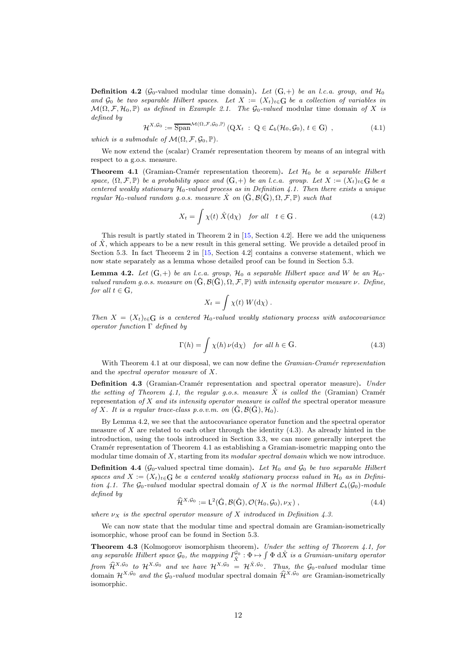**Definition 4.2** ( $\mathcal{G}_0$ -valued modular time domain). Let  $(G,+)$  be an l.c.a. group, and  $\mathcal{H}_0$ and  $\mathcal{G}_0$  *be two separable Hilbert spaces. Let*  $X := (X_t)_{t \in G}$  *be a collection of variables in*  $\mathcal{M}(\Omega, \mathcal{F}, \mathcal{H}_0, \mathbb{P})$  *as defined in Example 2.1. The*  $\mathcal{G}_0$ -valued modular time domain of X is *defined by*

$$
\mathcal{H}^{X, \mathcal{G}_0} := \overline{\text{Span}}^{\mathcal{M}(\Omega, \mathcal{F}, \mathcal{G}_0, \mathbb{P})} (QX_t : Q \in \mathcal{L}_b(\mathcal{H}_0, \mathcal{G}_0), t \in G), \qquad (4.1)
$$

*which is a submodule of*  $\mathcal{M}(\Omega, \mathcal{F}, \mathcal{G}_0, \mathbb{P})$ *.* 

We now extend the (scalar) Cramér representation theorem by means of an integral with respect to a g.o.s. measure.

**Theorem 4.1** (Gramian-Cramér representation theorem). Let  $\mathcal{H}_0$  be a separable Hilbert *space,*  $(\Omega, \mathcal{F}, \mathbb{P})$  *be a probability space and*  $(G,+)$  *be an l.c.a. group. Let*  $X := (X_t)_{t \in G}$  *be a centered weakly stationary*  $H_0$ -valued process as in Definition 4.1. Then there exists a unique *regular*  $\mathcal{H}_0$ -valued random g.o.s. measure  $\hat{X}$  on  $(\hat{G}, \mathcal{B}(\hat{G}), \Omega, \mathcal{F}, \mathbb{P})$  *such that* 

$$
X_t = \int \chi(t) \hat{X}(d\chi) \quad \text{for all} \quad t \in G. \tag{4.2}
$$

This result is partly stated in Theorem 2 in [15, Section 4.2]. Here we add the uniqueness of  $\hat{X}$ , which appears to be a new result in this general setting. We provide a detailed proof in Section 5.3. In fact Theorem 2 in [15, Section 4.2] contains a converse statement, which we now state separately as a lemma whose detailed proof can be found in Section 5.3.

**Lemma 4.2.** Let  $(G,+)$  be an *l.c.a. group,*  $H_0$  *a separable Hilbert space and* W *be an*  $H_0$ *valued random g.o.s. measure on*  $(\hat{G}, \mathcal{B}(\hat{G}), \Omega, \mathcal{F}, \mathbb{P})$  *with intensity operator measure*  $\nu$ *. Define, for all*  $t \in G$ *.* 

$$
X_t = \int \chi(t) W(\mathrm{d}\chi).
$$

*Then*  $X = (X_t)_{t \in G}$  *is a centered*  $\mathcal{H}_0$ *-valued weakly stationary process with autocovariance operator function* Γ *defined by*

$$
\Gamma(h) = \int \chi(h) \nu(\mathrm{d}\chi) \quad \text{for all } h \in \mathcal{G}.
$$
 (4.3)

With Theorem 4.1 at our disposal, we can now define the *Gramian-Cramér representation* and the *spectral operator measure* of X.

Definition 4.3 (Gramian-Cramér representation and spectral operator measure). *Under the setting of Theorem 4.1, the regular g.o.s. measure*  $\hat{X}$  *is called the* (Gramian) Cramér representation *of* X *and its intensity operator measure is called the* spectral operator measure *of* X. It is a regular trace-class p.o.v.m. on  $(\hat{G}, \mathcal{B}(\hat{G}), \mathcal{H}_0)$ .

By Lemma 4.2, we see that the autocovariance operator function and the spectral operator measure of X are related to each other through the identity  $(4.3)$ . As already hinted in the introduction, using the tools introduced in Section 3.3, we can more generally interpret the Cramér representation of Theorem 4.1 as establishing a Gramian-isometric mapping onto the modular time domain of X, starting from its *modular spectral domain* which we now introduce.

**Definition 4.4** ( $\mathcal{G}_0$ -valued spectral time domain). Let  $\mathcal{H}_0$  and  $\mathcal{G}_0$  be two separable Hilbert *spaces and*  $X := (X_t)_{t \in G}$  *be a centered weakly stationary process valued in*  $\mathcal{H}_0$  *as in Definition 4.1. The*  $\mathcal{G}_0$ -valued modular spectral domain of X is the normal Hilbert  $\mathcal{L}_b(\mathcal{G}_0)$ -module *defined by*

$$
\widehat{\mathcal{H}}^{X,\mathcal{G}_0} := \mathsf{L}^2(\widehat{\mathcal{G}}, \mathcal{B}(\widehat{\mathcal{G}}), \mathcal{O}(\mathcal{H}_0, \mathcal{G}_0), \nu_X) ,\tag{4.4}
$$

*where*  $\nu_X$  *is the spectral operator measure of* X *introduced in Definition 4.3.* 

We can now state that the modular time and spectral domain are Gramian-isometrically isomorphic, whose proof can be found in Section 5.3.

Theorem 4.3 (Kolmogorov isomorphism theorem). *Under the setting of Theorem 4.1, for* any separable Hilbert space  $\mathcal{G}_0$ , the mapping  $I_{\hat{X}}^{\mathcal{G}_0}$ :  $\Phi \mapsto \int \Phi \, d\hat{X}$  is a Gramian-unitary operator *from*  $\hat{\mathcal{H}}^{X,\mathcal{G}_0}$  *to*  $\mathcal{H}^{X,\mathcal{G}_0}$  *and we have*  $\mathcal{H}^{X,\mathcal{G}_0} = \mathcal{H}^{\hat{X},\mathcal{G}_0}$ *. Thus, the*  $\mathcal{G}_0$ *-valued* modular time domain  $\mathcal{H}^{X,\mathcal{G}_0}$  *and the*  $\mathcal{G}_0$ *-valued* modular spectral domain  $\widehat{\mathcal{H}}^{X,\mathcal{G}_0}$  *are* Gramian-isometrically isomorphic*.*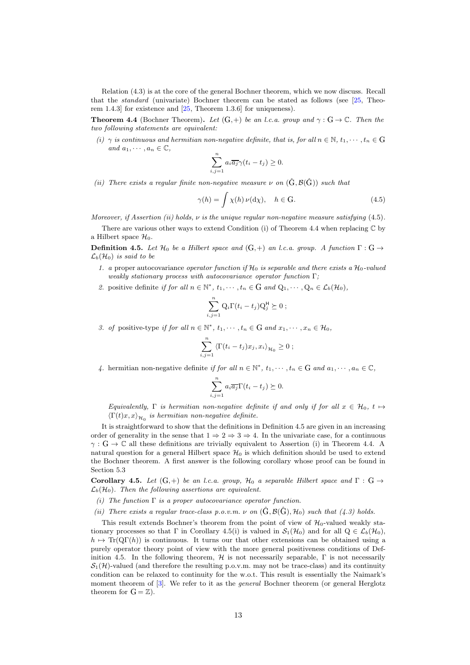Relation (4.3) is at the core of the general Bochner theorem, which we now discuss. Recall that the *standard* (univariate) Bochner theorem can be stated as follows (see [25, Theorem 1.4.3] for existence and [25, Theorem 1.3.6] for uniqueness).

**Theorem 4.4** (Bochner Theorem). Let  $(G,+)$  be an l.c.a. group and  $\gamma : G \to \mathbb{C}$ . Then the *two following statements are equivalent:*

*(i)*  $\gamma$  *is continuous and hermitian non-negative definite, that is, for all*  $n \in \mathbb{N}$ ,  $t_1, \dots, t_n \in \mathbb{G}$ *and*  $a_1, \cdots, a_n \in \mathbb{C}$ ,

$$
\sum_{i,j=1}^n a_i \overline{a_j} \gamma(t_i - t_j) \ge 0.
$$

*(ii)* There exists a regular finite non-negative measure  $\nu$  *on*  $(\hat{G}, \mathcal{B}(\hat{G}))$  *such that* 

$$
\gamma(h) = \int \chi(h) \,\nu(\mathrm{d}\chi), \quad h \in \mathcal{G}.\tag{4.5}
$$

*Moreover, if Assertion (ii) holds,* ν *is the unique regular non-negative measure satisfying* (4.5)*.*

There are various other ways to extend Condition (i) of Theorem 4.4 when replacing  $\mathbb C$  by a Hilbert space  $\mathcal{H}_0$ .

**Definition 4.5.** *Let*  $\mathcal{H}_0$  *be a Hilbert space and*  $(G,+)$  *an l.c.a. group.* A function  $\Gamma: G \rightarrow$  $\mathcal{L}_b(\mathcal{H}_0)$  *is said to be* 

- *1. a* proper autocovariance *operator function* if  $\mathcal{H}_0$  *is separable and there exists a*  $\mathcal{H}_0$ -valued *weakly stationary process with autocovariance operator function* Γ*;*
- 2. positive definite *if for all*  $n \in \mathbb{N}^*$ ,  $t_1, \dots, t_n \in G$  *and*  $Q_1, \dots, Q_n \in L_b(\mathcal{H}_0)$ *,*

$$
\sum_{i,j=1}^n Q_i \Gamma(t_i - t_j) Q_j^{\mathsf{H}} \succeq 0 ;
$$

*3. of* positive-type *if for all*  $n \in \mathbb{N}^*$ ,  $t_1, \dots, t_n \in G$  *and*  $x_1, \dots, x_n \in H_0$ ,

$$
\sum_{i,j=1}^n \langle \Gamma(t_i - t_j) x_j, x_i \rangle_{\mathcal{H}_0} \geq 0 ;
$$

4. hermitian non-negative definite *if for all*  $n \in \mathbb{N}^*$ ,  $t_1, \dots, t_n \in G$  *and*  $a_1, \dots, a_n \in \mathbb{C}$ ,

$$
\sum_{i,j=1}^{n} a_i \overline{a_j} \Gamma(t_i - t_j) \succeq 0.
$$

*Equivalently,*  $\Gamma$  *is hermitian non-negative definite if and only if for all*  $x \in \mathcal{H}_0$ ,  $t \mapsto$  $\langle \Gamma(t)x, x \rangle_{\mathcal{H}_0}$  is hermitian non-negative definite.

It is straightforward to show that the definitions in Definition 4.5 are given in an increasing order of generality in the sense that  $1 \Rightarrow 2 \Rightarrow 3 \Rightarrow 4$ . In the univariate case, for a continuous  $\gamma: G \to \mathbb{C}$  all these definitions are trivially equivalent to Assertion (i) in Theorem 4.4. A natural question for a general Hilbert space  $\mathcal{H}_0$  is which definition should be used to extend the Bochner theorem. A first answer is the following corollary whose proof can be found in Section 5.3

Corollary 4.5. Let  $(G,+)$  be an l.c.a. group,  $\mathcal{H}_0$  a separable Hilbert space and  $\Gamma: G \rightarrow$  $\mathcal{L}_b(\mathcal{H}_0)$ *. Then the following assertions are equivalent.* 

- *(i) The function* Γ *is a proper autocovariance operator function.*
- *(ii) There exists a regular trace-class p.o.v.m.*  $\nu$  *on*  $(\tilde{G}, \mathcal{B}(\tilde{G}), \mathcal{H}_0)$  *such that (4.3) holds.*

This result extends Bochner's theorem from the point of view of  $\mathcal{H}_0$ -valued weakly stationary processes so that Γ in Corollary 4.5(i) is valued in  $\mathcal{S}_1(\mathcal{H}_0)$  and for all  $Q \in \mathcal{L}_b(\mathcal{H}_0)$ ,  $h \mapsto \text{Tr}(\text{Q}\Gamma(h))$  is continuous. It turns our that other extensions can be obtained using a purely operator theory point of view with the more general positiveness conditions of Definition 4.5. In the following theorem,  $H$  is not necessarily separable,  $\Gamma$  is not necessarily  $S_1(\mathcal{H})$ -valued (and therefore the resulting p.o.v.m. may not be trace-class) and its continuity condition can be relaxed to continuity for the w.o.t. This result is essentially the Naimark's moment theorem of [3]. We refer to it as the *general* Bochner theorem (or general Herglotz theorem for  $G = \mathbb{Z}$ ).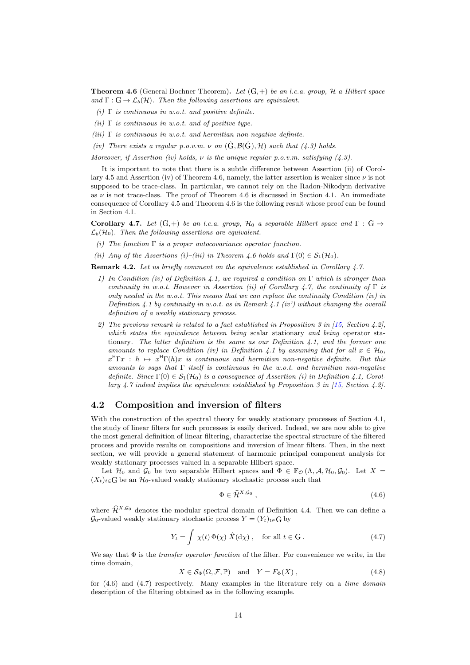Theorem 4.6 (General Bochner Theorem). *Let* (G,+) *be an l.c.a. group,* H *a Hilbert space* and  $\Gamma: G \to \mathcal{L}_b(\mathcal{H})$ *. Then the following assertions are equivalent.* 

- *(i)* Γ *is continuous in w.o.t. and positive definite.*
- *(ii)* Γ *is continuous in w.o.t. and of positive type.*
- *(iii)* Γ *is continuous in w.o.t. and hermitian non-negative definite.*
- *(iv)* There exists a regular p.o.v.m.  $\nu$  on  $(\hat{G}, \mathcal{B}(\hat{G}), \mathcal{H})$  such that (4.3) holds.

*Moreover, if Assertion (iv) holds,* ν *is the unique regular p.o.v.m. satisfying (4.3).*

It is important to note that there is a subtle difference between Assertion (ii) of Corollary 4.5 and Assertion (iv) of Theorem 4.6, namely, the latter assertion is weaker since  $\nu$  is not supposed to be trace-class. In particular, we cannot rely on the Radon-Nikodym derivative as  $\nu$  is not trace-class. The proof of Theorem 4.6 is discussed in Section 4.1. An immediate consequence of Corollary 4.5 and Theorem 4.6 is the following result whose proof can be found in Section 4.1.

Corollary 4.7. Let  $(G,+)$  be an l.c.a. group,  $\mathcal{H}_0$  a separable Hilbert space and  $\Gamma: G \rightarrow$  $\mathcal{L}_b(\mathcal{H}_0)$ *. Then the following assertions are equivalent.* 

- *(i) The function* Γ *is a proper autocovariance operator function.*
- *(ii)* Any of the Assertions (i)–(iii) in Theorem 4.6 holds and  $\Gamma(0) \in \mathcal{S}_1(\mathcal{H}_0)$ .

Remark 4.2. *Let us briefly comment on the equivalence established in Corollary 4.7.*

- *1) In Condition (iv) of Definition 4.1, we required a condition on* Γ *which is stronger than continuity in w.o.t. However in Assertion (ii) of Corollary 4.7, the continuity of*  $\Gamma$  *is only needed in the w.o.t. This means that we can replace the continuity Condition (iv) in Definition 4.1 by continuity in w.o.t. as in Remark 4.1 (iv') without changing the overall definition of a weakly stationary process.*
- *2) The previous remark is related to a fact established in Proposition 3 in [15, Section 4.2], which states the equivalence between being* scalar stationary *and being* operator stationary*. The latter definition is the same as our Definition 4.1, and the former one amounts to replace Condition (iv) in Definition 4.1 by assuming that for all*  $x \in \mathcal{H}_0$ ,  $x^{\text{H}}\Gamma x : h \mapsto x^{\text{H}}\Gamma(h)x$  is continuous and hermitian non-negative definite. But this *amounts to says that* Γ *itself is continuous in the w.o.t. and hermitian non-negative* definite. Since  $\Gamma(0) \in S_1(\mathcal{H}_0)$  is a consequence of Assertion (i) in Definition 4.1, Corol*lary 4.7 indeed implies the equivalence established by Proposition 3 in [15, Section 4.2].*

### 4.2 Composition and inversion of filters

With the construction of the spectral theory for weakly stationary processes of Section 4.1, the study of linear filters for such processes is easily derived. Indeed, we are now able to give the most general definition of linear filtering, characterize the spectral structure of the filtered process and provide results on compositions and inversion of linear filters. Then, in the next section, we will provide a general statement of harmonic principal component analysis for weakly stationary processes valued in a separable Hilbert space.

Let  $\mathcal{H}_0$  and  $\mathcal{G}_0$  be two separable Hilbert spaces and  $\Phi \in \mathbb{F}_{\mathcal{O}}(\Lambda, \mathcal{A}, \mathcal{H}_0, \mathcal{G}_0)$ . Let  $X =$  $(X_t)_{t\in\mathbb{G}}$  be an  $\mathcal{H}_0$ -valued weakly stationary stochastic process such that

$$
\Phi \in \widehat{\mathcal{H}}^{X, \mathcal{G}_0} \,, \tag{4.6}
$$

where  $\hat{\mathcal{H}}^{X,G_0}$  denotes the modular spectral domain of Definition 4.4. Then we can define a  $\mathcal{G}_0$ -valued weakly stationary stochastic process  $Y = (Y_t)_{t \in G}$  by

$$
Y_t = \int \chi(t) \, \Phi(\chi) \, \hat{X}(\mathrm{d}\chi) \,, \quad \text{for all } t \in \mathcal{G} \,.
$$
 (4.7)

We say that Φ is the *transfer operator function* of the filter. For convenience we write, in the time domain,

$$
X \in \mathcal{S}_{\Phi}(\Omega, \mathcal{F}, \mathbb{P}) \quad \text{and} \quad Y = F_{\Phi}(X) \tag{4.8}
$$

for (4.6) and (4.7) respectively. Many examples in the literature rely on a *time domain* description of the filtering obtained as in the following example.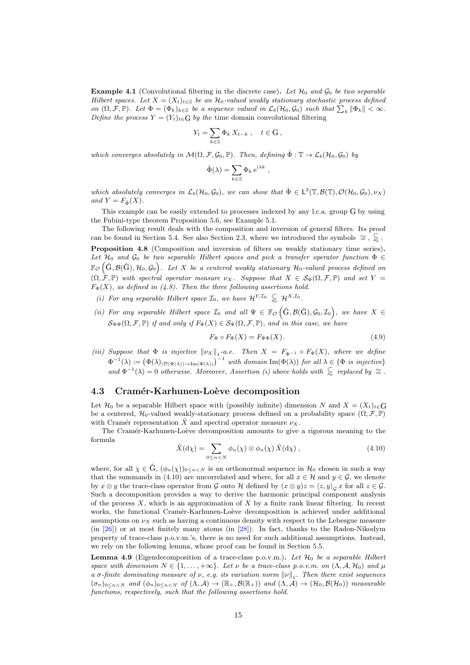**Example 4.1** (Convolutional filtering in the discrete case). Let  $\mathcal{H}_0$  and  $\mathcal{G}_0$  be two separable *Hilbert spaces. Let*  $X = (X_t)_{t \in \mathbb{Z}}$  *be an*  $\mathcal{H}_0$ *-valued weakly stationary stochastic process defined on*  $(\Omega, \mathcal{F}, \mathbb{P})$ *. Let*  $\Phi = (\Phi_k)_{k \in \mathbb{Z}}$  *be a sequence valued in*  $\mathcal{L}_b(\mathcal{H}_0, \mathcal{G}_0)$  *such that*  $\sum_k \|\Phi_k\| < \infty$ *. Define the process*  $Y = (Y_t)_{t \in G}$  *by the* time domain convolutional filtering

$$
Y_t = \sum_{k \in \mathbb{Z}} \Phi_k X_{t-k} , \quad t \in \mathcal{G} ,
$$

*which converges absolutely in*  $M(\Omega, \mathcal{F}, \mathcal{G}_0, \mathbb{P})$ *. Then, defining*  $\hat{\Phi}: \mathbb{T} \to \mathcal{L}_b(\mathcal{H}_0, \mathcal{G}_0)$  *by* 

$$
\hat{\Phi}(\lambda) = \sum_{k \in \mathbb{Z}} \Phi_k e^{i\lambda k} ,
$$

which absolutely converges in  $\mathcal{L}_b(\mathcal{H}_0, \mathcal{G}_0)$ , we can show that  $\hat{\Phi} \in L^2(\mathbb{T}, \mathcal{B}(\mathbb{T}), \mathcal{O}(\mathcal{H}_0, \mathcal{G}_0), \nu_X)$ *and*  $Y = F_{\hat{\Phi}}(X)$ *.* 

This example can be easily extended to processes indexed by any l.c.a. group <sup>G</sup> by using the Fubini-type theorem Proposition 5.6, see Example 5.1.

The following result deals with the composition and inversion of general filters. Its proof can be found in Section 5.4. See also Section 2.3, where we introduced the symbols  $\cong$ ,  $\subseteqq$ . Proposition 4.8 (Composition and inversion of filters on weakly stationary time series). Let  $\mathcal{H}_0$  *and*  $\mathcal{G}_0$  *be two separable Hilbert spaces and pick a transfer operator function*  $\Phi \in$  $\mathbb{F}_{\mathcal{O}}\left(G,\mathcal{B}(\hat{G}),\mathcal{H}_0,\mathcal{G}_0\right)$ . Let X be a centered weakly stationary  $\mathcal{H}_0$ -valued process defined on  $(\Omega, \mathcal{F}, \mathbb{P})$  *with spectral operator measure*  $\nu_X$ *. Suppose that*  $X \in \mathcal{S}_{\Phi}(\Omega, \mathcal{F}, \mathbb{P})$  *and set*  $Y =$  $F_{\Phi}(X)$ *, as defined in (4.8). Then the three following assertions hold.* 

- *(i) For any separable Hilbert space*  $\mathcal{I}_0$ *, we have*  $\mathcal{H}^{Y,\mathcal{I}_0} \subseteq \mathcal{H}^{X,\mathcal{I}_0}$ *.*
- (*ii*) For any separable Hilbert space  $\mathcal{I}_0$  and all  $\Psi \in \mathbb{F}_{\mathcal{O}}(\hat{G}, \mathcal{B}(\hat{G}), \mathcal{G}_0, \mathcal{I}_0)$ , we have  $X \in$  $\mathcal{S}_{\Psi\Phi}(\Omega,\mathcal{F},\mathbb{P})$  *if and only if*  $F_{\Phi}(X) \in \mathcal{S}_{\Psi}(\Omega,\mathcal{F},\mathbb{P})$ *, and in this case, we have*

$$
F_{\Psi} \circ F_{\Phi}(X) = F_{\Psi\Phi}(X). \tag{4.9}
$$

(*iii*) Suppose that  $\Phi$  *is injective*  $\|\nu_X\|_1$ -a.e. Then  $X = F_{\Phi^{-1}} \circ F_{\Phi}(X)$ *, where we define*  $\Phi^{-1}(\lambda) := (\Phi(\lambda)_{|\mathcal{D}(\Phi(\lambda)) \to \text{Im}(\Phi(\lambda))})^{-1}$  *with domain*  $\text{Im}(\Phi(\lambda))$  *for all*  $\lambda \in {\Phi}$  *is injective*}  $and \Phi^{-1}(\lambda) = 0$  *otherwise. Moreover, Assertion (i) above holds with*  $\subseteq$  *replaced by*  $\cong$ .

#### 4.3 Cramér-Karhunen-Loève decomposition

Let  $\mathcal{H}_0$  be a separable Hilbert space with (possibly infinite) dimension N and  $X = (X_t)_{t \in G}$ be a centered,  $\mathcal{H}_0$ -valued weakly-stationary process defined on a probability space  $(\Omega, \mathcal{F}, \mathbb{P})$ with Cramér representation  $\ddot{X}$  and spectral operator measure  $\nu_X$ .

The Cramér-Karhunen-Loève decomposition amounts to give a rigorous meaning to the formula

$$
\hat{X}(\mathrm{d}\chi) = \sum_{0 \le n < N} \phi_n(\chi) \otimes \phi_n(\chi) \hat{X}(\mathrm{d}\chi) \,,\tag{4.10}
$$

where, for all  $\chi \in \mathbb{G}$ ,  $(\phi_n(\chi))_{0 \leq n \leq N}$  is an orthonormal sequence in  $\mathcal{H}_0$  chosen in such a way that the summands in (4.10) are uncorrelated and where, for all  $x \in \mathcal{H}$  and  $y \in \mathcal{G}$ , we denote by  $x \otimes y$  the trace-class operator from G onto H defined by  $(x \otimes y)z = \langle z, y \rangle_{\mathcal{G}} x$  for all  $z \in \mathcal{G}$ . Such a decomposition provides a way to derive the harmonic principal component analysis of the process  $X$ , which is an approximation of  $X$  by a finite rank linear filtering. In recent works, the functional Cramér-Karhunen-Loève decomposition is achieved under additional assumptions on  $\nu_X$  such as having a continuous density with respect to the Lebesgue measure (in [26]) or at most finitely many atoms (in [28]). In fact, thanks to the Radon-Nikodym property of trace-class p.o.v.m.'s, there is no need for such additional assumptions. Instead, we rely on the following lemma, whose proof can be found in Section 5.5.

Lemma 4.9 (Eigendecomposition of a trace-class p.o.v.m.). Let  $\mathcal{H}_0$  be a separable Hilbert *space with dimension*  $N \in \{1, \ldots, +\infty\}$ *. Let*  $\nu$  *be a trace-class p.o.v.m. on*  $(\Lambda, \mathcal{A}, \mathcal{H}_0)$  *and*  $\mu$ *a*  $\sigma$ -finite dominating measure of  $\nu$ , e.g. its variation norm  $\|\nu\|_1$ . Then there exist sequences  $(\sigma_n)_{0 \le n \le N}$  *and*  $(\phi_n)_{0 \le n \le N}$  *of*  $(\Lambda, \mathcal{A}) \to (\mathbb{R}_+, \mathcal{B}(\mathbb{R}_+))$  *and*  $(\Lambda, \mathcal{A}) \to (\mathcal{H}_0, \mathcal{B}(\mathcal{H}_0))$  *measurable functions, respectively, such that the following assertions hold.*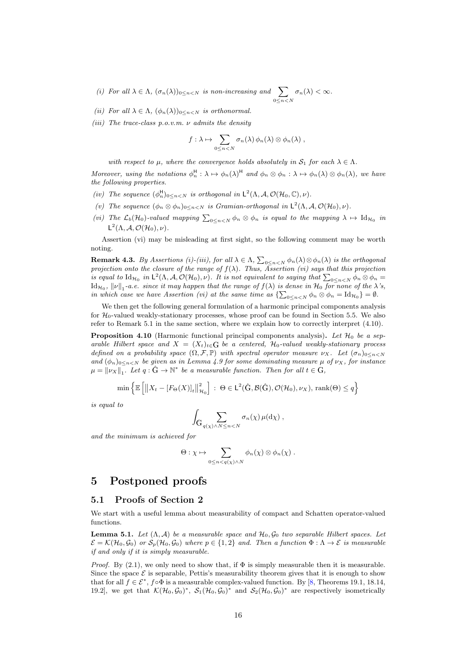- *(i)* For all  $\lambda \in \Lambda$ ,  $(\sigma_n(\lambda))_{0 \leq n \leq N}$  *is non-increasing and*  $\sum$  $0 \leq n \leq N$  $\sigma_n(\lambda) < \infty$ .
- *(ii)* For all  $\lambda \in \Lambda$ ,  $(\phi_n(\lambda))_{0 \leq n < N}$  *is orthonormal.*
- *(iii) The trace-class p.o.v.m.* ν *admits the density*

$$
f:\lambda\mapsto \sum_{0\leq n
$$

*with respect to*  $\mu$ *, where the convergence holds absolutely in*  $S_1$  *for each*  $\lambda \in \Lambda$ *.* 

*Moreover, using the notations*  $\phi_n^H : \lambda \mapsto \phi_n(\lambda)^H$  and  $\phi_n \otimes \phi_n : \lambda \mapsto \phi_n(\lambda) \otimes \phi_n(\lambda)$ , we have *the following properties.*

- *(iv)* The sequence  $(\phi_n^H)_{0 \leq n < N}$  is orthogonal in  $\mathsf{L}^2(\Lambda, \mathcal{A}, \mathcal{O}(\mathcal{H}_0, \mathbb{C}), \nu)$ .
- (*v*) The sequence  $(\phi_n \otimes \phi_n)_{0 \leq n < N}$  *is Gramian-orthogonal in*  $\mathsf{L}^2(\Lambda, \mathcal{A}, \mathcal{O}(\mathcal{H}_0), \nu)$ *.*
- (*vi*) The  $\mathcal{L}_b(\mathcal{H}_0)$ -valued mapping  $\sum_{0 \leq n < N} \phi_n \otimes \phi_n$  *is equal to the mapping*  $\lambda \mapsto \mathrm{Id}_{\mathcal{H}_0}$  *in*  $\mathsf{L}^2(\Lambda, \mathcal{A}, \mathcal{O}(\mathcal{H}_0), \nu).$

Assertion (vi) may be misleading at first sight, so the following comment may be worth noting.

**Remark 4.3.** *By Assertions (i)-(iii), for all*  $\lambda \in \Lambda$ ,  $\sum_{0 \leq n \leq N} \phi_n(\lambda) \otimes \phi_n(\lambda)$  *is the orthogonal projection onto the closure of the range of* f(λ)*. Thus, Assertion (vi) says that this projection is equal to*  $\mathrm{Id}_{\mathcal{H}_0}$  *in*  $\mathsf{L}^2(\Lambda, \mathcal{A}, \mathcal{O}(\mathcal{H}_0), \nu)$ *. It is not equivalent to saying that*  $\sum_{0 \leq n < N} \phi_n \otimes \phi_n =$  $\mathrm{Id}_{\mathcal{H}_0},\ \|\nu\|_1$ -a.e. since it may happen that the range of  $f(\lambda)$  is dense in  $\mathcal{H}_0$  for none of the  $\lambda$ 's, *in which case we have Assertion (vi) at the same time as*  $\sum_{0 \leq n < N} \phi_n \otimes \phi_n = \mathrm{Id}_{\mathcal{H}_0}$   $= \emptyset$ .

We then get the following general formulation of a harmonic principal components analysis for  $\mathcal{H}_0$ -valued weakly-stationary processes, whose proof can be found in Section 5.5. We also refer to Remark 5.1 in the same section, where we explain how to correctly interpret (4.10).

Proposition 4.10 (Harmonic functional principal components analysis). Let  $\mathcal{H}_0$  be a sep*arable Hilbert space and*  $X = (X_t)_{t \in G}$  *be a centered,* H<sub>0</sub>*-valued weakly-stationary process defined on a probability space*  $(\Omega, \mathcal{F}, \mathbb{P})$  *with spectral operator measure*  $\nu_X$ *. Let*  $(\sigma_n)_{0 \leq n \leq N}$ *and*  $(\phi_n)_{0 \leq n \leq N}$  *be given as in Lemma 4.9 for some dominating measure*  $\mu$  *of*  $\nu_X$ *, for instance*  $\mu = ||\nu_X||_1$ . Let  $q : \hat{G} \to \mathbb{N}^*$  be a measurable function. Then for all  $t \in G$ ,

$$
\min \left\{ \mathbb{E} \left[ \left\| X_t - [F_{\Theta}(X)]_t \right\|_{\mathcal{H}_0}^2 \right] : \Theta \in \mathsf{L}^2(\hat{\mathsf{G}}, \mathcal{B}(\hat{\mathsf{G}}), \mathcal{O}(\mathcal{H}_0), \nu_X), \text{rank}(\Theta) \le q \right\}
$$

*is equal to*

$$
\int_{\mathcal{G}_{q(\chi)\wedge N \leq n < N}} \sigma_n(\chi) \, \mu(\mathrm{d} \chi) \;,
$$

*and the minimum is achieved for*

$$
\Theta: \chi \mapsto \sum_{0 \leq n < q(\chi) \wedge N} \phi_n(\chi) \otimes \phi_n(\chi) .
$$

# 5 Postponed proofs

#### 5.1 Proofs of Section 2

We start with a useful lemma about measurability of compact and Schatten operator-valued functions.

**Lemma 5.1.** *Let*  $(\Lambda, \mathcal{A})$  *be a measurable space and*  $\mathcal{H}_0, \mathcal{G}_0$  *two separable Hilbert spaces. Let*  $\mathcal{E} = \mathcal{K}(\mathcal{H}_0, \mathcal{G}_0)$  *or*  $\mathcal{S}_p(\mathcal{H}_0, \mathcal{G}_0)$  *where*  $p \in \{1, 2\}$  *and. Then a function*  $\Phi : \Lambda \to \mathcal{E}$  *is measurable if and only if it is simply measurable.*

*Proof.* By  $(2.1)$ , we only need to show that, if  $\Phi$  is simply measurable then it is measurable. Since the space  $\mathcal E$  is separable, Pettis's measurability theorem gives that it is enough to show that for all  $f \in \mathcal{E}^*$ ,  $f \circ \Phi$  is a measurable complex-valued function. By [8, Theorems 19.1, 18.14, 19.2], we get that  $\mathcal{K}(\mathcal{H}_0,\mathcal{G}_0)^*, \mathcal{S}_1(\mathcal{H}_0,\mathcal{G}_0)^*$  and  $\mathcal{S}_2(\mathcal{H}_0,\mathcal{G}_0)^*$  are respectively isometrically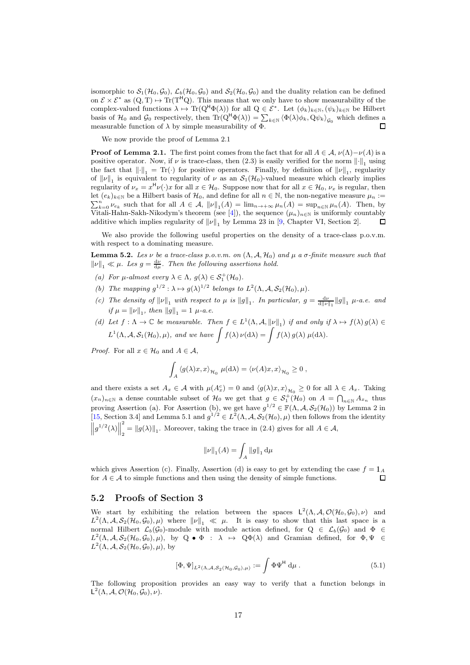isomorphic to  $S_1(\mathcal{H}_0, \mathcal{G}_0)$ ,  $\mathcal{L}_b(\mathcal{H}_0, \mathcal{G}_0)$  and  $S_2(\mathcal{H}_0, \mathcal{G}_0)$  and the duality relation can be defined on  $\mathcal{E} \times \mathcal{E}^*$  as  $(Q, T) \mapsto \text{Tr}(T^H Q)$ . This means that we only have to show measurability of the complex-valued functions  $\lambda \mapsto \text{Tr}(Q^H \Phi(\lambda))$  for all  $Q \in \mathcal{E}^*$ . Let  $(\phi_k)_{k \in \mathbb{N}}, (\psi_k)_{k \in \mathbb{N}}$  be Hilbert basis of  $\mathcal{H}_0$  and  $\mathcal{G}_0$  respectively, then  $\text{Tr}(Q^{\mathsf{H}}\Phi(\lambda)) = \sum_{k \in \mathbb{N}} \langle \Phi(\lambda)\phi_k, Q\psi_k \rangle_{\mathcal{G}_0}$  which defines a measurable function of  $\lambda$  by simple measurability of  $\Phi$ .  $\Box$ 

We now provide the proof of Lemma 2.1

**Proof of Lemma 2.1.** The first point comes from the fact that for all  $A \in \mathcal{A}$ ,  $\nu(\Lambda) - \nu(A)$  is a positive operator. Now, if  $\nu$  is trace-class, then  $(2.3)$  is easily verified for the norm  $\left\|\cdot\right\|_1$  using the fact that  $\left\|\cdot\right\|_1 = \text{Tr}(\cdot)$  for positive operators. Finally, by definition of  $\|\nu\|_1$ , regularity of  $\|\nu\|_1$  is equivalent to regularity of  $\nu$  as an  $\mathcal{S}_1(\mathcal{H}_0)$ -valued measure which clearly implies regularity of  $\nu_x = x^H \nu(\cdot) x$  for all  $x \in \mathcal{H}_0$ . Suppose now that for all  $x \in \mathcal{H}_0$ ,  $\nu_x$  is regular, then let  $(e_k)_{k\in\mathbb{N}}$  be a Hilbert basis of  $\mathcal{H}_0$ , and define for all  $n \in \mathbb{N}$ , the non-negative measure  $\mu_n :=$  $\sum_{k=0}^{n} \nu_{e_k}$  such that for all  $A \in \mathcal{A}$ ,  $\|\nu\|_1(A) = \lim_{n \to +\infty} \mu_n(A) = \sup_{n \in \mathbb{N}} \mu_n(A)$ . Then, by Vitali-Hahn-Sakh-Nikodym's theorem (see [4]), the sequence  $(\mu_n)_{n\in\mathbb{N}}$  is uniformly countably П additive which implies regularity of  $\|\nu\|_1$  by Lemma 23 in [9, Chapter VI, Section 2].

We also provide the following useful properties on the density of a trace-class p.o.v.m. with respect to a dominating measure.

**Lemma 5.2.** *Les*  $ν$  *be a trace-class p.o.v.m. on*  $(Λ, A, H<sub>0</sub>)$  *and*  $μ$  *a*  $σ$ *-finite measure such that*  $\|\nu\|_1 \ll \mu$ . Les  $g = \frac{d\nu}{d\mu}$ . Then the following assertions hold.

- (a) For  $\mu$ -almost every  $\lambda \in \Lambda$ ,  $g(\lambda) \in S_1^+(\mathcal{H}_0)$ .
- (b) The mapping  $g^{1/2}$ :  $\lambda \mapsto g(\lambda)^{1/2}$  belongs to  $L^2(\Lambda, \mathcal{A}, \mathcal{S}_2(\mathcal{H}_0), \mu)$ .
- *(c)* The density of  $\|\nu\|_1$  with respect to  $\mu$  is  $\|g\|_1$ . In particular,  $g = \frac{d\nu}{d\|\nu\|_1} \|g\|_1$   $\mu$ -a.e. and  $if \mu = ||\nu||_1, then ||g||_1 = 1 \mu$ -*a.e.*
- *(d)* Let  $f: \Lambda \to \mathbb{C}$  be measurable. Then  $f \in L^1(\Lambda, \mathcal{A}, ||\nu||_1)$  if and only if  $\lambda \mapsto f(\lambda) g(\lambda) \in$  $L^1(\Lambda, \mathcal{A}, \mathcal{S}_1(\mathcal{H}_0), \mu)$ *, and we have*  $\int f(\lambda) \nu(\mathrm{d}\lambda) = \int f(\lambda) g(\lambda) \mu(\mathrm{d}\lambda)$ *.*

*Proof.* For all  $x \in \mathcal{H}_0$  and  $A \in \mathcal{A}$ ,

$$
\int_A \langle g(\lambda)x, x \rangle_{\mathcal{H}_0} \mu(\mathrm{d}\lambda) = \langle \nu(A)x, x \rangle_{\mathcal{H}_0} \ge 0 ,
$$

and there exists a set  $A_x \in \mathcal{A}$  with  $\mu(A_x^c) = 0$  and  $\langle g(\lambda)x, x \rangle_{\mathcal{H}_0} \geq 0$  for all  $\lambda \in A_x$ . Taking  $(x_n)_{n\in\mathbb{N}}$  a dense countable subset of  $\mathcal{H}_0$  we get that  $g \in \mathcal{S}_1^+(\mathcal{H}_0)$  on  $A = \bigcap_{n\in\mathbb{N}} A_{x_n}$  thus proving Assertion (a). For Assertion (b), we get have  $g^{1/2} \in \mathbb{F}(\Lambda, \mathcal{A}, \mathcal{S}_2(\mathcal{H}_0))$  by Lemma 2 in [15, Section 3.4] and Lemma 5.1 and  $g^{1/2} \in L^2(\Lambda, \mathcal{A}, \mathcal{S}_2(\mathcal{H}_0), \mu)$  then follows from the identity  $\left\|g^{1/2}(\lambda)\right\|$ 2  $\mathcal{L}_2 = ||g(\lambda)||_1$ . Moreover, taking the trace in (2.4) gives for all  $A \in \mathcal{A}$ ,

$$
\left\Vert \nu\right\Vert _{1}(A)=\int_{A}\left\Vert g\right\Vert _{1}\mathrm{d}\mu
$$

which gives Assertion (c). Finally, Assertion (d) is easy to get by extending the case  $f = 1_A$ for  $A \in \mathcal{A}$  to simple functions and then using the density of simple functions.  $\Box$ 

### 5.2 Proofs of Section 3

We start by exhibiting the relation between the spaces  $L^2(\Lambda, \mathcal{A}, \mathcal{O}(\mathcal{H}_0, \mathcal{G}_0), \nu)$  and  $L^2(\Lambda, \mathcal{A}, \mathcal{S}_2(\mathcal{H}_0, \mathcal{G}_0), \mu)$  where  $\|\nu\|_1 \ll \mu$ . It is easy to show that this last space is a normal Hilbert  $\mathcal{L}_b(\mathcal{G}_0)$ -module with module action defined, for  $Q \in \mathcal{L}_b(\mathcal{G}_0)$  and  $\Phi \in$  $L^2(\Lambda, \mathcal{A}, \mathcal{S}_2(\mathcal{H}_0, \mathcal{G}_0), \mu)$ , by  $Q \bullet \Phi : \lambda \mapsto Q\Phi(\lambda)$  and Gramian defined, for  $\Phi, \Psi \in$  $L^2(\Lambda, \mathcal{A}, \mathcal{S}_2(\mathcal{H}_0, \mathcal{G}_0), \mu)$ , by

$$
[\Phi, \Psi]_{L^2(\Lambda, \mathcal{A}, S_2(\mathcal{H}_0, \mathcal{G}_0), \mu)} := \int \Phi \Psi^{\mathsf{H}} d\mu.
$$
 (5.1)

The following proposition provides an easy way to verify that a function belongs in  $\mathsf{L}^2(\Lambda, \mathcal{A}, \mathcal{O}(\mathcal{H}_0, \mathcal{G}_0), \nu).$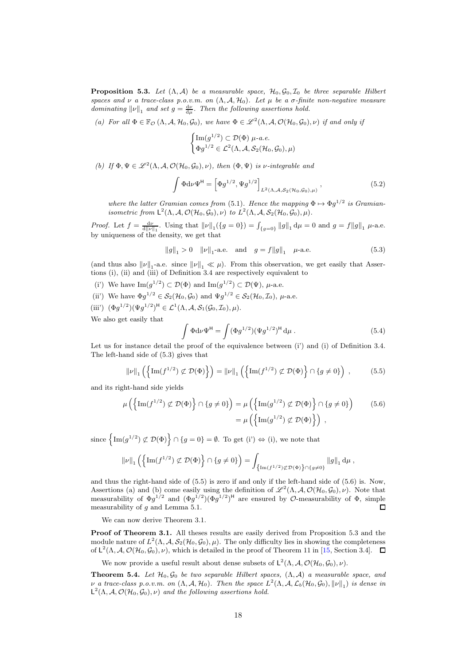**Proposition 5.3.** Let  $(\Lambda, \mathcal{A})$  be a measurable space,  $\mathcal{H}_0, \mathcal{G}_0, \mathcal{I}_0$  be three separable Hilbert *spaces and*  $\nu$  *a trace-class p.o.v.m.* on  $(\Lambda, \mathcal{A}, \mathcal{H}_0)$ *. Let*  $\mu$  *be a*  $\sigma$ -finite non-negative measure *dominating*  $\|\nu\|_1$  *and set*  $g = \frac{d\nu}{d\mu}$ *. Then the following assertions hold.* 

(a) For all  $\Phi \in \mathbb{F}_{\mathcal{O}}(\Lambda, \mathcal{A}, \mathcal{H}_0, \mathcal{G}_0)$ , we have  $\Phi \in \mathscr{L}^2(\Lambda, \mathcal{A}, \mathcal{O}(\mathcal{H}_0, \mathcal{G}_0), \nu)$  *if and only if* 

$$
\begin{cases} \mathrm{Im}(g^{1/2}) \subset \mathcal{D}(\Phi) \ \mu\text{-}a.e. \\ \Phi g^{1/2} \in \mathcal{L}^2(\Lambda, \mathcal{A}, \mathcal{S}_2(\mathcal{H}_0, \mathcal{G}_0), \mu) \end{cases}
$$

(b) If  $\Phi, \Psi \in \mathcal{L}^2(\Lambda, \mathcal{A}, \mathcal{O}(\mathcal{H}_0, \mathcal{G}_0), \nu)$ , then  $(\Phi, \Psi)$  is *v*-integrable and

$$
\int \Phi d\nu \Psi^{\mathsf{H}} = \left[ \Phi g^{1/2}, \Psi g^{1/2} \right]_{L^2(\Lambda, \mathcal{A}, S_2(\mathcal{H}_0, \mathcal{G}_0), \mu)}, \tag{5.2}
$$

*where the latter Gramian comes from* (5.1). Hence the mapping  $\Phi \mapsto \Phi g^{1/2}$  is Gramian*isometric from*  $\mathsf{L}^2(\Lambda, \mathcal{A}, \mathcal{O}(\mathcal{H}_0, \mathcal{G}_0), \nu)$  *to*  $L^2(\Lambda, \mathcal{A}, \mathcal{S}_2(\mathcal{H}_0, \mathcal{G}_0), \mu)$ *.* 

*Proof.* Let  $f = \frac{d\nu}{d\|\nu\|_1}$ . Using that  $\|\nu\|_1 (\{g = 0\}) = \int_{\{g = 0\}} \|g\|_1 d\mu = 0$  and  $g = f \|g\|_1 \mu$ -a.e. by uniqueness of the density, we get that

$$
||g||_1 > 0
$$
  $||\nu||_1$ -a.e. and  $g = f||g||_1$   $\mu$ -a.e. (5.3)

(and thus also  $\|\nu\|_1$ -a.e. since  $\|\nu\|_1 \ll \mu$ ). From this observation, we get easily that Assertions (i), (ii) and (iii) of Definition 3.4 are respectively equivalent to

- (i') We have  $\text{Im}(g^{1/2}) \subset \mathcal{D}(\Phi)$  and  $\text{Im}(g^{1/2}) \subset \mathcal{D}(\Psi)$ ,  $\mu$ -a.e.
- (ii') We have  $\Phi g^{1/2} \in \mathcal{S}_2(\mathcal{H}_0, \mathcal{G}_0)$  and  $\Psi g^{1/2} \in \mathcal{S}_2(\mathcal{H}_0, \mathcal{I}_0)$ ,  $\mu$ -a.e.
- (iii')  $(\Phi g^{1/2})(\Psi g^{1/2})^{\mathsf{H}} \in \mathcal{L}^1(\Lambda, \mathcal{A}, \mathcal{S}_1(\mathcal{G}_0, \mathcal{I}_0), \mu).$

We also get easily that

$$
\int \Phi d\nu \Psi^{\mathsf{H}} = \int (\Phi g^{1/2}) (\Psi g^{1/2})^{\mathsf{H}} d\mu . \tag{5.4}
$$

Let us for instance detail the proof of the equivalence between (i') and (i) of Definition 3.4. The left-hand side of (5.3) gives that

$$
\|\nu\|_1 \left( \left\{ \text{Im}(f^{1/2}) \not\subset \mathcal{D}(\Phi) \right\} \right) = \|\nu\|_1 \left( \left\{ \text{Im}(f^{1/2}) \not\subset \mathcal{D}(\Phi) \right\} \cap \{g \neq 0\} \right) ,\tag{5.5}
$$

and its right-hand side yields

$$
\mu\left(\left\{\text{Im}(f^{1/2}) \not\subset \mathcal{D}(\Phi)\right\} \cap \{g \neq 0\}\right) = \mu\left(\left\{\text{Im}(g^{1/2}) \not\subset \mathcal{D}(\Phi)\right\} \cap \{g \neq 0\}\right) \tag{5.6}
$$
\n
$$
= \mu\left(\left\{\text{Im}(g^{1/2}) \not\subset \mathcal{D}(\Phi)\right\}\right) ,
$$

since  $\left\{\text{Im}(g^{1/2}) \not\subset \mathcal{D}(\Phi)\right\} \cap \{g = 0\} = \emptyset$ . To get (i')  $\Leftrightarrow$  (i), we note that

$$
\left\lVert \nu\right\rVert_1\left(\left\{\text{Im}(f^{1/2})\not\subset \mathcal{D}(\Phi)\right\}\cap\{g\neq 0\}\right)=\int_{\left\{\text{Im}(f^{1/2})\not\subset \mathcal{D}(\Phi)\right\}\cap\{g\neq 0\}}\left\lVert g\right\rVert_1\text{d}\mu\;,
$$

and thus the right-hand side of (5.5) is zero if and only if the left-hand side of (5.6) is. Now, Assertions (a) and (b) come easily using the definition of  $\mathscr{L}^2(\Lambda, \mathcal{A}, \mathcal{O}(\mathcal{H}_0, \mathcal{G}_0), \nu)$ . Note that measurability of  $\Phi g^{1/2}$  and  $(\Phi g^{1/2})(\Phi g^{1/2})^H$  are ensured by  $\mathcal O$ -measurability of  $\Phi$ , simple measurability of  $q$  and Lemma 5.1. П

We can now derive Theorem 3.1.

Proof of Theorem 3.1. All theses results are easily derived from Proposition 5.3 and the module nature of  $L^2(\Lambda, \mathcal{A}, \mathcal{S}_2(\mathcal{H}_0, \mathcal{G}_0), \mu)$ . The only difficulty lies in showing the completeness of  $L^2(\Lambda, \mathcal{A}, \mathcal{O}(\mathcal{H}_0, \mathcal{G}_0), \nu)$ , which is detailed in the proof of Theorem 11 in [15, Section 3.4].

We now provide a useful result about dense subsets of  $\mathsf{L}^2(\Lambda, \mathcal{A}, \mathcal{O}(\mathcal{H}_0, \mathcal{G}_0), \nu)$ .

**Theorem 5.4.** Let  $\mathcal{H}_0$ ,  $\mathcal{G}_0$  be two separable Hilbert spaces,  $(\Lambda, \mathcal{A})$  a measurable space, and  $\nu_a$  *a* trace-class p.o.v.m. on  $(\Lambda, \mathcal{A}, \mathcal{H}_0)$ . Then the space  $L^2(\Lambda, \mathcal{A}, \mathcal{L}_b(\mathcal{H}_0, \mathcal{G}_0), ||\nu||_1)$  is dense in  $\mathsf{L}^2(\Lambda, \mathcal{A}, \mathcal{O}(\mathcal{H}_0, \mathcal{G}_0), \nu)$  and the following assertions hold.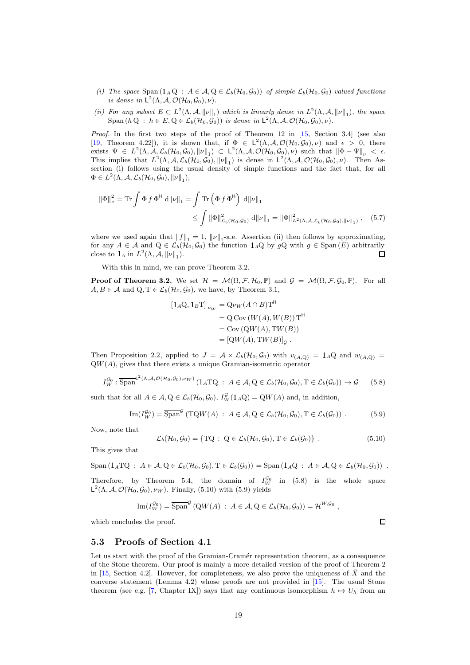- *(i)* The space Span  $(1_A Q : A \in \mathcal{A}, Q \in \mathcal{L}_b(\mathcal{H}_0, \mathcal{G}_0))$  of simple  $\mathcal{L}_b(\mathcal{H}_0, \mathcal{G}_0)$ -valued functions *is dense in*  $L^2(\Lambda, \mathcal{A}, \mathcal{O}(\mathcal{H}_0, \mathcal{G}_0), \nu)$ *.*
- (*ii*) For any subset  $E \subset L^2(\Lambda, \mathcal{A}, ||\nu||_1)$  which is linearly dense in  $L^2(\Lambda, \mathcal{A}, ||\nu||_1)$ , the space  $\text{Span}(h \, Q : h \in E, Q \in \mathcal{L}_b(\mathcal{H}_0, \mathcal{G}_0))$  *is dense in*  $\mathsf{L}^2(\Lambda, \mathcal{A}, \mathcal{O}(\mathcal{H}_0, \mathcal{G}_0), \nu)$ *.*

*Proof.* In the first two steps of the proof of Theorem 12 in [15, Section 3.4] (see also [19, Theorem 4.22]), it is shown that, if  $\Phi \in L^2(\Lambda, \mathcal{A}, \mathcal{O}(\mathcal{H}_0, \mathcal{G}_0), \nu)$  and  $\epsilon > 0$ , there exists  $\Psi \in L^2(\Lambda, \mathcal{A}, \mathcal{L}_b(\mathcal{H}_0, \mathcal{G}_0), \|\nu\|_1) \subset L^2(\Lambda, \mathcal{A}, \mathcal{O}(\mathcal{H}_0, \mathcal{G}_0), \nu)$  such that  $\|\Phi - \Psi\|_{\nu} < \epsilon$ . This implies that  $L^2(\Lambda, \mathcal{A}, \mathcal{L}_b(\mathcal{H}_0, \mathcal{G}_0), ||\nu||_1)$  is dense in  $\mathsf{L}^2(\Lambda, \mathcal{A}, \mathcal{O}(\mathcal{H}_0, \mathcal{G}_0), \nu)$ . Then Assertion (i) follows using the usual density of simple functions and the fact that, for all  $\Phi \in L^2(\Lambda, \mathcal{A}, \mathcal{L}_b(\mathcal{H}_0, \mathcal{G}_0), \|\nu\|_1),$ 

$$
\|\Phi\|_{\nu}^{2} = \text{Tr} \int \Phi f \Phi^{\mathsf{H}} d\|\nu\|_{1} = \int \text{Tr} \left(\Phi f \Phi^{\mathsf{H}}\right) d\|\nu\|_{1}
$$
  

$$
\leq \int \|\Phi\|_{\mathcal{L}_{b}(\mathcal{H}_{0},\mathcal{G}_{0})}^{2} d\|\nu\|_{1} = \|\Phi\|_{L^{2}(\Lambda,\mathcal{A},\mathcal{L}_{b}(\mathcal{H}_{0},\mathcal{G}_{0}),\|\nu\|_{1})}, \quad (5.7)
$$

where we used again that  $||f||_1 = 1$ ,  $||\nu||_1$ -a.e. Assertion (ii) then follows by approximating, for any  $A \in \mathcal{A}$  and  $Q \in \mathcal{L}_b(\mathcal{H}_0, \mathcal{G}_0)$  the function  $1_A Q$  by  $g Q$  with  $g \in \text{Span}(E)$  arbitrarily close to  $1_A$  in  $L^2(\Lambda, \mathcal{A}, ||\nu||_1)$ .  $\Box$ 

With this in mind, we can prove Theorem 3.2.

**Proof of Theorem 3.2.** We set  $\mathcal{H} = \mathcal{M}(\Omega, \mathcal{F}, \mathcal{H}_0, \mathbb{P})$  and  $\mathcal{G} = \mathcal{M}(\Omega, \mathcal{F}, \mathcal{G}_0, \mathbb{P})$ . For all  $A, B \in \mathcal{A}$  and  $Q, T \in \mathcal{L}_b(\mathcal{H}_0, \mathcal{G}_0)$ , we have, by Theorem 3.1,

$$
[1_A \mathbf{Q}, 1_B \mathbf{T}]_{\nu_W} = \mathbf{Q} \nu_W (A \cap B) \mathbf{T}^{\mathsf{H}}
$$
  
= 
$$
\mathbf{Q} \text{Cov} (W(A), W(B)) \mathbf{T}^{\mathsf{H}}
$$
  
= 
$$
\text{Cov} (\mathbf{Q} W(A), \mathbf{T} W(B))
$$
  
= 
$$
[\mathbf{Q} W(A), \mathbf{T} W(B)]_{\mathcal{G}}
$$
.

Then Proposition 2.2, applied to  $J = A \times L_b(\mathcal{H}_0, \mathcal{G}_0)$  with  $v_{(A,Q)} = 1_A \mathcal{Q}$  and  $w_{(A,Q)} =$  $QW(A)$ , gives that there exists a unique Gramian-isometric operator

$$
I_W^{\mathcal{G}_0} : \overline{\text{Span}}^{\mathsf{L}^2(\Lambda,\mathcal{A},\mathcal{O}(\mathcal{H}_0,\mathcal{G}_0),\nu_W)}\left(1_A\text{TQ} \;:\; A \in \mathcal{A}, \text{Q} \in \mathcal{L}_b(\mathcal{H}_0,\mathcal{G}_0), \text{T} \in \mathcal{L}_b(\mathcal{G}_0)\right) \to \mathcal{G} \tag{5.8}
$$

such that for all  $A \in \mathcal{A}, Q \in \mathcal{L}_b(\mathcal{H}_0, \mathcal{G}_0), I_W^{\mathcal{G}}(1_A Q) = QW(A)$  and, in addition,

$$
\operatorname{Im}(I_W^{\mathcal{G}_0}) = \overline{\operatorname{Span}}^{\mathcal{G}} \left( \operatorname{TQW}(A) : A \in \mathcal{A}, Q \in \mathcal{L}_b(\mathcal{H}_0, \mathcal{G}_0), T \in \mathcal{L}_b(\mathcal{G}_0) \right) . \tag{5.9}
$$

Now, note that

$$
\mathcal{L}_b(\mathcal{H}_0, \mathcal{G}_0) = \{ \mathrm{TQ} : \ Q \in \mathcal{L}_b(\mathcal{H}_0, \mathcal{G}_0), \mathrm{T} \in \mathcal{L}_b(\mathcal{G}_0) \} . \tag{5.10}
$$

This gives that

$$
\text{Span}\left(1_A \text{TQ} : A \in \mathcal{A}, \text{Q} \in \mathcal{L}_b(\mathcal{H}_0, \mathcal{G}_0), \text{T} \in \mathcal{L}_b(\mathcal{G}_0)\right) = \text{Span}\left(1_A \text{Q} : A \in \mathcal{A}, \text{Q} \in \mathcal{L}_b(\mathcal{H}_0, \mathcal{G}_0)\right) .
$$

Therefore, by Theorem 5.4, the domain of  $I_W^{\mathcal{G}_0}$  in (5.8) is the whole space  $\mathsf{L}^2(\Lambda, \mathcal{A}, \mathcal{O}(\mathcal{H}_0, \mathcal{G}_0), \nu_W)$ . Finally, (5.10) with (5.9) yields

$$
\operatorname{Im}(I_W^{\mathcal{G}_0}) = \overline{\operatorname{Span}}^{\mathcal{G}}\left(\mathbf{Q}W(A) : A \in \mathcal{A}, \mathbf{Q} \in \mathcal{L}_b(\mathcal{H}_0, \mathcal{G}_0)\right) = \mathcal{H}^{W, \mathcal{G}_0},
$$

which concludes the proof.

## 5.3 Proofs of Section 4.1

Let us start with the proof of the Gramian-Cramér representation theorem, as a consequence of the Stone theorem. Our proof is mainly a more detailed version of the proof of Theorem 2 in [15, Section 4.2]. However, for completeness, we also prove the uniqueness of  $\hat{X}$  and the converse statement (Lemma 4.2) whose proofs are not provided in [15]. The usual Stone theorem (see e.g. [7, Chapter IX]) says that any continuous isomorphism  $h \mapsto U_h$  from an

 $\Box$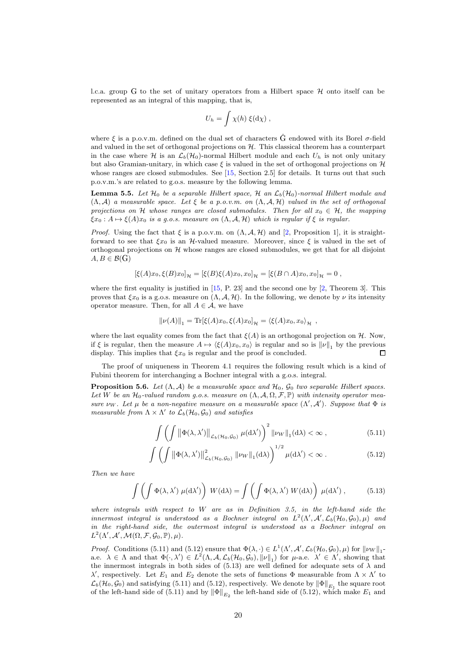l.c.a. group G to the set of unitary operators from a Hilbert space  $\mathcal H$  onto itself can be represented as an integral of this mapping, that is,

$$
U_h = \int \chi(h) \; \xi(\mathrm{d}\chi) \; ,
$$

where  $\xi$  is a p.o.v.m. defined on the dual set of characters  $\hat{G}$  endowed with its Borel  $\sigma$ -field and valued in the set of orthogonal projections on  $H$ . This classical theorem has a counterpart in the case where H is an  $\mathcal{L}_b(\mathcal{H}_0)$ -normal Hilbert module and each  $U_h$  is not only unitary but also Gramian-unitary, in which case  $\xi$  is valued in the set of orthogonal projections on  $\mathcal{H}$ whose ranges are closed submodules. See [15, Section 2.5] for details. It turns out that such p.o.v.m.'s are related to g.o.s. measure by the following lemma.

**Lemma 5.5.** Let  $H_0$  be a separable Hilbert space, H an  $\mathcal{L}_b(H_0)$ -normal Hilbert module and (Λ, A) *a measurable space. Let* ξ *be a p.o.v.m. on* (Λ, A, H) *valued in the set of orthogonal projections on* H *whose ranges are closed submodules. Then for all*  $x_0 \in H$ *, the mapping*  $\xi x_0 : A \mapsto \xi(A)x_0$  *is a q.o.s. measure on*  $(\Lambda, \mathcal{A}, \mathcal{H})$  *which is regular if*  $\xi$  *is regular.* 

*Proof.* Using the fact that  $\xi$  is a p.o.v.m. on  $(\Lambda, \mathcal{A}, \mathcal{H})$  and [2, Proposition 1], it is straightforward to see that  $\xi x_0$  is an H-valued measure. Moreover, since  $\xi$  is valued in the set of orthogonal projections on  $H$  whose ranges are closed submodules, we get that for all disjoint  $A, B \in \mathcal{B}(G)$ 

$$
[\xi(A)x_0, \xi(B)x_0]_{\mathcal{H}} = [\xi(B)\xi(A)x_0, x_0]_{\mathcal{H}} = [\xi(B \cap A)x_0, x_0]_{\mathcal{H}} = 0,
$$

where the first equality is justified in  $[15, P. 23]$  and the second one by  $[2,$  Theorem 3]. This proves that  $\xi x_0$  is a g.o.s. measure on  $(\Lambda, \mathcal{A}, \mathcal{H})$ . In the following, we denote by  $\nu$  its intensity operator measure. Then, for all  $A \in \mathcal{A}$ , we have

$$
\|\nu(A)\|_1 = \text{Tr}[\xi(A)x_0, \xi(A)x_0]_{\mathcal{H}} = \langle \xi(A)x_0, x_0 \rangle_{\mathcal{H}},
$$

where the last equality comes from the fact that  $\xi(A)$  is an orthogonal projection on H. Now, if  $\xi$  is regular, then the measure  $A \mapsto \langle \xi(A)x_0, x_0 \rangle$  is regular and so is  $\|\nu\|_1$  by the previous display. This implies that  $\xi x_0$  is regular and the proof is concluded.  $\Box$ 

The proof of uniqueness in Theorem 4.1 requires the following result which is a kind of Fubini theorem for interchanging a Bochner integral with a g.o.s. integral.

**Proposition 5.6.** *Let*  $(\Lambda, \mathcal{A})$  *be a measurable space and*  $\mathcal{H}_0$ ,  $\mathcal{G}_0$  *two separable Hilbert spaces.* Let W be an  $\mathcal{H}_0$ -valued random g.o.s. measure on  $(\Lambda, \mathcal{A}, \Omega, \mathcal{F}, \mathbb{P})$  with intensity operator mea*sure*  $\nu_W$ *. Let*  $\mu$  *be a non-negative measure on a measurable space*  $(\Lambda', \mathcal{A}')$ *. Suppose that*  $\Phi$  *is measurable from*  $\Lambda \times \Lambda'$  *to*  $\mathcal{L}_b(\mathcal{H}_0, \mathcal{G}_0)$  *and satisfies* 

$$
\int \left( \int \left\| \Phi(\lambda, \lambda') \right\|_{\mathcal{L}_b(\mathcal{H}_0, \mathcal{G}_0)} \mu(\mathrm{d}\lambda') \right)^2 \|\nu_W\|_1(\mathrm{d}\lambda) < \infty \,, \tag{5.11}
$$

$$
\int \left( \int \left\| \Phi(\lambda, \lambda') \right\|_{\mathcal{L}_b(\mathcal{H}_0, \mathcal{G}_0)}^2 \|\nu_W\|_1(\mathrm{d}\lambda) \right)^{1/2} \mu(\mathrm{d}\lambda') < \infty. \tag{5.12}
$$

*Then we have*

$$
\int \left( \int \Phi(\lambda, \lambda') \mu(d\lambda') \right) W(d\lambda) = \int \left( \int \Phi(\lambda, \lambda') W(d\lambda) \right) \mu(d\lambda'), \quad (5.13)
$$

*where integrals with respect to* W *are as in Definition 3.5, in the left-hand side the innermost integral is understood as a Bochner integral on*  $L^2(\Lambda', \mathcal{A}', \mathcal{L}_b(\mathcal{H}_0, \mathcal{G}_0), \mu)$  and *in the right-hand side, the outermost integral is understood as a Bochner integral on*  $L^2(\Lambda', \mathcal{A}', \mathcal{M}(\Omega, \mathcal{F}, \mathcal{G}_0, \mathbb{P}), \mu).$ 

*Proof.* Conditions (5.11) and (5.12) ensure that  $\Phi(\lambda, \cdot) \in L^1(\Lambda', \mathcal{A}', \mathcal{L}_b(\mathcal{H}_0, \mathcal{G}_0), \mu)$  for  $\|\nu_W\|_1$ a.e.  $\lambda \in \Lambda$  and that  $\Phi(\cdot, \lambda') \in L^2(\Lambda, \mathcal{A}, \mathcal{L}_b(\mathcal{H}_0, \mathcal{G}_0), ||\nu||_1)$  for  $\mu$ -a.e.  $\lambda' \in \Lambda'$ , showing that the innermost integrals in both sides of (5.13) are well defined for adequate sets of  $\lambda$  and  $\lambda'$ , respectively. Let  $E_1$  and  $E_2$  denote the sets of functions  $\Phi$  measurable from  $\Lambda \times \Lambda'$  to  $\mathcal{L}_b(\mathcal{H}_0,\mathcal{G}_0)$  and satisfying (5.11) and (5.12), respectively. We denote by  $\|\Phi\|_{E_1}$  the square root of the left-hand side of (5.11) and by  $\|\Phi\|_{E_2}$  the left-hand side of (5.12), which make  $E_1$  and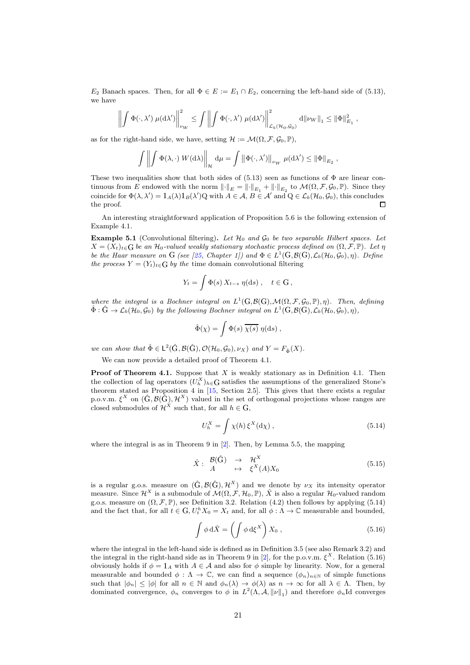$E_2$  Banach spaces. Then, for all  $\Phi \in E := E_1 \cap E_2$ , concerning the left-hand side of (5.13), we have

$$
\left\| \int \Phi(\cdot, \lambda') \ \mu(\mathrm{d}\lambda') \right\|_{\nu_W}^2 \leq \int \left\| \int \Phi(\cdot, \lambda') \ \mu(\mathrm{d}\lambda') \right\|_{\mathcal{L}_b(\mathcal{H}_0, \mathcal{G}_0)}^2 \ \mathrm{d} \|\nu_W\|_1 \leq \|\Phi\|_{E_1}^2 \ ,
$$

as for the right-hand side, we have, setting  $\mathcal{H} := \mathcal{M}(\Omega, \mathcal{F}, \mathcal{G}_0, \mathbb{P}),$ 

$$
\int \left\| \int \Phi(\lambda,\cdot) \ W(\mathrm{d}\lambda) \right\|_{\mathcal{H}} \, \mathrm{d}\mu = \int \left\| \Phi(\cdot,\lambda') \right\|_{\nu_W} \, \mu(\mathrm{d}\lambda') \leq \left\| \Phi \right\|_{E_2},
$$

These two inequalities show that both sides of  $(5.13)$  seen as functions of  $\Phi$  are linear continuous from E endowed with the norm  $\|\cdot\|_E = \|\cdot\|_{E_1} + \|\cdot\|_{E_2}$  to  $\mathcal{M}(\Omega, \mathcal{F}, \mathcal{G}_0, \mathbb{P})$ . Since they coincide for  $\Phi(\lambda, \lambda') = 1_A(\lambda) 1_B(\lambda') Q$  with  $A \in \mathcal{A}, B \in \mathcal{A}'$  and  $Q \in \mathcal{L}_b(\mathcal{H}_0, \mathcal{G}_0)$ , this concludes the proof.  $\Box$ 

An interesting straightforward application of Proposition 5.6 is the following extension of Example 4.1.

Example 5.1 (Convolutional filtering). Let  $\mathcal{H}_0$  and  $\mathcal{G}_0$  be two separable Hilbert spaces. Let  $X = (X_t)_{t \in G}$  *be an*  $\mathcal{H}_0$ *-valued weakly stationary stochastic process defined on*  $(\Omega, \mathcal{F}, \mathbb{P})$ *. Let n be the Haar measure on* G *(see [25, Chapter 1])* and  $\Phi \in L^1(G, \mathcal{B}(G), \mathcal{L}_b(\mathcal{H}_0, \mathcal{G}_0), \eta)$ . Define *the process*  $Y = (Y_t)_{t \in G}$  *by the* time domain convolutional filtering

$$
Y_t = \int \Phi(s) X_{t-s} \eta(ds) , \quad t \in G ,
$$

*where the integral is a Bochner integral on*  $L^1(G, \mathcal{B}(G), \mathcal{M}(\Omega, \mathcal{F}, \mathcal{G}_0, \mathbb{P}), \eta)$ *. Then, defining*  $\hat{\Phi}$ :  $\hat{G} \to \mathcal{L}_b(\mathcal{H}_0, \mathcal{G}_0)$  by the following Bochner integral on  $L^1(G, \mathcal{B}(G), \mathcal{L}_b(\mathcal{H}_0, \mathcal{G}_0), \eta)$ ,

$$
\hat{\Phi}(\chi) = \int \Phi(s) \overline{\chi(s)} \eta(ds) ,
$$

*we can show that*  $\hat{\Phi} \in L^2(\hat{G}, \mathcal{B}(\hat{G}), \mathcal{O}(\mathcal{H}_0, \mathcal{G}_0), \nu_X)$  *and*  $Y = F_{\hat{\Phi}}(X)$ *.* 

We can now provide a detailed proof of Theorem 4.1.

**Proof of Theorem 4.1.** Suppose that X is weakly stationary as in Definition 4.1. Then the collection of lag operators  $(U_h^X)_{h \in G}$  satisfies the assumptions of the generalized Stone's theorem stated as Proposition 4 in [15, Section 2.5]. This gives that there exists a regular p.o.v.m.  $\xi^X$  on  $(\hat{G}, \mathcal{B}(\hat{G}), \mathcal{H}^X)$  valued in the set of orthogonal projections whose ranges are closed submodules of  $\mathcal{H}^X$  such that, for all  $h \in G$ ,

$$
U_h^X = \int \chi(h) \,\xi^X(\mathrm{d}\chi) \,,\tag{5.14}
$$

where the integral is as in Theorem 9 in [2]. Then, by Lemma 5.5, the mapping

$$
\hat{X}: \begin{array}{ccc} \mathcal{B}(\hat{\mathcal{G}}) & \to & \mathcal{H}^X\\ A & \mapsto & \xi^X(A)X_0 \end{array} \tag{5.15}
$$

is a regular g.o.s. measure on  $(\hat{G}, \mathcal{B}(\hat{G}), \mathcal{H}^X)$  and we denote by  $\nu_X$  its intensity operator measure. Since  $\mathcal{H}^X$  is a submodule of  $\mathcal{M}(\Omega, \mathcal{F}, \mathcal{H}_0, \mathbb{P})$ ,  $\hat{X}$  is also a regular  $\mathcal{H}_0$ -valued random g.o.s. measure on  $(\Omega, \mathcal{F}, \mathbb{P})$ , see Definition 3.2. Relation (4.2) then follows by applying (5.14) and the fact that, for all  $t \in G$ ,  $U_t^h X_0 = X_t$  and, for all  $\phi : \Lambda \to \mathbb{C}$  measurable and bounded,

$$
\int \phi \, d\hat{X} = \left( \int \phi \, d\xi^{X} \right) X_{0} , \qquad (5.16)
$$

where the integral in the left-hand side is defined as in Definition 3.5 (see also Remark 3.2) and the integral in the right-hand side as in Theorem 9 in [2], for the p.o.v.m.  $\xi^{X}$ . Relation (5.16) obviously holds if  $\phi = 1_A$  with  $A \in \mathcal{A}$  and also for  $\phi$  simple by linearity. Now, for a general measurable and bounded  $\phi : \Lambda \to \mathbb{C}$ , we can find a sequence  $(\phi_n)_{n \in \mathbb{N}}$  of simple functions such that  $|\phi_n| \leq |\phi|$  for all  $n \in \mathbb{N}$  and  $\phi_n(\lambda) \to \phi(\lambda)$  as  $n \to \infty$  for all  $\lambda \in \Lambda$ . Then, by dominated convergence,  $\phi_n$  converges to  $\phi$  in  $L^2(\Lambda, \mathcal{A}, ||\nu||_1)$  and therefore  $\phi_n$ Id converges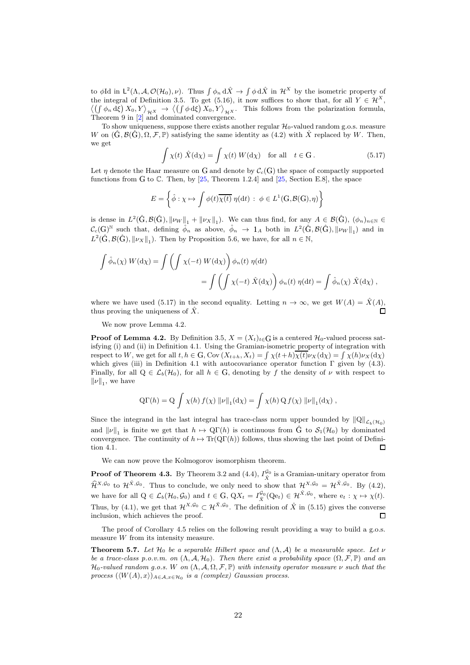to φId in  $\mathsf{L}^2(\Lambda,\mathcal{A},\mathcal{O}(\mathcal{H}_0),\nu)$ . Thus  $\int \phi_n d\hat{X} \to \int \phi d\hat{X}$  in  $\mathcal{H}^X$  by the isometric property of the integral of Definition 3.5. To get (5.16), it now suffices to show that, for all  $Y \in \mathcal{H}^{X}$ ,  $\langle (\int \phi_n d\xi) X_0, Y \rangle_{\mathcal{H}^X} \to \langle (\int \phi d\xi) X_0, Y \rangle_{\mathcal{H}^X}$ . This follows from the polarization formula, Theorem 9 in  $\left[2\right]$  and dominated convergence.

To show uniqueness, suppose there exists another regular  $\mathcal{H}_0$ -valued random g.o.s. measure W on  $(\tilde{G}, \mathcal{B}(\tilde{G}), \Omega, \mathcal{F}, \mathbb{P})$  satisfying the same identity as (4.2) with X replaced by W. Then, we get

$$
\int \chi(t) \hat{X}(\mathrm{d}\chi) = \int \chi(t) W(\mathrm{d}\chi) \quad \text{for all} \quad t \in \mathcal{G}. \tag{5.17}
$$

Let  $\eta$  denote the Haar measure on G and denote by  $C_c(G)$  the space of compactly supported functions from G to C. Then, by  $[25,$  Theorem 1.2.4] and  $[25,$  Section E.8], the space

$$
E = \left\{ \hat{\phi} : \chi \mapsto \int \phi(t) \overline{\chi(t)} \eta(\mathrm{d}t) : \phi \in L^1(\mathcal{G}, \mathcal{B}(\mathcal{G}), \eta) \right\}
$$

is dense in  $L^2(\hat{G}, \mathcal{B}(\hat{G}), ||\nu_W||_1 + ||\nu_X||_1)$ . We can thus find, for any  $A \in \mathcal{B}(\hat{G}), (\phi_n)_{n \in \mathbb{N}} \in$  $\mathcal{C}_c(G)^{\mathbb{N}}$  such that, defining  $\hat{\phi}_n$  as above,  $\hat{\phi}_n \to 1_A$  both in  $L^2(\hat{G}, \mathcal{B}(\hat{G}), ||\nu_W||_1)$  and in  $L^2(\hat{\mathbf{G}}, \mathcal{B}(\hat{\mathbf{G}}), \|\nu_X\|_1)$ . Then by Proposition 5.6, we have, for all  $n \in \mathbb{N}$ ,

$$
\int \hat{\phi}_n(\chi) W(\mathrm{d}\chi) = \int \left( \int \chi(-t) W(\mathrm{d}\chi) \right) \phi_n(t) \eta(\mathrm{d}t)
$$
  
= 
$$
\int \left( \int \chi(-t) \hat{X}(\mathrm{d}\chi) \right) \phi_n(t) \eta(\mathrm{d}t) = \int \hat{\phi}_n(\chi) \hat{X}(\mathrm{d}\chi) ,
$$

where we have used (5.17) in the second equality. Letting  $n \to \infty$ , we get  $W(A) = \ddot{X}(A)$ , thus proving the uniqueness of  $\hat{X}$ .

We now prove Lemma 4.2.

**Proof of Lemma 4.2.** By Definition 3.5,  $X = (X_t)_{t \in G}$  is a centered  $\mathcal{H}_0$ -valued process satisfying (i) and (ii) in Definition 4.1. Using the Gramian-isometric property of integration with respect to W, we get for all  $t, h \in G$ , Cov  $(X_{t+h}, X_t) = \int \chi(t+h)\overline{\chi(t)}\nu_X(\mathrm{d}\chi) = \int \chi(h)\nu_X(\mathrm{d}\chi)$ which gives (iii) in Definition 4.1 with autocovariance operator function  $\Gamma$  given by (4.3). Finally, for all  $Q \in \mathcal{L}_b(\mathcal{H}_0)$ , for all  $h \in G$ , denoting by f the density of  $\nu$  with respect to  $\|\nu\|_1$ , we have

$$
Q\Gamma(h) = Q \int \chi(h) f(\chi) \|\nu\|_1 (d\chi) = \int \chi(h) Q f(\chi) \|\nu\|_1 (d\chi),
$$

Since the integrand in the last integral has trace-class norm upper bounded by  $\|Q\|_{\mathcal{L}_b(\mathcal{H}_0)}$ and  $\|\nu\|_1$  is finite we get that  $h \mapsto Q\Gamma(h)$  is continuous from  $\hat{G}$  to  $S_1(\mathcal{H}_0)$  by dominated convergence. The continuity of  $h \mapsto \text{Tr}(\text{QT}(h))$  follows, thus showing the last point of Definition 4.1.  $\Box$ 

We can now prove the Kolmogorov isomorphism theorem.

**Proof of Theorem 4.3.** By Theorem 3.2 and (4.4),  $I_{\hat{X}}^{\mathcal{G}_0}$  is a Gramian-unitary operator from  $\hat{\mathcal{H}}^{X,\mathcal{G}_0}$  to  $\mathcal{H}^{\hat{X},\mathcal{G}_0}$ . Thus to conclude, we only need to show that  $\mathcal{H}^{X,\mathcal{G}_0} = \mathcal{H}^{\hat{X},\mathcal{G}_0}$ . By (4.2), we have for all  $Q \in \mathcal{L}_b(\mathcal{H}_0, \mathcal{G}_0)$  and  $t \in G$ ,  $QX_t = I_{\hat{X}}^{\mathcal{G}_0}(Qe_t) \in \mathcal{H}^{\hat{X}, \mathcal{G}_0}$ , where  $e_t : \chi \mapsto \chi(t)$ . Thus, by (4.1), we get that  $\mathcal{H}^{X,\mathcal{G}_0} \subset \mathcal{H}^{\hat{X},\mathcal{G}_0}$ . The definition of  $\hat{X}$  in (5.15) gives the converse inclusion, which achieves the proof.  $\Box$ 

The proof of Corollary 4.5 relies on the following result providing a way to build a g.o.s. measure W from its intensity measure.

**Theorem 5.7.** Let  $\mathcal{H}_0$  be a separable Hilbert space and  $(\Lambda, \mathcal{A})$  be a measurable space. Let  $\nu$ *be a trace-class p.o.v.m. on*  $(\Lambda, \mathcal{A}, \mathcal{H}_0)$ *. Then there exist a probability space*  $(\Omega, \mathcal{F}, \mathbb{P})$  *and an*  $\mathcal{H}_0$ -valued random g.o.s. W on  $(\Lambda, \mathcal{A}, \Omega, \mathcal{F}, \mathbb{P})$  with intensity operator measure  $\nu$  such that the *process*  $(\langle W(A), x \rangle)_{A \in \mathcal{A}, x \in \mathcal{H}_0}$  *is a (complex) Gaussian process.*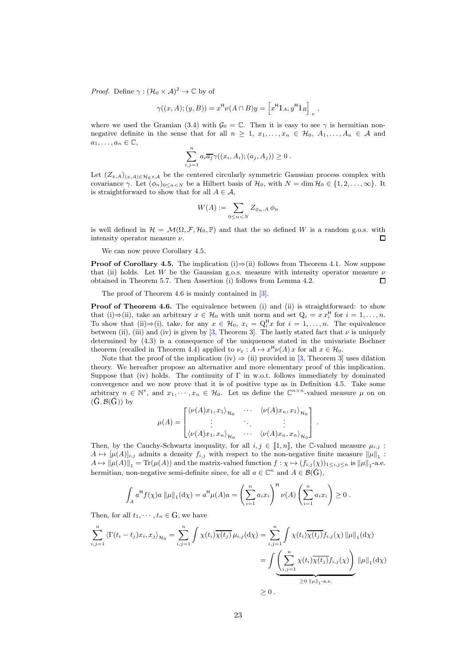*Proof.* Define  $\gamma : (\mathcal{H}_0 \times \mathcal{A})^2 \to \mathbb{C}$  by of

$$
\gamma((x,A);(y,B)) = x^{\mathsf{H}}\nu(A \cap B)y = \left[x^{\mathsf{H}}1_A, y^{\mathsf{H}}1_B\right]_{\nu},
$$

where we used the Gramian (3.4) with  $\mathcal{G}_0 = \mathbb{C}$ . Then it is easy to see  $\gamma$  is hermitian nonnegative definite in the sense that for all  $n \geq 1, x_1, \ldots, x_n \in \mathcal{H}_0, A_1, \ldots, A_n \in \mathcal{A}$  and  $a_1, \ldots, a_n \in \mathbb{C},$ 

$$
\sum_{i,j=1}^n a_i \overline{a_j} \gamma((x_i, A_i); (a_j, A_j)) \geq 0.
$$

Let  $(Z_{x,A})_{(x,A)\in\mathcal{H}_0\times\mathcal{A}}$  be the centered circularly symmetric Gaussian process complex with covariance  $\gamma$ . Let  $(\phi_n)_{0 \leq n \leq N}$  be a Hilbert basis of  $\mathcal{H}_0$ , with  $N = \dim \mathcal{H}_0 \in \{1, 2, \ldots, \infty\}$ . It is straightforward to show that for all  $A \in \mathcal{A}$ ,

$$
W(A) := \sum_{0 \le n < N} Z_{\phi_n, A} \, \phi_n
$$

is well defined in  $\mathcal{H} = \mathcal{M}(\Omega, \mathcal{F}, \mathcal{H}_0, \mathbb{P})$  and that the so defined W is a random g.o.s. with intensity operator measure  $\nu$ . П

We can now prove Corollary 4.5.

**Proof of Corollary 4.5.** The implication (i) $\Rightarrow$ (ii) follows from Theorem 4.1. Now suppose that (ii) holds. Let W be the Gaussian g.o.s. measure with intensity operator measure  $\nu$ obtained in Theorem 5.7. Then Assertion (i) follows from Lemma 4.2.  $\Box$ 

The proof of Theorem 4.6 is mainly contained in [3].

Proof of Theorem 4.6. The equivalence between (i) and (ii) is straightforward: to show that (i)⇒(ii), take an arbitrary  $x \in \mathcal{H}_0$  with unit norm and set  $Q_i = x x_i^H$  for  $i = 1, ..., n$ . To show that (ii) $\Rightarrow$ (i), take, for any  $x \in \mathcal{H}_0$ ,  $x_i = Q_i^H x$  for  $i = 1, \ldots, n$ . The equivalence between (ii), (iii) and (iv) is given by [3, Theorem 3]. The lastly stated fact that  $\nu$  is uniquely determined by (4.3) is a consequence of the uniqueness stated in the univariate Bochner theorem (recalled in Theorem 4.4) applied to  $\nu_x : A \mapsto x^{\mathsf{H}} \nu(A) x$  for all  $x \in \mathcal{H}_0$ .

Note that the proof of the implication (iv)  $\Rightarrow$  (ii) provided in [3, Theorem 3] uses dilation theory. We hereafter propose an alternative and more elementary proof of this implication. Suppose that (iv) holds. The continuity of Γ in w.o.t. follows immediately by dominated convergence and we now prove that it is of positive type as in Definition 4.5. Take some arbitrary  $n \in \mathbb{N}^*$ , and  $x_1, \dots, x_n \in \mathcal{H}_0$ . Let us define the  $\mathbb{C}^{n \times n}$ -valued measure  $\mu$  on on  $(\hat{G}, \mathcal{B}(\hat{G}))$  by

$$
\mu(A) = \begin{bmatrix} \langle \nu(A)x_1, x_1 \rangle_{\mathcal{H}_0} & \cdots & \langle \nu(A)x_n, x_1 \rangle_{\mathcal{H}_0} \\ \vdots & \ddots & \vdots \\ \langle \nu(A)x_1, x_n \rangle_{\mathcal{H}_0} & \cdots & \langle \nu(A)x_n, x_n \rangle_{\mathcal{H}_0} \end{bmatrix}.
$$

Then, by the Cauchy-Schwartz inequality, for all i,  $j \in [1, n]$ , the C-valued measure  $\mu_{i,j}$ :  $A \mapsto [\mu(A)]_{i,j}$  admits a density  $f_{i,j}$  with respect to the non-negative finite measure  $\|\mu\|_1$ :  $A \mapsto \|\mu(A)\|_1 = \text{Tr}(\mu(A))$  and the matrix-valued function  $f : \chi \mapsto (f_{i,j}(\chi))_{1 \le i,j \le n}$  is  $\|\mu\|_1$ -a.e. hermitian, non-negative semi-definite since, for all  $a \in \mathbb{C}^n$  and  $A \in \mathcal{B}(\hat{G})$ ,

$$
\int_A a^H f(\chi) a \|\mu\|_1 (d\chi) = a^H \mu(A) a = \left(\sum_{i=1}^n a_i x_i\right)^H \nu(A) \left(\sum_{i=1}^n a_i x_i\right) \ge 0.
$$

Then, for all  $t_1, \dots, t_n \in G$ , we have

$$
\sum_{i,j=1}^{n} \left\langle \Gamma(t_i - t_j) x_i, x_j \right\rangle_{\mathcal{H}_0} = \sum_{i,j=1}^{n} \int \chi(t_i) \overline{\chi(t_j)} \mu_{i,j}(\mathrm{d}\chi) = \sum_{i,j=1}^{n} \int \chi(t_i) \overline{\chi(t_j)} f_{i,j}(\chi) \|\mu\|_1(\mathrm{d}\chi)
$$

$$
= \int \underbrace{\left(\sum_{i,j=1}^{n} \chi(t_i) \overline{\chi(t_j)} f_{i,j}(\chi)\right)}_{\geq 0 \|\mu\|_1 \text{ a.e.}} \|\mu\|_1(\mathrm{d}\chi)
$$

$$
\geq 0.
$$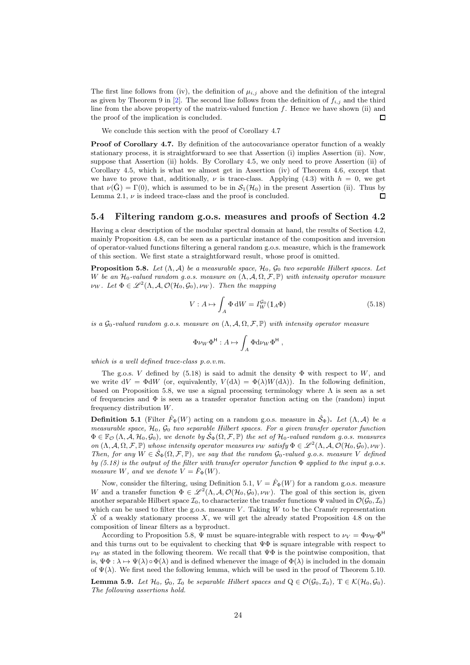The first line follows from (iv), the definition of  $\mu_{i,j}$  above and the definition of the integral as given by Theorem 9 in [2]. The second line follows from the definition of  $f_{i,j}$  and the third line from the above property of the matrix-valued function  $f$ . Hence we have shown (ii) and the proof of the implication is concluded.  $\Box$ 

We conclude this section with the proof of Corollary 4.7

Proof of Corollary 4.7. By definition of the autocovariance operator function of a weakly stationary process, it is straightforward to see that Assertion (i) implies Assertion (ii). Now, suppose that Assertion (ii) holds. By Corollary 4.5, we only need to prove Assertion (ii) of Corollary 4.5, which is what we almost get in Assertion (iv) of Theorem 4.6, except that we have to prove that, additionally,  $\nu$  is trace-class. Applying (4.3) with  $h = 0$ , we get that  $\nu(G) = \Gamma(0)$ , which is assumed to be in  $S_1(\mathcal{H}_0)$  in the present Assertion (ii). Thus by  $\Box$ Lemma 2.1,  $\nu$  is indeed trace-class and the proof is concluded.

#### 5.4 Filtering random g.o.s. measures and proofs of Section 4.2

Having a clear description of the modular spectral domain at hand, the results of Section 4.2, mainly Proposition 4.8, can be seen as a particular instance of the composition and inversion of operator-valued functions filtering a general random g.o.s. measure, which is the framework of this section. We first state a straightforward result, whose proof is omitted.

**Proposition 5.8.** *Let*  $(\Lambda, \mathcal{A})$  *be a measurable space,*  $\mathcal{H}_0$ ,  $\mathcal{G}_0$  *two separable Hilbert spaces. Let* W be an  $\mathcal{H}_0$ -valued random g.o.s. measure on  $(\Lambda, \mathcal{A}, \Omega, \mathcal{F}, \mathbb{P})$  with intensity operator measure  $\nu_W$ *. Let*  $\Phi \in \mathscr{L}^2(\Lambda, \mathcal{A}, \mathcal{O}(\mathcal{H}_0, \mathcal{G}_0), \nu_W)$ *. Then the mapping* 

$$
V: A \mapsto \int_{A} \Phi \, \mathrm{d}W = I_W^{\mathcal{G}_0}(1_A \Phi) \tag{5.18}
$$

*is a*  $\mathcal{G}_0$ -valued random g.o.s. measure on  $(\Lambda, \mathcal{A}, \Omega, \mathcal{F}, \mathbb{P})$  with intensity operator measure

$$
\Phi \nu_W \Phi^{\mathsf{H}} : A \mapsto \int_A \Phi \mathrm{d} \nu_W \Phi^{\mathsf{H}} ,
$$

*which is a well defined trace-class p.o.v.m.*

The g.o.s. V defined by (5.18) is said to admit the density  $\Phi$  with respect to W, and we write  $dV = \Phi dW$  (or, equivalently,  $V(d\lambda) = \Phi(\lambda)W(d\lambda)$ ). In the following definition, based on Proposition 5.8, we use a signal processing terminology where  $\Lambda$  is seen as a set of frequencies and  $\Phi$  is seen as a transfer operator function acting on the (random) input frequency distribution W.

**Definition 5.1** (Filter  $\hat{F}_{\Phi}(W)$  acting on a random g.o.s. measure in  $\hat{S}_{\Phi}$ ). Let  $(\Lambda, \mathcal{A})$  be a *measurable space,* H0*,* G<sup>0</sup> *two separable Hilbert spaces. For a given transfer operator function*  $\Phi \in \mathbb{F}_{\mathcal{O}}(\Lambda, \mathcal{A}, \mathcal{H}_0, \mathcal{G}_0)$ *, we denote by*  $\hat{\mathcal{S}}_{\Phi}(\Omega, \mathcal{F}, \mathbb{P})$  *the set of*  $\mathcal{H}_0$ *-valued random g.o.s. measures on*  $(\Lambda, \mathcal{A}, \Omega, \mathcal{F}, \mathbb{P})$  *whose intensity operator measures*  $\nu_W$  *satisfy*  $\Phi \in \mathscr{L}^2(\Lambda, \mathcal{A}, \mathcal{O}(\mathcal{H}_0, \mathcal{G}_0), \nu_W)$ . *Then, for any*  $W \in \hat{\mathcal{S}}_{\Phi}(\Omega, \mathcal{F}, \mathbb{P})$ *, we say that the random*  $\mathcal{G}_0$ *-valued q.o.s. measure* V *defined by (5.18) is the output of the filter with transfer operator function* Φ *applied to the input g.o.s. measure W*, and we denote  $V = \hat{F}_{\Phi}(W)$ .

Now, consider the filtering, using Definition 5.1,  $V = \hat{F}_{\Phi}(W)$  for a random g.o.s. measure W and a transfer function  $\Phi \in \mathscr{L}^2(\Lambda, \mathcal{A}, \mathcal{O}(\mathcal{H}_0, \mathcal{G}_0), \nu_W)$ . The goal of this section is, given another separable Hilbert space  $\mathcal{I}_0$ , to characterize the transfer functions  $\Psi$  valued in  $\mathcal{O}(\mathcal{G}_0, \mathcal{I}_0)$ which can be used to filter the g.o.s. measure  $V$ . Taking  $W$  to be the Cramér representation  $\hat{X}$  of a weakly stationary process  $X$ , we will get the already stated Proposition 4.8 on the composition of linear filters as a byproduct.

According to Proposition 5.8,  $\Psi$  must be square-integrable with respect to  $\nu_V = \Phi \nu_W \Phi^H$ and this turns out to be equivalent to checking that  $\Psi\Phi$  is square integrable with respect to  $\nu_W$  as stated in the following theorem. We recall that  $\Psi\Phi$  is the pointwise composition, that is,  $\Psi \Phi : \lambda \mapsto \Psi(\lambda) \circ \Phi(\lambda)$  and is defined whenever the image of  $\Phi(\lambda)$  is included in the domain of  $\Psi(\lambda)$ . We first need the following lemma, which will be used in the proof of Theorem 5.10.

**Lemma 5.9.** *Let*  $\mathcal{H}_0$ *,*  $\mathcal{G}_0$ *,*  $\mathcal{I}_0$  *be separable Hilbert spaces and*  $Q \in \mathcal{O}(\mathcal{G}_0, \mathcal{I}_0)$ *,*  $T \in \mathcal{K}(\mathcal{H}_0, \mathcal{G}_0)$ *. The following assertions hold.*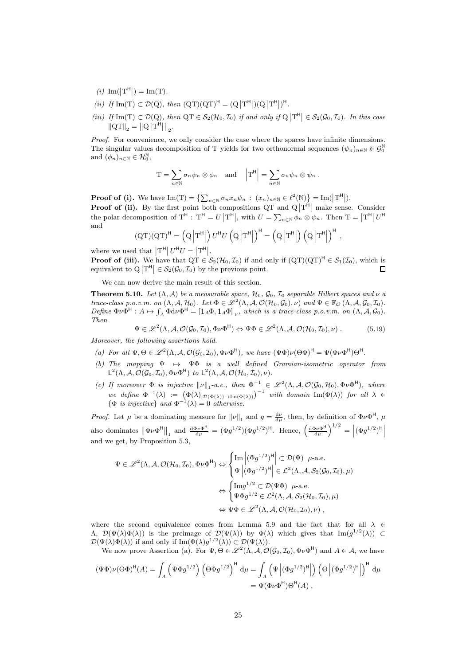- $(i)\ \operatorname{Im}(\left|\mathbf{T}^{\mathsf{H}}\right|) = \operatorname{Im}(\mathbf{T}).$
- $(ii)\;\; \textit{If} \; {\rm Im}(T) \subset \mathcal D(Q), \; \textit{then} \; \; (QT)(QT)^{\mathsf{H}} = (Q\left|T^{\mathsf{H}}\right|)(Q\left|T^{\mathsf{H}}\right|)^{\mathsf{H}}.$
- $(iii)$  If  $\text{Im}(T) \subset \mathcal{D}(Q)$ , then  $QT \in \mathcal{S}_2(\mathcal{H}_0, \mathcal{I}_0)$  if and only if  $Q|T^H| \in \mathcal{S}_2(\mathcal{G}_0, \mathcal{I}_0)$ . In this case  $\left\|\mathrm{QT}\right\|_2 = \left\|\mathrm{Q}\left|\mathrm{T}^\textsf{H}\right|\right\|_2.$

*Proof.* For convenience, we only consider the case where the spaces have infinite dimensions. The singular values decomposition of T yields for two orthonormal sequences  $(\psi_n)_{n\in\mathbb{N}}\in\mathcal{G}_0^{\mathbb{N}}$ and  $(\phi_n)_{n \in \mathbb{N}} \in \mathcal{H}_0^{\mathbb{N}},$ 

$$
\mathrm{T} = \sum_{n \in \mathbb{N}} \sigma_n \psi_n \otimes \phi_n \quad \text{and} \quad \left| \mathrm{T}^{\mathsf{H}} \right| = \sum_{n \in \mathbb{N}} \sigma_n \psi_n \otimes \psi_n .
$$

**Proof of (i).** We have  $\text{Im}(\mathbf{T}) = \left\{ \sum_{n \in \mathbb{N}} \sigma_n x_n \psi_n : (x_n)_{n \in \mathbb{N}} \in \ell^2(\mathbb{N}) \right\} = \text{Im}(|\mathbf{T}^{\mathsf{H}}|).$ **Proof of (ii).** By the first point both compositions QT and  $Q|T^{\hat{H}}|$  make sense. Consider the polar decomposition of  $T^{\mathsf{H}}$ :  $T^{\mathsf{H}} = U |T^{\mathsf{H}}|$ , with  $U = \sum_{n \in \mathbb{N}} \phi_n \otimes \psi_n$ . Then  $T = |T^{\mathsf{H}}| U^{\mathsf{H}}$ and

$$
(QT)(QT)^{H} = \left(Q \left| T^{H} \right| \right) U^{H} U \left( Q \left| T^{H} \right| \right)^{H} = \left(Q \left| T^{H} \right| \right) \left(Q \left| T^{H} \right| \right)^{H},
$$

where we used that  $|T^{\mathsf{H}}| U^{\mathsf{H}} U = |T^{\mathsf{H}}|$ .

**Proof of (iii).** We have that  $\overline{QT} \in \mathcal{S}_2(\mathcal{H}_0, \mathcal{I}_0)$  if and only if  $(QT)(QT)^H \in \mathcal{S}_1(\mathcal{I}_0)$ , which is equivalent to  $Q|T^H| \in \mathcal{S}_2(\mathcal{G}_0, \mathcal{I}_0)$  by the previous point.  $\Box$ 

We can now derive the main result of this section.

**Theorem 5.10.** *Let*  $(\Lambda, \mathcal{A})$  *be a measurable space,*  $\mathcal{H}_0$ ,  $\mathcal{G}_0$ ,  $\mathcal{I}_0$  *separable Hilbert spaces and*  $\nu$  *a trace-class p.o.v.m. on*  $(\Lambda, \mathcal{A}, \mathcal{H}_0)$ *. Let*  $\Phi \in \mathscr{L}^2(\Lambda, \mathcal{A}, \mathcal{O}(\mathcal{H}_0, \mathcal{G}_0), \nu)$  *and*  $\Psi \in \mathbb{F}_{\mathcal{O}}(\Lambda, \mathcal{A}, \mathcal{G}_0, \mathcal{I}_0)$ *.*  $Define \ \Phi \nu \Phi^{\text{H}}: A \mapsto \int_A \Phi d\nu \Phi^{\text{H}} = [1_A \Phi, 1_A \Phi]_{\nu}$ , which is a trace-class p.o.v.m. on  $(\Lambda, \mathcal{A}, \mathcal{G}_0)$ . *Then*

$$
\Psi \in \mathscr{L}^2(\Lambda, \mathcal{A}, \mathcal{O}(\mathcal{G}_0, \mathcal{I}_0), \Phi \nu \Phi^{\mathsf{H}}) \Leftrightarrow \Psi \Phi \in \mathscr{L}^2(\Lambda, \mathcal{A}, \mathcal{O}(\mathcal{H}_0, \mathcal{I}_0), \nu) .
$$
 (5.19)

*Moreover, the following assertions hold.*

- (a) For all  $\Psi, \Theta \in \mathscr{L}^2(\Lambda, \mathcal{A}, \mathcal{O}(\mathcal{G}_0, \mathcal{I}_0), \Phi \nu \Phi^{\mathsf{H}})$ , we have  $(\Psi \Phi) \nu (\Theta \Phi)^{\mathsf{H}} = \Psi (\Phi \nu \Phi^{\mathsf{H}}) \Theta^{\mathsf{H}}$ .
- *(b) The mapping* Ψ 7→ ΨΦ *is a well defined Gramian-isometric operator from*  $\mathsf{L}^2(\Lambda, \mathcal{A}, \mathcal{O}(\mathcal{G}_0, \mathcal{I}_0), \Phi \nu \Phi^{\mathsf{H}})$  *to*  $\mathsf{L}^2(\Lambda, \mathcal{A}, \mathcal{O}(\mathcal{H}_0, \mathcal{I}_0), \nu)$ *.*
- (c) If moreover  $\Phi$  *is injective*  $\|\nu\|_1$ -a.e., then  $\Phi^{-1} \in \mathscr{L}^2(\Lambda, \mathcal{A}, \mathcal{O}(\mathcal{G}_0, \mathcal{H}_0), \Phi \nu \Phi^{\mathsf{H}})$ , where *we define*  $\Phi^{-1}(\lambda) := (\Phi(\lambda)|_{\mathcal{D}(\Phi(\lambda))\to \text{Im}(\Phi(\lambda))})^{-1}$  *with domain*  $\text{Im}(\Phi(\lambda))$  *for all*  $\lambda \in$  $\{\Phi \text{ is injective}\}\$ and  $\Phi^{-1}(\lambda) = 0$  otherwise.

*Proof.* Let  $\mu$  be a dominating measure for  $\|\nu\|_1$  and  $g = \frac{d\nu}{d\mu}$ , then, by definition of  $\Phi \nu \Phi^{\mathsf{H}}$ ,  $\mu$ also dominates  $\|\Phi\nu\Phi^{\text{H}}\|_1$  and  $\frac{d\Phi\nu\Phi^{\text{H}}}{d\mu} = (\Phi g^{1/2})(\Phi g^{1/2})^{\text{H}}$ . Hence,  $\left(\frac{d\Phi\nu\Phi^{\text{H}}}{d\mu}\right)^{1/2} = \left|(\Phi g^{1/2})^{\text{H}}\right|$ and we get, by Proposition 5.3,

$$
\Psi \in \mathscr{L}^2(\Lambda, \mathcal{A}, \mathcal{O}(\mathcal{H}_0, \mathcal{I}_0), \Phi \nu \Phi^{\mathsf{H}}) \Leftrightarrow \begin{cases} \mathrm{Im} \left| (\Phi g^{1/2})^{\mathsf{H}} \right| \subset \mathcal{D}(\Psi) \ \mu\text{-a.e.} \\ \Psi \left| (\Phi g^{1/2})^{\mathsf{H}} \right| \in \mathcal{L}^2(\Lambda, \mathcal{A}, \mathcal{S}_2(\mathcal{G}_0, \mathcal{I}_0), \mu) \\ \Leftrightarrow \begin{cases} \mathrm{Im} g^{1/2} \subset \mathcal{D}(\Psi \Phi) \ \mu\text{-a.e.} \\ \Psi \Phi g^{1/2} \in \mathcal{L}^2(\Lambda, \mathcal{A}, \mathcal{S}_2(\mathcal{H}_0, \mathcal{I}_0), \mu) \\ \Leftrightarrow \Psi \Phi \in \mathscr{L}^2(\Lambda, \mathcal{A}, \mathcal{O}(\mathcal{H}_0, \mathcal{I}_0), \nu) \end{cases}, \end{cases}
$$

where the second equivalence comes from Lemma 5.9 and the fact that for all  $\lambda \in$  $(\Lambda, \mathcal{D}(\Psi(\lambda)\Phi(\lambda))$  is the preimage of  $\mathcal{D}(\Psi(\lambda))$  by  $\Phi(\lambda)$  which gives that  $\text{Im}(g^{1/2}(\lambda)) \subset$  $\mathcal{D}(\Psi(\lambda)\Phi(\lambda))$  if and only if  $\text{Im}(\Phi(\lambda)g^{1/2}(\lambda)) \subset \mathcal{D}(\Psi(\lambda)).$ 

We now prove Assertion (a). For  $\Psi, \Theta \in \mathscr{L}^2(\Lambda, \mathcal{A}, \mathcal{O}(\mathcal{G}_0, \mathcal{I}_0), \Phi \nu \Phi^{\mathsf{H}})$  and  $A \in \mathcal{A}$ , we have

$$
(\Psi\Phi)\nu(\Theta\Phi)^{\mathsf{H}}(A) = \int_{A} \left( \Psi\Phi g^{1/2} \right) \left( \Theta\Phi g^{1/2} \right)^{\mathsf{H}} \mathrm{d}\mu = \int_{A} \left( \Psi \left| (\Phi g^{1/2})^{\mathsf{H}} \right| \right) \left( \Theta \left| (\Phi g^{1/2})^{\mathsf{H}} \right| \right)^{\mathsf{H}} \mathrm{d}\mu
$$
  
=  $\Psi(\Phi\nu\Phi^{\mathsf{H}})\Theta^{\mathsf{H}}(A)$ ,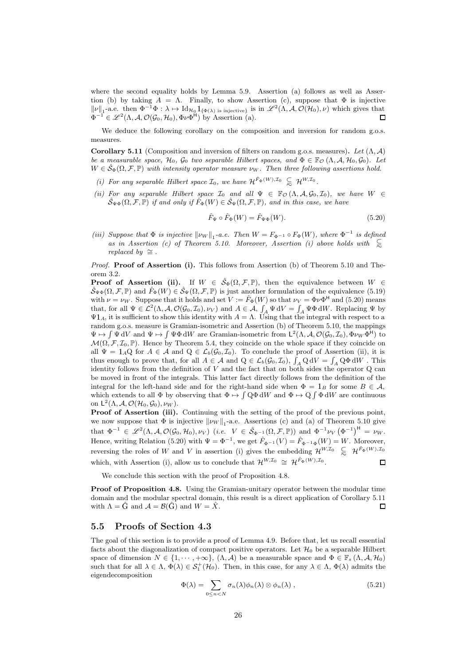where the second equality holds by Lemma 5.9. Assertion (a) follows as well as Assertion (b) by taking  $A = \Lambda$ . Finally, to show Assertion (c), suppose that  $\Phi$  is injective  $\|\nu\|_1$ -a.e. then  $\Phi^{-1}\Phi : \lambda \mapsto \mathrm{Id}_{\mathcal{H}_0}1_{\{\Phi(\lambda)\text{ is injective}\}}$  is in  $\mathscr{L}^2(\Lambda, \mathcal{A}, \mathcal{O}(\mathcal{H}_0), \nu)$  which gives that  $\Phi^{-1} \in \mathscr{L}^2(\Lambda, \mathcal{A}, \mathcal{O}(\mathcal{G}_0, \mathcal{H}_0), \Phi \nu \Phi^{\mathsf{H}})$  by Assertion (a).

We deduce the following corollary on the composition and inversion for random g.o.s. measures.

Corollary 5.11 (Composition and inversion of filters on random g.o.s. measures). *Let* (Λ, A) *be a measurable space,*  $\mathcal{H}_0$ ,  $\mathcal{G}_0$  *two separable Hilbert spaces, and*  $\Phi \in \mathbb{F}_{\mathcal{O}}(\Lambda, \mathcal{A}, \mathcal{H}_0, \mathcal{G}_0)$ *. Let*  $W \in \hat{\mathcal{S}}_{\Phi}(\Omega, \mathcal{F}, \mathbb{P})$  *with intensity operator measure*  $\nu_W$ *. Then three following assertions hold.* 

- *(i) For any separable Hilbert space*  $\mathcal{I}_0$ *, we have*  $\mathcal{H}^{\hat{F}_{\Phi}(W), \mathcal{I}_0} \subseteq \mathcal{H}^{W, \mathcal{I}_0}$ *.*
- *(ii)* For any separable Hilbert space  $\mathcal{I}_0$  and all  $\Psi \in \mathbb{F}_{\mathcal{O}}(\Lambda, \mathcal{A}, \mathcal{G}_0, \mathcal{I}_0)$ , we have  $W \in$  $\mathcal{S}_{\Psi\Phi}(\Omega, \mathcal{F}, \mathbb{P})$  *if and only if*  $\hat{F}_{\Phi}(W) \in \mathcal{S}_{\Psi}(\Omega, \mathcal{F}, \mathbb{P})$ *, and in this case, we have*

$$
\hat{F}_{\Psi} \circ \hat{F}_{\Phi}(W) = \hat{F}_{\Psi\Phi}(W). \tag{5.20}
$$

*(iii)* Suppose that  $\Phi$  *is injective*  $\|\nu_W\|_1$ -a.e. Then  $W = F_{\Phi^{-1}} \circ F_{\Phi}(W)$ *, where*  $\Phi^{-1}$  *is defined as in Assertion (c) of Theorem 5.10. Moreover, Assertion (i) above holds with*  $\subseteq$ *replaced by*  $\cong$  *.* 

*Proof.* **Proof of Assertion (i).** This follows from Assertion (b) of Theorem 5.10 and Theorem 3.2.

**Proof of Assertion (ii).** If  $W \in \hat{\mathcal{S}}_{\Phi}(\Omega, \mathcal{F}, \mathbb{P})$ , then the equivalence between  $W \in$  $\hat{\mathcal{S}}_{\Psi\Phi}(\Omega,\mathcal{F},\mathbb{P})$  and  $\hat{F}_{\Phi}(W) \in \hat{\mathcal{S}}_{\Psi}(\Omega,\mathcal{F},\mathbb{P})$  is just another formulation of the equivalence (5.19) with  $\nu = \nu_W$ . Suppose that it holds and set  $V := \hat{F}_{\Phi}(W)$  so that  $\nu_V = \Phi \nu \Phi^H$  and (5.20) means that, for all  $\Psi \in \mathcal{L}^2(\Lambda, \mathcal{A}, \mathcal{O}(\mathcal{G}_0, \mathcal{I}_0), \nu_V)$  and  $A \in \mathcal{A}, \int_A \Psi dV = \int_A \Psi \Phi dW$ . Replacing  $\Psi$  by  $\Psi_{1}$ , it is sufficient to show this identity with  $A = \Lambda$ . Using that the integral with respect to a random g.o.s. measure is Gramian-isometric and Assertion (b) of Theorem 5.10, the mappings  $\Psi \mapsto \int \Psi \, dV$  and  $\Psi \mapsto \int \Psi \Phi \, dW$  are Gramian-isometric from  $\mathsf{L}^2(\Lambda, \mathcal{A}, \mathcal{O}(\mathcal{G}_0, \mathcal{I}_0), \Phi \nu_W \Phi^{\mathsf{H}})$  to  $\mathcal{M}(\Omega, \mathcal{F}, \mathcal{I}_0, \mathbb{P})$ . Hence by Theorem 5.4, they coincide on the whole space if they coincide on all  $\Psi = 1_A \mathbb{Q}$  for  $A \in \mathcal{A}$  and  $\mathbb{Q} \in \mathcal{L}_b(\mathcal{G}_0, \mathcal{I}_0)$ . To conclude the proof of Assertion (ii), it is thus enough to prove that, for all  $A \in \mathcal{A}$  and  $Q \in \mathcal{L}_b(\mathcal{G}_0, \mathcal{I}_0)$ ,  $\int_A Q dV = \int_A Q \Phi dW$ . This identity follows from the definition of  $V$  and the fact that on both sides the operator  $Q$  can be moved in front of the integrals. This latter fact directly follows from the definition of the integral for the left-hand side and for the right-hand side when  $\Phi = 1_B$  for some  $B \in \mathcal{A}$ , which extends to all  $\Phi$  by observing that  $\Phi \mapsto \int Q\Phi dW$  and  $\Phi \mapsto Q\int \Phi dW$  are continuous on  $\mathsf{L}^2(\Lambda, \mathcal{A}, \mathcal{O}(\mathcal{H}_0, \mathcal{G}_0), \nu_W)$ .

Proof of Assertion (iii). Continuing with the setting of the proof of the previous point, we now suppose that  $\Phi$  is injective  $\|\nu_W\|_1$ -a.e. Assertions (c) and (a) of Theorem 5.10 give that  $\Phi^{-1} \in \mathscr{L}^2(\Lambda, \mathcal{A}, \mathcal{O}(\mathcal{G}_0, \mathcal{H}_0), \nu_V)$  (*i.e.*  $V \in \hat{\mathcal{S}}_{\Phi^{-1}}(\Omega, \mathcal{F}, \mathbb{P})$ ) and  $\Phi^{-1} \nu_V (\Phi^{-1})^H = \nu_W$ . Hence, writing Relation (5.20) with  $\Psi = \Phi^{-1}$ , we get  $\hat{F}_{\Phi^{-1}}(V) = \hat{F}_{\Phi^{-1}\Phi}(W) = W$ . Moreover, reversing the roles of W and V in assertion (i) gives the embedding  $\mathcal{H}^{W,\mathcal{I}_0} \subseteq \mathcal{H}^{\hat{F}_{\Phi}(W),\mathcal{I}_0}$ which, with Assertion (i), allow us to conclude that  $\mathcal{H}^{W,\mathcal{I}_0} \cong \mathcal{H}^{\hat{F}_{\Phi}(W),\mathcal{I}_0}$ .  $\Box$ 

We conclude this section with the proof of Proposition 4.8.

Proof of Proposition 4.8. Using the Gramian-unitary operator between the modular time domain and the modular spectral domain, this result is a direct application of Corollary 5.11 with  $\Lambda = \hat{G}$  and  $\mathcal{A} = \mathcal{B}(\hat{G})$  and  $W = \hat{X}$ .  $\Box$ 

#### 5.5 Proofs of Section 4.3

The goal of this section is to provide a proof of Lemma 4.9. Before that, let us recall essential facts about the diagonalization of compact positive operators. Let  $\mathcal{H}_0$  be a separable Hilbert space of dimension  $N \in \{1, \dots, +\infty\}, (\Lambda, \mathcal{A})$  be a measurable space and  $\Phi \in \mathbb{F}_{s}(\Lambda, \mathcal{A}, \mathcal{H}_{0})$ such that for all  $\lambda \in \Lambda$ ,  $\Phi(\lambda) \in S_1^+(\mathcal{H}_0)$ . Then, in this case, for any  $\lambda \in \Lambda$ ,  $\Phi(\lambda)$  admits the eigendecomposition

$$
\Phi(\lambda) = \sum_{0 \le n < N} \sigma_n(\lambda) \phi_n(\lambda) \otimes \phi_n(\lambda) \,, \tag{5.21}
$$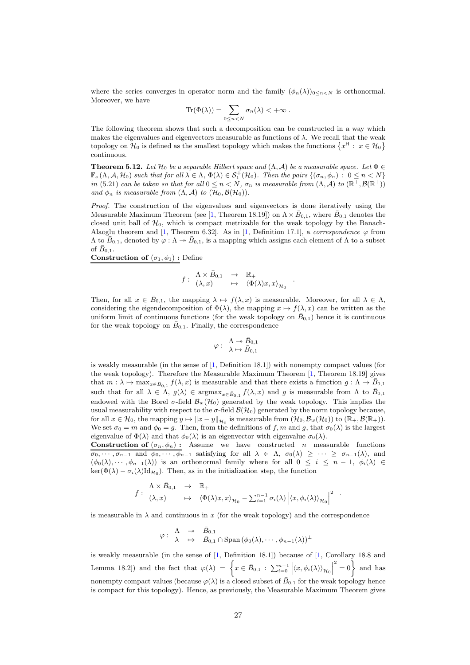where the series converges in operator norm and the family  $(\phi_n(\lambda))_{0 \leq n \leq N}$  is orthonormal. Moreover, we have

$$
\mathrm{Tr}(\Phi(\lambda)) = \sum_{0 \leq n < N} \sigma_n(\lambda) < +\infty \; .
$$

The following theorem shows that such a decomposition can be constructed in a way which makes the eigenvalues and eigenvectors measurable as functions of  $\lambda$ . We recall that the weak topology on  $\mathcal{H}_0$  is defined as the smallest topology which makes the functions  $\{x^H : x \in \mathcal{H}_0\}$ continuous.

**Theorem 5.12.** *Let*  $\mathcal{H}_0$  *be a separable Hilbert space and*  $(\Lambda, \mathcal{A})$  *be a measurable space. Let*  $\Phi \in$  $\mathbb{F}_s(\Lambda, \mathcal{A}, \mathcal{H}_0)$  such that for all  $\lambda \in \Lambda$ ,  $\Phi(\lambda) \in \mathcal{S}_1^+(\mathcal{H}_0)$ . Then the pairs  $\{(\sigma_n, \phi_n) : 0 \leq n \leq N\}$ *in* (5.21) *can be taken so that for all*  $0 \leq n < N$ ,  $\sigma_n$  *is measurable from*  $(\Lambda, \mathcal{A})$  *to*  $(\mathbb{R}^+, \mathcal{B}(\mathbb{R}^+))$ *and*  $\phi_n$  *is measurable from*  $(\Lambda, \mathcal{A})$  *to*  $(\mathcal{H}_0, \mathcal{B}(\mathcal{H}_0))$ *.* 

*Proof.* The construction of the eigenvalues and eigenvectors is done iteratively using the Measurable Maximum Theorem (see [1, Theorem 18.19]) on  $\Lambda \times \bar{B}_{0,1}$ , where  $\bar{B}_{0,1}$  denotes the closed unit ball of  $\mathcal{H}_0$ , which is compact metrizable for the weak topology by the Banach-Alaoglu theorem and [1, Theorem 6.32]. As in [1, Definition 17.1], a *correspondence*  $\varphi$  from  $\Lambda$  to  $\bar{B}_{0,1}$ , denoted by  $\varphi : \Lambda \to \bar{B}_{0,1}$ , is a mapping which assigns each element of  $\Lambda$  to a subset of  $B_{0.1}$ .

Construction of  $(\sigma_1, \phi_1)$ : Define

$$
f: \begin{array}{ccc} \Lambda \times \bar{B}_{0,1} & \to & \mathbb{R}_+ \\ (\lambda,x) & \mapsto & \langle \Phi(\lambda)x,x \rangle_{\mathcal{H}_0} \end{array}.
$$

Then, for all  $x \in \overline{B}_{0,1}$ , the mapping  $\lambda \mapsto f(\lambda, x)$  is measurable. Moreover, for all  $\lambda \in \Lambda$ , considering the eigendecomposition of  $\Phi(\lambda)$ , the mapping  $x \mapsto f(\lambda, x)$  can be written as the uniform limit of continuous functions (for the weak topology on  $\bar{B}_{0,1}$ ) hence it is continuous for the weak topology on  $\bar{B}_{0,1}$ . Finally, the correspondence

$$
\varphi: \begin{array}{c} \Lambda \twoheadrightarrow \bar{B}_{0,1} \\ \lambda \mapsto \bar{B}_{0,1} \end{array}
$$

is weakly measurable (in the sense of [1, Definition 18.1]) with nonempty compact values (for the weak topology). Therefore the Measurable Maximum Theorem [1, Theorem 18.19] gives that  $m: \lambda \mapsto \max_{x \in \bar{B}_{0,1}} f(\lambda, x)$  is measurable and that there exists a function  $g: \Lambda \to \bar{B}_{0,1}$ such that for all  $\lambda \in \Lambda$ ,  $g(\lambda) \in \text{argmax}_{x \in \bar{B}_{0,1}} f(\lambda, x)$  and g is measurable from  $\Lambda$  to  $\bar{B}_{0,1}$ endowed with the Borel  $\sigma$ -field  $\mathcal{B}_{w}(\mathcal{H}_0)$  generated by the weak topology. This implies the usual measurability with respect to the  $\sigma$ -field  $\mathcal{B}(\mathcal{H}_0)$  generated by the norm topology because, for all  $x \in \mathcal{H}_0$ , the mapping  $y \mapsto ||x - y||_{\mathcal{H}_0}$  is measurable from  $(\mathcal{H}_0, \mathcal{B}_w(\mathcal{H}_0))$  to  $(\mathbb{R}_+, \mathcal{B}(\mathbb{R}_+)).$ We set  $\sigma_0 = m$  and  $\phi_0 = g$ . Then, from the definitions of f, m and g, that  $\sigma_0(\lambda)$  is the largest eigenvalue of  $\Phi(\lambda)$  and that  $\phi_0(\lambda)$  is an eigenvector with eigenvalue  $\sigma_0(\lambda)$ .

**Construction of**  $(\sigma_n, \phi_n)$ : Assume we have constructed *n* measurable functions  $\overline{\sigma_0, \cdots, \sigma_{n-1}}$  and  $\phi_0, \cdots, \phi_{n-1}$  satisfying for all  $\lambda \in \Lambda$ ,  $\sigma_0(\lambda) \geq \cdots \geq \sigma_{n-1}(\lambda)$ , and  $(\phi_0(\lambda), \cdots, \phi_{n-1}(\lambda))$  is an orthonormal family where for all  $0 \leq i \leq n-1$ ,  $\phi_i(\lambda) \in$  $\ker(\Phi(\lambda) - \sigma_i(\lambda) \mathrm{Id}_{\mathcal{H}_0})$ . Then, as in the initialization step, the function

$$
f: \begin{array}{ccc} \Lambda \times \bar{B}_{0,1} & \to & \mathbb{R}_+ \\ (\lambda, x) & \mapsto & \langle \Phi(\lambda)x, x \rangle_{\mathcal{H}_0} - \sum_{i=1}^{n-1} \sigma_i(\lambda) \left| \langle x, \phi_i(\lambda) \rangle_{\mathcal{H}_0} \right|^2 \end{array}.
$$

is measurable in  $\lambda$  and continuous in x (for the weak topology) and the correspondence

$$
\varphi: \begin{array}{ccc} \Lambda & \twoheadrightarrow & \bar{B}_{0,1} \\ \lambda & \mapsto & \bar{B}_{0,1} \cap \mathrm{Span}\left(\phi_0(\lambda), \cdots, \phi_{n-1}(\lambda)\right)^\perp \end{array}
$$

is weakly measurable (in the sense of [1, Definition 18.1]) because of [1, Corollary 18.8 and Lemma 18.2]) and the fact that  $\varphi(\lambda) = \left\{ x \in \bar{B}_{0,1} : \sum_{i=0}^{n-1} \left| \langle x, \phi_i(\lambda) \rangle_{\mathcal{H}_0} \right| \right\}$  $\begin{cases} 2 = 0 \end{cases}$  and has nonempty compact values (because  $\varphi(\lambda)$  is a closed subset of  $\overline{B}_{0,1}$  for the weak topology hence is compact for this topology). Hence, as previously, the Measurable Maximum Theorem gives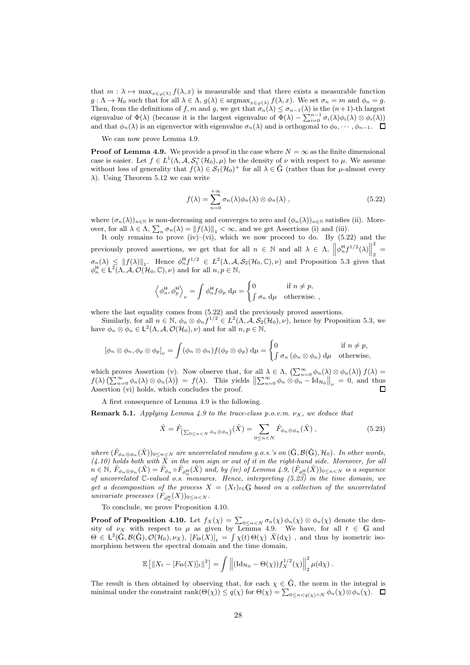that  $m : \lambda \mapsto \max_{x \in \varphi(\lambda)} f(\lambda, x)$  is measurable and that there exists a measurable function  $g: \Lambda \to \mathcal{H}_0$  such that for all  $\lambda \in \Lambda$ ,  $g(\lambda) \in \text{argmax}_{x \in \varphi(\lambda)} f(\lambda, x)$ . We set  $\sigma_n = m$  and  $\phi_n = g$ . Then, from the definitions of f, m and g, we get that  $\sigma_n(\lambda) \leq \sigma_{n-1}(\lambda)$  is the  $(n+1)$ -th largest eigenvalue of  $\Phi(\lambda)$  (because it is the largest eigenvalue of  $\Phi(\lambda) - \sum_{i=0}^{n-1} \sigma_i(\lambda) \phi_i(\lambda) \otimes \phi_i(\lambda)$ ) and that  $\phi_n(\lambda)$  is an eigenvector with eigenvalue  $\sigma_n(\lambda)$  and is orthogonal to  $\phi_0, \dots, \phi_{n-1}$ .  $\Box$ 

We can now prove Lemma 4.9.

**Proof of Lemma 4.9.** We provide a proof in the case where  $N = \infty$  as the finite dimensional case is easier. Let  $f \in L^1(\Lambda, \mathcal{A}, \mathcal{S}_1^+(\mathcal{H}_0), \mu)$  be the density of  $\nu$  with respect to  $\mu$ . We assume without loss of generality that  $f(\lambda) \in \mathcal{S}_1(\mathcal{H}_0)^+$  for all  $\lambda \in \hat{G}$  (rather than for  $\mu$ -almost every  $\lambda$ ). Using Theorem 5.12 we can write

$$
f(\lambda) = \sum_{n=0}^{+\infty} \sigma_n(\lambda) \phi_n(\lambda) \otimes \phi_n(\lambda) , \qquad (5.22)
$$

where  $(\sigma_n(\lambda))_{n\in\mathbb{N}}$  is non-decreasing and converges to zero and  $(\phi_n(\lambda))_{n\in\mathbb{N}}$  satisfies (ii). Moreover, for all  $\lambda \in \Lambda$ ,  $\sum_{n} \sigma_n(\lambda) = ||f(\lambda)||_1 < \infty$ , and we get Assertions (i) and (iii).

It only remains to prove (iv)–(vi), which we now proceed to do. By  $(5.22)$  and the previously proved assertions, we get that for all  $n \in \mathbb{N}$  and all  $\lambda \in \Lambda$ ,  $\left\| \phi_n^{\mathsf{H}} f^{1/2}(\lambda) \right\|$  $\sum_{n=1}^{\infty}$  $\sigma_n(\lambda) \leq ||f(\lambda)||_1$ . Hence  $\phi_n^H f^{1/2} \in L^2(\Lambda, \mathcal{A}, \mathcal{S}_2(\mathcal{H}_0, \mathbb{C}), \nu)$  and Proposition 5.3 gives that  $\phi_n^H \in L^2(\Lambda, \mathcal{A}, \mathcal{O}(\mathcal{H}_0, \mathbb{C}), \nu)$  and for all  $n, p \in \mathbb{N}$ ,

$$
\left\langle \phi_n^{\mathsf{H}}, \phi_p^{\mathsf{H}} \right\rangle_{\nu} = \int \phi_n^{\mathsf{H}} f \phi_p \, \mathrm{d}\mu = \begin{cases} 0 & \text{if } n \neq p, \\ \int \sigma_n \, \mathrm{d}\mu & \text{otherwise.} \end{cases}
$$

where the last equality comes from  $(5.22)$  and the previously proved assertions.

Similarly, for all  $n \in \mathbb{N}$ ,  $\phi_n \otimes \phi_n f^{1/2} \in L^2(\Lambda, \mathcal{A}, \mathcal{S}_2(\mathcal{H}_0), \nu)$ , hence by Proposition 5.3, we have  $\phi_n \otimes \phi_n \in L^2(\Lambda, \mathcal{A}, \mathcal{O}(\mathcal{H}_0), \nu)$  and for all  $n, p \in \mathbb{N}$ ,

$$
[\phi_n \otimes \phi_n, \phi_p \otimes \phi_p]_{\nu} = \int (\phi_n \otimes \phi_n) f(\phi_p \otimes \phi_p) d\mu = \begin{cases} 0 & \text{if } n \neq p, \\ \int \sigma_n (\phi_n \otimes \phi_n) d\mu & \text{otherwise,} \end{cases}
$$

which proves Assertion (v). Now observe that, for all  $\lambda \in \Lambda$ ,  $\left(\sum_{n=0}^{\infty} \phi_n(\lambda) \otimes \phi_n(\lambda)\right) f(\lambda) =$  $f(\lambda)\left(\sum_{n=0}^{\infty} \phi_n(\lambda) \otimes \phi_n(\lambda)\right) = f(\lambda)$ . This yields  $\left\|\sum_{n=0}^{\infty} \phi_n \otimes \phi_n - \text{Id}_{\mathcal{H}_0}\right\|_{\nu} = 0$ , and thus Assertion (vi) holds, which concludes the proof. П

A first consequence of Lemma 4.9 is the following.

**Remark 5.1.** *Applying Lemma 4.9 to the trace-class p.o.v.m.*  $\nu_X$ , we deduce that

$$
\hat{X} = \hat{F}_{\left(\sum_{0 \le n < N} \phi_n \otimes \phi_n\right)}(\hat{X}) = \sum_{0 \le n < N} \hat{F}_{\phi_n \otimes \phi_n}(\hat{X}) \,,\tag{5.23}
$$

*where*  $(\hat{F}_{\phi_n \otimes \phi_n}(\hat{X}))_{0 \leq n \leq N}$  *are uncorrelated random g.o.s.'s on*  $(\hat{G}, \mathcal{B}(\hat{G}), \mathcal{H}_0)$ *. In other words,*  $(4.10)$  holds both with  $\hat{X}$  in the sum sign or out of it in the right-hand side. Moreover, for all  $n \in \mathbb{N}$ ,  $\hat{F}_{\phi_n \otimes \phi_n}(\hat{X}) = \hat{F}_{\phi_n} \circ \hat{F}_{\phi_n^{\text{H}}}(\hat{X})$  and, by (iv) of Lemma 4.9,  $(\hat{F}_{\phi_n^{\text{H}}}(\hat{X}))_{0 \leq n < N}$  is a sequence *of uncorrelated* C*-valued o.s. measures. Hence, interpreting (5.23) in the time domain, we get a decomposition of the process*  $X = (X_t)_{t \in G}$  *based on a collection of the uncorrelated univariate processes*  $(F_{\phi_n^{\text{H}}}(X))_{0 \leq n < N}$ .

To conclude, we prove Proposition 4.10.

**Proof of Proposition 4.10.** Let  $f_X(\chi) = \sum_{0 \leq n < N} \sigma_n(\chi) \phi_n(\chi) \otimes \phi_n(\chi)$  denote the density of  $\nu_X$  with respect to  $\mu$  as given by Lemma 4.9. We have, for all  $t \in G$  and  $\Theta \in L^2(\hat{G}, \mathcal{B}(\hat{G}), \mathcal{O}(\mathcal{H}_0), \nu_X), [F_{\Theta}(X)]_t = \int \chi(t) \Theta(\chi) \hat{X}(d\chi)$ , and thus by isometric isomorphism between the spectral domain and the time domain,

$$
\mathbb{E}\left[\|X_t-[F_{\Theta}(X)]_t\|^2\right]=\int\left\|(\mathrm{Id}_{\mathcal{H}_0}-\Theta(\chi))f_X^{1/2}(\chi)\right\|_2^2\mu(\mathrm{d}\chi).
$$

The result is then obtained by observing that, for each  $\chi \in \hat{G}$ , the norm in the integral is minimal under the constraint  $\text{rank}(\Theta(\chi)) \le q(\chi)$  for  $\Theta(\chi) = \sum_{0 \le n < q(\chi) \wedge N} \phi_n(\chi) \otimes \phi_n(\chi)$ .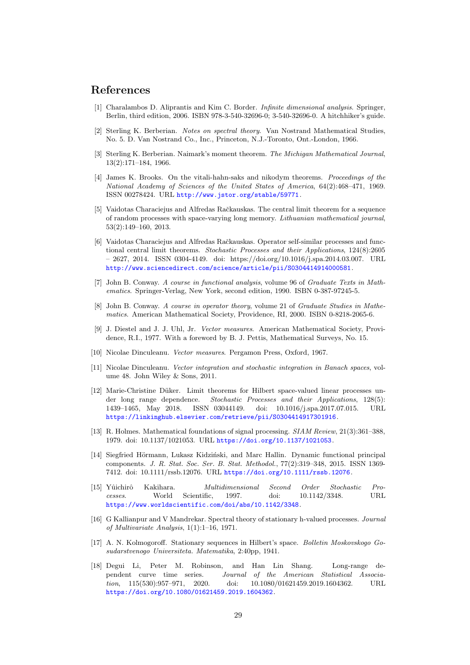# References

- [1] Charalambos D. Aliprantis and Kim C. Border. *Infinite dimensional analysis*. Springer, Berlin, third edition, 2006. ISBN 978-3-540-32696-0; 3-540-32696-0. A hitchhiker's guide.
- [2] Sterling K. Berberian. *Notes on spectral theory*. Van Nostrand Mathematical Studies, No. 5. D. Van Nostrand Co., Inc., Princeton, N.J.-Toronto, Ont.-London, 1966.
- [3] Sterling K. Berberian. Naimark's moment theorem. *The Michigan Mathematical Journal*, 13(2):171–184, 1966.
- [4] James K. Brooks. On the vitali-hahn-saks and nikodym theorems. *Proceedings of the National Academy of Sciences of the United States of America*, 64(2):468–471, 1969. ISSN 00278424. URL <http://www.jstor.org/stable/59771>.
- [5] Vaidotas Characiejus and Alfredas Račkauskas. The central limit theorem for a sequence of random processes with space-varying long memory. *Lithuanian mathematical journal*, 53(2):149–160, 2013.
- [6] Vaidotas Characiejus and Alfredas Račkauskas. Operator self-similar processes and functional central limit theorems. *Stochastic Processes and their Applications*, 124(8):2605  $-2627, 2014.$  ISSN 0304-4149. doi: https://doi.org/10.1016/j.spa.2014.03.007. URL <http://www.sciencedirect.com/science/article/pii/S0304414914000581>.
- [7] John B. Conway. *A course in functional analysis*, volume 96 of *Graduate Texts in Mathematics*. Springer-Verlag, New York, second edition, 1990. ISBN 0-387-97245-5.
- [8] John B. Conway. *A course in operator theory*, volume 21 of *Graduate Studies in Mathematics*. American Mathematical Society, Providence, RI, 2000. ISBN 0-8218-2065-6.
- [9] J. Diestel and J. J. Uhl, Jr. *Vector measures*. American Mathematical Society, Providence, R.I., 1977. With a foreword by B. J. Pettis, Mathematical Surveys, No. 15.
- [10] Nicolae Dinculeanu. *Vector measures*. Pergamon Press, Oxford, 1967.
- [11] Nicolae Dinculeanu. *Vector integration and stochastic integration in Banach spaces*, volume 48. John Wiley & Sons, 2011.
- [12] Marie-Christine Düker. Limit theorems for Hilbert space-valued linear processes under long range dependence. *Stochastic Processes and their Applications*, 128(5): 1439–1465, May 2018. ISSN 03044149. doi: 10.1016/j.spa.2017.07.015. URL <https://linkinghub.elsevier.com/retrieve/pii/S0304414917301916>.
- [13] R. Holmes. Mathematical foundations of signal processing. *SIAM Review*, 21(3):361–388, 1979. doi: 10.1137/1021053. URL <https://doi.org/10.1137/1021053>.
- [14] Siegfried Hörmann, Lukasz Kidziński, and Marc Hallin. Dynamic functional principal components. *J. R. Stat. Soc. Ser. B. Stat. Methodol.*, 77(2):319–348, 2015. ISSN 1369- 7412. doi: 10.1111/rssb.12076. URL <https://doi.org/10.1111/rssb.12076>.
- [15] Yˆuichirˆo Kakihara. *Multidimensional Second Order Stochastic Processes*. World Scientific, 1997. doi: 10.1142/3348. URL <https://www.worldscientific.com/doi/abs/10.1142/3348>.
- [16] G Kallianpur and V Mandrekar. Spectral theory of stationary h-valued processes. *Journal of Multivariate Analysis*, 1(1):1–16, 1971.
- [17] A. N. Kolmogoroff. Stationary sequences in Hilbert's space. *Bolletin Moskovskogo Gosudarstvenogo Universiteta. Matematika*, 2:40pp, 1941.
- [18] Degui Li, Peter M. Robinson, and Han Lin Shang. Long-range dependent curve time series. *Journal of the American Statistical Association*, 115(530):957–971, 2020. doi: 10.1080/01621459.2019.1604362. URL <https://doi.org/10.1080/01621459.2019.1604362>.